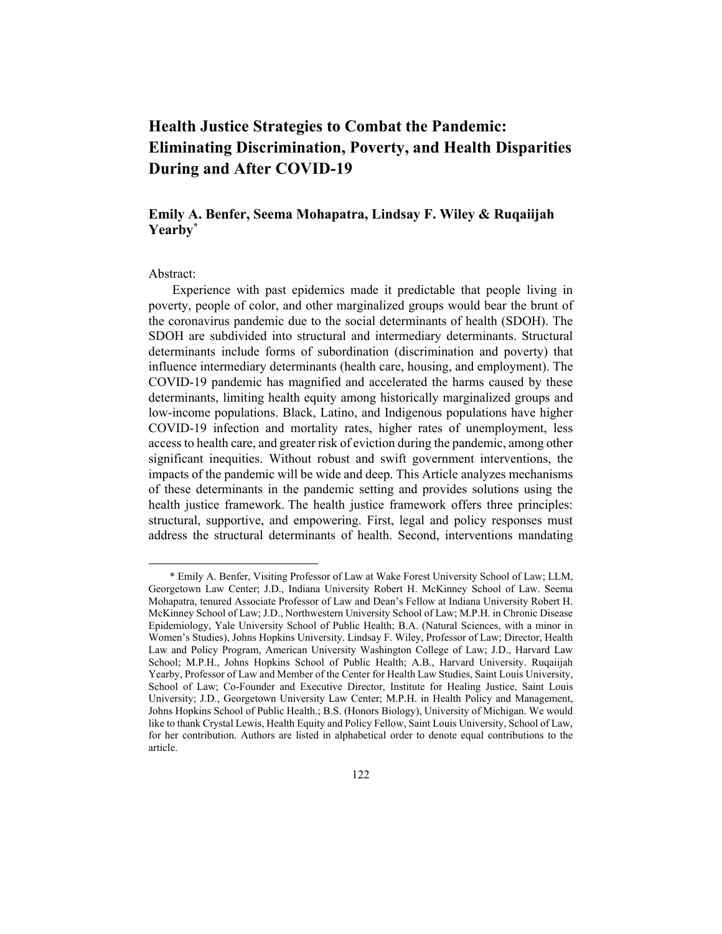# **Health Justice Strategies to Combat the Pandemic: Eliminating Discrimination, Poverty, and Health Disparities During and After COVID-19**

# **Emily A. Benfer, Seema Mohapatra, Lindsay F. Wiley & Ruqaiijah Yearby\***

#### Abstract:

Experience with past epidemics made it predictable that people living in poverty, people of color, and other marginalized groups would bear the brunt of the coronavirus pandemic due to the social determinants of health (SDOH). The SDOH are subdivided into structural and intermediary determinants. Structural determinants include forms of subordination (discrimination and poverty) that influence intermediary determinants (health care, housing, and employment). The COVID-19 pandemic has magnified and accelerated the harms caused by these determinants, limiting health equity among historically marginalized groups and low-income populations. Black, Latino, and Indigenous populations have higher COVID-19 infection and mortality rates, higher rates of unemployment, less access to health care, and greater risk of eviction during the pandemic, among other significant inequities. Without robust and swift government interventions, the impacts of the pandemic will be wide and deep. This Article analyzes mechanisms of these determinants in the pandemic setting and provides solutions using the health justice framework. The health justice framework offers three principles: structural, supportive, and empowering. First, legal and policy responses must address the structural determinants of health. Second, interventions mandating

<sup>\*</sup> Emily A. Benfer, Visiting Professor of Law at Wake Forest University School of Law; LLM, Georgetown Law Center; J.D., Indiana University Robert H. McKinney School of Law. Seema Mohapatra, tenured Associate Professor of Law and Dean's Fellow at Indiana University Robert H. McKinney School of Law; J.D., Northwestern University School of Law; M.P.H. in Chronic Disease Epidemiology, Yale University School of Public Health; B.A. (Natural Sciences, with a minor in Women's Studies), Johns Hopkins University. Lindsay F. Wiley, Professor of Law; Director, Health Law and Policy Program, American University Washington College of Law; J.D., Harvard Law School; M.P.H., Johns Hopkins School of Public Health; A.B., Harvard University. Ruqaiijah Yearby, Professor of Law and Member of the Center for Health Law Studies, Saint Louis University, School of Law; Co-Founder and Executive Director, Institute for Healing Justice, Saint Louis University; J.D., Georgetown University Law Center; M.P.H. in Health Policy and Management, Johns Hopkins School of Public Health.; B.S. (Honors Biology), University of Michigan. We would like to thank Crystal Lewis, Health Equity and Policy Fellow, Saint Louis University, School of Law, for her contribution. Authors are listed in alphabetical order to denote equal contributions to the article.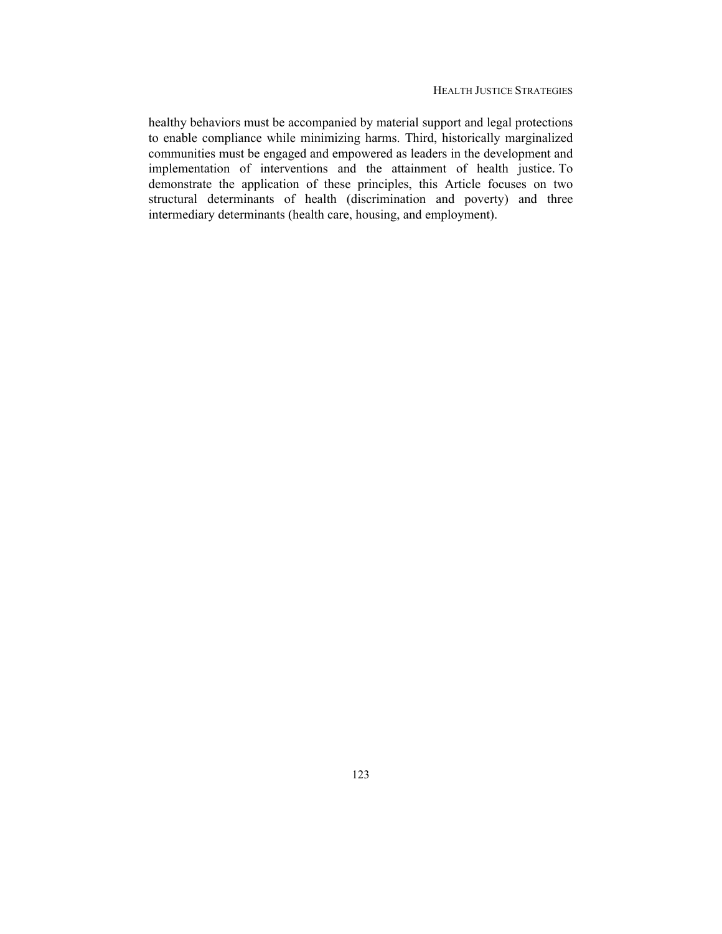healthy behaviors must be accompanied by material support and legal protections to enable compliance while minimizing harms. Third, historically marginalized communities must be engaged and empowered as leaders in the development and implementation of interventions and the attainment of health justice. To demonstrate the application of these principles, this Article focuses on two structural determinants of health (discrimination and poverty) and three intermediary determinants (health care, housing, and employment).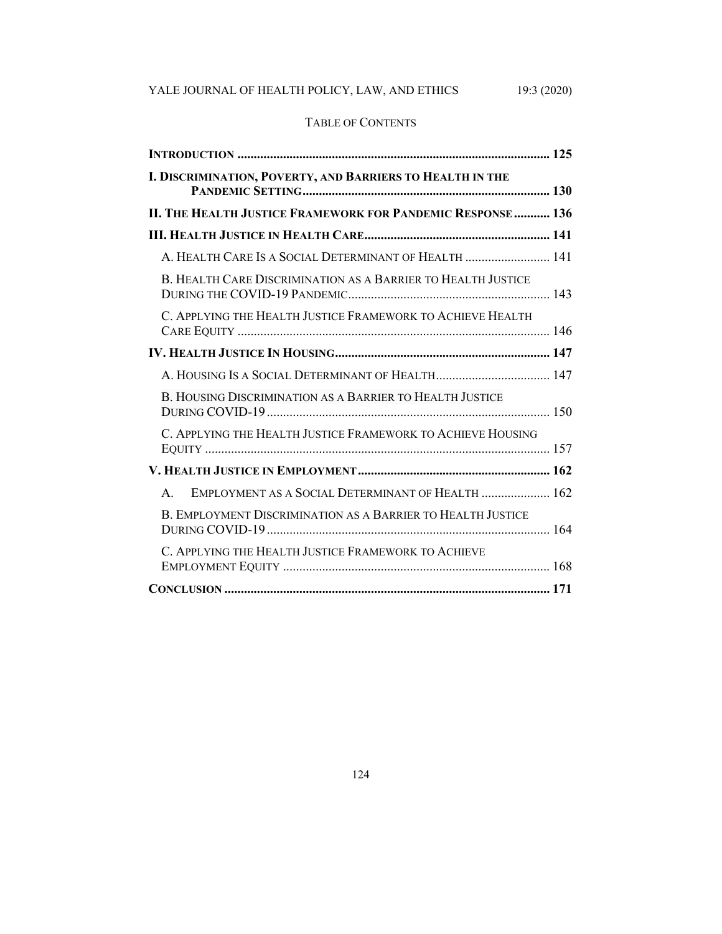# YALE JOURNAL OF HEALTH POLICY, LAW, AND ETHICS 19:3 (2020)

# TABLE OF CONTENTS

| I. DISCRIMINATION, POVERTY, AND BARRIERS TO HEALTH IN THE         |  |
|-------------------------------------------------------------------|--|
| II. THE HEALTH JUSTICE FRAMEWORK FOR PANDEMIC RESPONSE  136       |  |
|                                                                   |  |
| A. HEALTH CARE IS A SOCIAL DETERMINANT OF HEALTH  141             |  |
| B. HEALTH CARE DISCRIMINATION AS A BARRIER TO HEALTH JUSTICE      |  |
| C. APPLYING THE HEALTH JUSTICE FRAMEWORK TO ACHIEVE HEALTH        |  |
|                                                                   |  |
|                                                                   |  |
| B. HOUSING DISCRIMINATION AS A BARRIER TO HEALTH JUSTICE          |  |
| C. APPLYING THE HEALTH JUSTICE FRAMEWORK TO ACHIEVE HOUSING       |  |
|                                                                   |  |
| EMPLOYMENT AS A SOCIAL DETERMINANT OF HEALTH  162<br>$\mathbf{A}$ |  |
| B. EMPLOYMENT DISCRIMINATION AS A BARRIER TO HEALTH JUSTICE       |  |
| C. APPLYING THE HEALTH JUSTICE FRAMEWORK TO ACHIEVE               |  |
|                                                                   |  |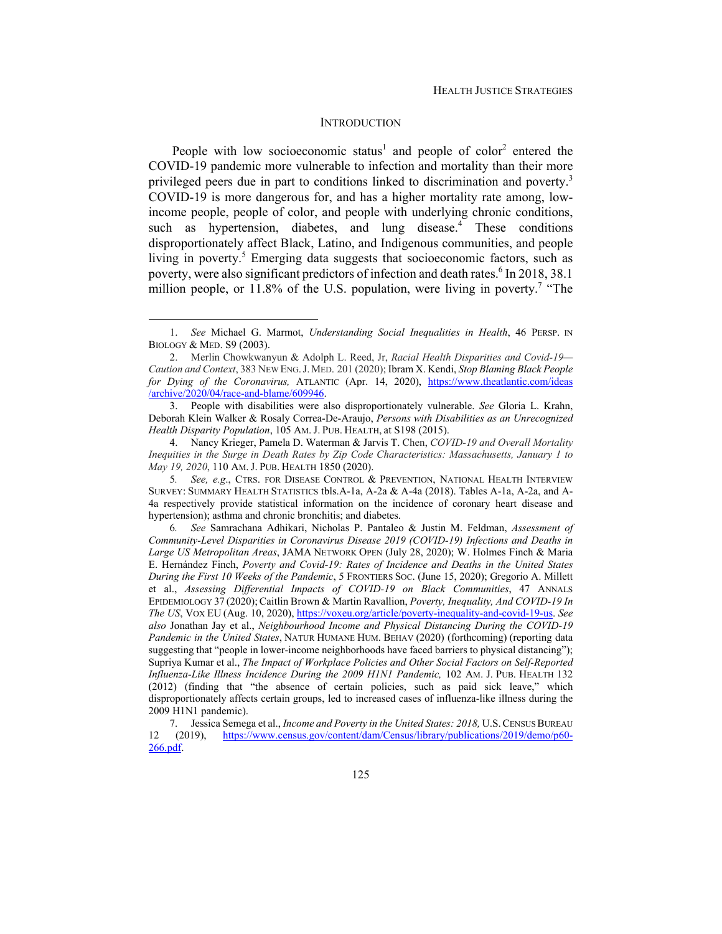## **INTRODUCTION**

People with low socioeconomic status<sup>1</sup> and people of color<sup>2</sup> entered the COVID-19 pandemic more vulnerable to infection and mortality than their more privileged peers due in part to conditions linked to discrimination and poverty.<sup>3</sup> COVID-19 is more dangerous for, and has a higher mortality rate among, lowincome people, people of color, and people with underlying chronic conditions, such as hypertension, diabetes, and lung disease.<sup>4</sup> These conditions disproportionately affect Black, Latino, and Indigenous communities, and people living in poverty.<sup>5</sup> Emerging data suggests that socioeconomic factors, such as poverty, were also significant predictors of infection and death rates.<sup>6</sup> In 2018, 38.1 million people, or  $11.8\%$  of the U.S. population, were living in poverty.<sup>7</sup> "The

<sup>1.</sup> *See* Michael G. Marmot, *Understanding Social Inequalities in Health*, 46 PERSP. IN BIOLOGY & MED. S9 (2003).

<sup>2.</sup> Merlin Chowkwanyun & Adolph L. Reed, Jr, *Racial Health Disparities and Covid-19— Caution and Context*, 383 NEW ENG.J. MED. 201 (2020); Ibram X. Kendi, *Stop Blaming Black People for Dying of the Coronavirus,* ATLANTIC (Apr. 14, 2020), https://www.theatlantic.com/ideas /archive/2020/04/race-and-blame/609946.

 <sup>3.</sup> People with disabilities were also disproportionately vulnerable. *See* Gloria L. Krahn, Deborah Klein Walker & Rosaly Correa-De-Araujo, *Persons with Disabilities as an Unrecognized Health Disparity Population*, 105 AM. J. PUB. HEALTH, at S198 (2015).

 <sup>4.</sup> Nancy Krieger, Pamela D. Waterman & Jarvis T. Chen, *COVID-19 and Overall Mortality Inequities in the Surge in Death Rates by Zip Code Characteristics: Massachusetts, January 1 to May 19, 2020*, 110 AM. J. PUB. HEALTH 1850 (2020).

<sup>5</sup>*. See, e.g*., CTRS. FOR DISEASE CONTROL & PREVENTION, NATIONAL HEALTH INTERVIEW SURVEY: SUMMARY HEALTH STATISTICS tbls.A-1a, A-2a & A-4a (2018). Tables A-1a, A-2a, and A-4a respectively provide statistical information on the incidence of coronary heart disease and hypertension); asthma and chronic bronchitis; and diabetes.

<sup>6</sup>*. See* Samrachana Adhikari, Nicholas P. Pantaleo & Justin M. Feldman, *Assessment of Community-Level Disparities in Coronavirus Disease 2019 (COVID-19) Infections and Deaths in Large US Metropolitan Areas*, JAMA NETWORK OPEN (July 28, 2020); W. Holmes Finch & Maria E. Hernández Finch, *Poverty and Covid-19: Rates of Incidence and Deaths in the United States During the First 10 Weeks of the Pandemic*, 5 FRONTIERS SOC. (June 15, 2020); Gregorio A. Millett et al., *Assessing Differential Impacts of COVID-19 on Black Communities*, 47 ANNALS EPIDEMIOLOGY 37 (2020); Caitlin Brown & Martin Ravallion, *Poverty, Inequality, And COVID-19 In The US*, VOX EU (Aug. 10, 2020), https://voxeu.org/article/poverty-inequality-and-covid-19-us. *See also* Jonathan Jay et al., *Neighbourhood Income and Physical Distancing During the COVID-19 Pandemic in the United States*, NATUR HUMANE HUM. BEHAV (2020) (forthcoming) (reporting data suggesting that "people in lower-income neighborhoods have faced barriers to physical distancing"); Supriya Kumar et al., *The Impact of Workplace Policies and Other Social Factors on Self-Reported Influenza-Like Illness Incidence During the 2009 H1N1 Pandemic,* 102 AM. J. PUB. HEALTH 132 (2012) (finding that "the absence of certain policies, such as paid sick leave," which disproportionately affects certain groups, led to increased cases of influenza-like illness during the 2009 H1N1 pandemic).

 <sup>7.</sup> Jessica Semega et al., *Income and Poverty in the United States: 2018,* U.S.CENSUS BUREAU 12 (2019), https://www.census.gov/content/dam/Census/library/publications/2019/demo/p60- 266.pdf.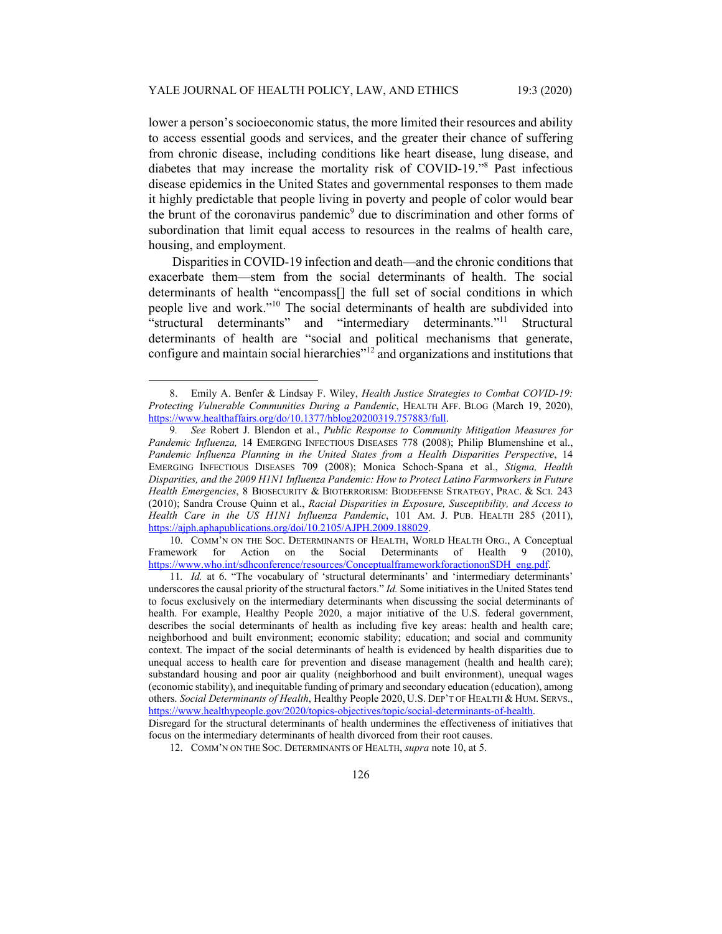lower a person's socioeconomic status, the more limited their resources and ability to access essential goods and services, and the greater their chance of suffering from chronic disease, including conditions like heart disease, lung disease, and diabetes that may increase the mortality risk of COVID-19."<sup>8</sup> Past infectious disease epidemics in the United States and governmental responses to them made it highly predictable that people living in poverty and people of color would bear the brunt of the coronavirus pandemic<sup>9</sup> due to discrimination and other forms of subordination that limit equal access to resources in the realms of health care, housing, and employment.

Disparities in COVID-19 infection and death—and the chronic conditions that exacerbate them—stem from the social determinants of health. The social determinants of health "encompass[] the full set of social conditions in which people live and work."10 The social determinants of health are subdivided into "structural determinants" and "intermediary determinants."11 Structural determinants of health are "social and political mechanisms that generate, configure and maintain social hierarchies"12 and organizations and institutions that

 10. COMM'N ON THE SOC. DETERMINANTS OF HEALTH, WORLD HEALTH ORG., A Conceptual Framework for Action on the Social Determinants of Health 9 (2010), https://www.who.int/sdhconference/resources/ConceptualframeworkforactiononSDH\_eng.pdf.

11*. Id.* at 6. "The vocabulary of 'structural determinants' and 'intermediary determinants' underscores the causal priority of the structural factors." *Id.* Some initiatives in the United States tend to focus exclusively on the intermediary determinants when discussing the social determinants of health. For example, Healthy People 2020, a major initiative of the U.S. federal government, describes the social determinants of health as including five key areas: health and health care; neighborhood and built environment; economic stability; education; and social and community context. The impact of the social determinants of health is evidenced by health disparities due to unequal access to health care for prevention and disease management (health and health care); substandard housing and poor air quality (neighborhood and built environment), unequal wages (economic stability), and inequitable funding of primary and secondary education (education), among others. *Social Determinants of Health*, Healthy People 2020, U.S. DEP'T OF HEALTH & HUM. SERVS., https://www.healthypeople.gov/2020/topics-objectives/topic/social-determinants-of-health.

 <sup>8.</sup> Emily A. Benfer & Lindsay F. Wiley, *Health Justice Strategies to Combat COVID-19: Protecting Vulnerable Communities During a Pandemic*, HEALTH AFF. BLOG (March 19, 2020), https://www.healthaffairs.org/do/10.1377/hblog20200319.757883/full.

<sup>9</sup>*. See* Robert J. Blendon et al., *Public Response to Community Mitigation Measures for Pandemic Influenza,* 14 EMERGING INFECTIOUS DISEASES 778 (2008); Philip Blumenshine et al., *Pandemic Influenza Planning in the United States from a Health Disparities Perspective*, 14 EMERGING INFECTIOUS DISEASES 709 (2008); Monica Schoch-Spana et al., *Stigma, Health Disparities, and the 2009 H1N1 Influenza Pandemic: How to Protect Latino Farmworkers in Future Health Emergencies*, 8 BIOSECURITY & BIOTERRORISM: BIODEFENSE STRATEGY, PRAC. & SCI. 243 (2010); Sandra Crouse Quinn et al., *Racial Disparities in Exposure, Susceptibility, and Access to Health Care in the US H1N1 Influenza Pandemic*, 101 AM. J. PUB. HEALTH 285 (2011), https://ajph.aphapublications.org/doi/10.2105/AJPH.2009.188029.

Disregard for the structural determinants of health undermines the effectiveness of initiatives that focus on the intermediary determinants of health divorced from their root causes.

 <sup>12.</sup> COMM'N ON THE SOC. DETERMINANTS OF HEALTH, *supra* note 10, at 5.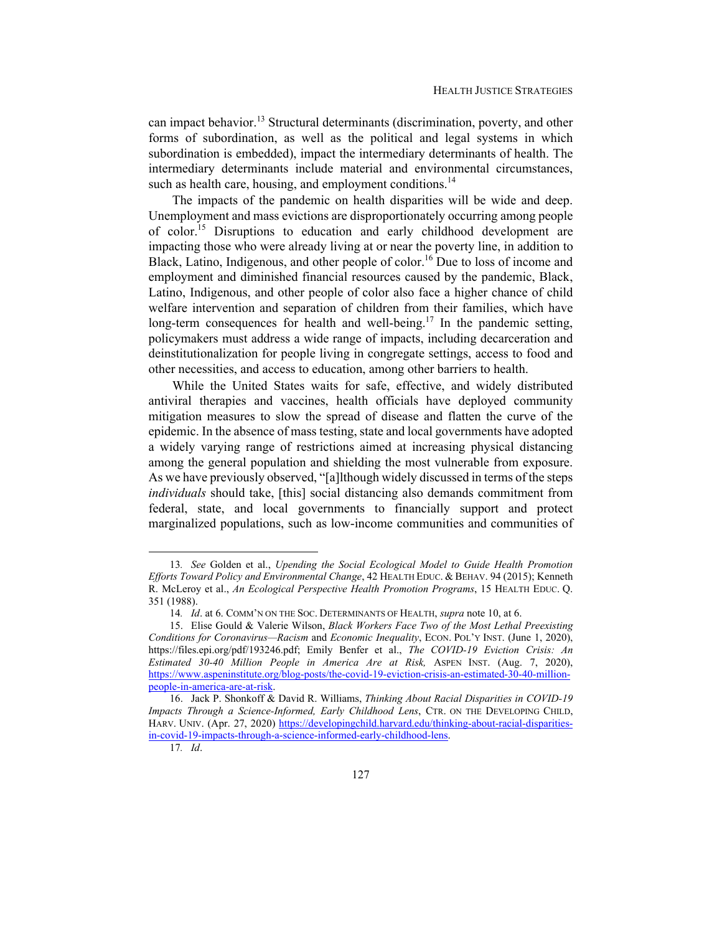can impact behavior.<sup>13</sup> Structural determinants (discrimination, poverty, and other forms of subordination, as well as the political and legal systems in which subordination is embedded), impact the intermediary determinants of health. The intermediary determinants include material and environmental circumstances, such as health care, housing, and employment conditions.<sup>14</sup>

The impacts of the pandemic on health disparities will be wide and deep. Unemployment and mass evictions are disproportionately occurring among people of color.<sup>15</sup> Disruptions to education and early childhood development are impacting those who were already living at or near the poverty line, in addition to Black, Latino, Indigenous, and other people of color.<sup>16</sup> Due to loss of income and employment and diminished financial resources caused by the pandemic, Black, Latino, Indigenous, and other people of color also face a higher chance of child welfare intervention and separation of children from their families, which have long-term consequences for health and well-being.<sup>17</sup> In the pandemic setting, policymakers must address a wide range of impacts, including decarceration and deinstitutionalization for people living in congregate settings, access to food and other necessities, and access to education, among other barriers to health.

While the United States waits for safe, effective, and widely distributed antiviral therapies and vaccines, health officials have deployed community mitigation measures to slow the spread of disease and flatten the curve of the epidemic. In the absence of mass testing, state and local governments have adopted a widely varying range of restrictions aimed at increasing physical distancing among the general population and shielding the most vulnerable from exposure. As we have previously observed, "[a]lthough widely discussed in terms of the steps *individuals* should take, [this] social distancing also demands commitment from federal, state, and local governments to financially support and protect marginalized populations, such as low-income communities and communities of

<sup>13</sup>*. See* Golden et al., *Upending the Social Ecological Model to Guide Health Promotion Efforts Toward Policy and Environmental Change*, 42 HEALTH EDUC. & BEHAV. 94 (2015); Kenneth R. McLeroy et al., *An Ecological Perspective Health Promotion Programs*, 15 HEALTH EDUC. Q. 351 (1988).

<sup>14</sup>*. Id*. at 6. COMM'N ON THE SOC. DETERMINANTS OF HEALTH, *supra* note 10, at 6.

 <sup>15.</sup> Elise Gould & Valerie Wilson, *Black Workers Face Two of the Most Lethal Preexisting Conditions for Coronavirus—Racism* and *Economic Inequality*, ECON. POL'Y INST. (June 1, 2020), https://files.epi.org/pdf/193246.pdf; Emily Benfer et al., *The COVID-19 Eviction Crisis: An Estimated 30-40 Million People in America Are at Risk,* ASPEN INST. (Aug. 7, 2020), https://www.aspeninstitute.org/blog-posts/the-covid-19-eviction-crisis-an-estimated-30-40-millionpeople-in-america-are-at-risk.

 <sup>16.</sup> Jack P. Shonkoff & David R. Williams, *Thinking About Racial Disparities in COVID-19 Impacts Through a Science-Informed, Early Childhood Lens*, CTR. ON THE DEVELOPING CHILD, HARV. UNIV. (Apr. 27, 2020) https://developingchild.harvard.edu/thinking-about-racial-disparitiesin-covid-19-impacts-through-a-science-informed-early-childhood-lens.

<sup>17</sup>*. Id*.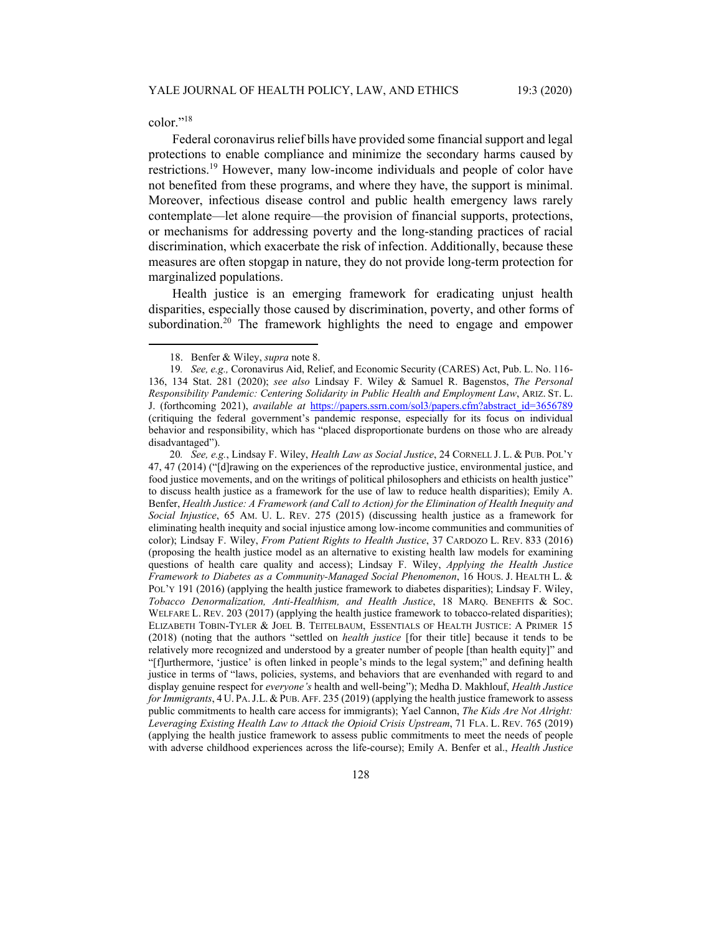color."18

Federal coronavirus relief bills have provided some financial support and legal protections to enable compliance and minimize the secondary harms caused by restrictions.<sup>19</sup> However, many low-income individuals and people of color have not benefited from these programs, and where they have, the support is minimal. Moreover, infectious disease control and public health emergency laws rarely contemplate—let alone require—the provision of financial supports, protections, or mechanisms for addressing poverty and the long-standing practices of racial discrimination, which exacerbate the risk of infection. Additionally, because these measures are often stopgap in nature, they do not provide long-term protection for marginalized populations.

Health justice is an emerging framework for eradicating unjust health disparities, especially those caused by discrimination, poverty, and other forms of subordination.<sup>20</sup> The framework highlights the need to engage and empower

 <sup>18.</sup> Benfer & Wiley, *supra* note 8.

<sup>19</sup>*. See, e.g.,* Coronavirus Aid, Relief, and Economic Security (CARES) Act, Pub. L. No. 116- 136, 134 Stat. 281 (2020); *see also* Lindsay F. Wiley & Samuel R. Bagenstos, *The Personal Responsibility Pandemic: Centering Solidarity in Public Health and Employment Law*, ARIZ. ST. L. J. (forthcoming 2021), *available at* https://papers.ssrn.com/sol3/papers.cfm?abstract\_id=3656789 (critiquing the federal government's pandemic response, especially for its focus on individual behavior and responsibility, which has "placed disproportionate burdens on those who are already disadvantaged").

<sup>20</sup>*. See, e.g.*, Lindsay F. Wiley, *Health Law as Social Justice*, 24 CORNELL J. L. & PUB. POL'Y 47, 47 (2014) ("[d]rawing on the experiences of the reproductive justice, environmental justice, and food justice movements, and on the writings of political philosophers and ethicists on health justice" to discuss health justice as a framework for the use of law to reduce health disparities); Emily A. Benfer, *Health Justice: A Framework (and Call to Action) for the Elimination of Health Inequity and Social Injustice*, 65 AM. U. L. REV. 275 (2015) (discussing health justice as a framework for eliminating health inequity and social injustice among low-income communities and communities of color); Lindsay F. Wiley, *From Patient Rights to Health Justice*, 37 CARDOZO L. REV. 833 (2016) (proposing the health justice model as an alternative to existing health law models for examining questions of health care quality and access); Lindsay F. Wiley, *Applying the Health Justice Framework to Diabetes as a Community-Managed Social Phenomenon*, 16 HOUS. J. HEALTH L. & POL'Y 191 (2016) (applying the health justice framework to diabetes disparities); Lindsay F. Wiley, *Tobacco Denormalization, Anti-Healthism, and Health Justice*, 18 MARQ. BENEFITS & SOC. WELFARE L. REV. 203 (2017) (applying the health justice framework to tobacco-related disparities); ELIZABETH TOBIN-TYLER & JOEL B. TEITELBAUM, ESSENTIALS OF HEALTH JUSTICE: A PRIMER 15 (2018) (noting that the authors "settled on *health justice* [for their title] because it tends to be relatively more recognized and understood by a greater number of people [than health equity]" and "[f]urthermore, 'justice' is often linked in people's minds to the legal system;" and defining health justice in terms of "laws, policies, systems, and behaviors that are evenhanded with regard to and display genuine respect for *everyone's* health and well-being"); Medha D. Makhlouf, *Health Justice for Immigrants*, 4 U. PA.J.L. & PUB. AFF. 235 (2019) (applying the health justice framework to assess public commitments to health care access for immigrants); Yael Cannon, *The Kids Are Not Alright: Leveraging Existing Health Law to Attack the Opioid Crisis Upstream*, 71 FLA. L. REV. 765 (2019) (applying the health justice framework to assess public commitments to meet the needs of people with adverse childhood experiences across the life-course); Emily A. Benfer et al., *Health Justice*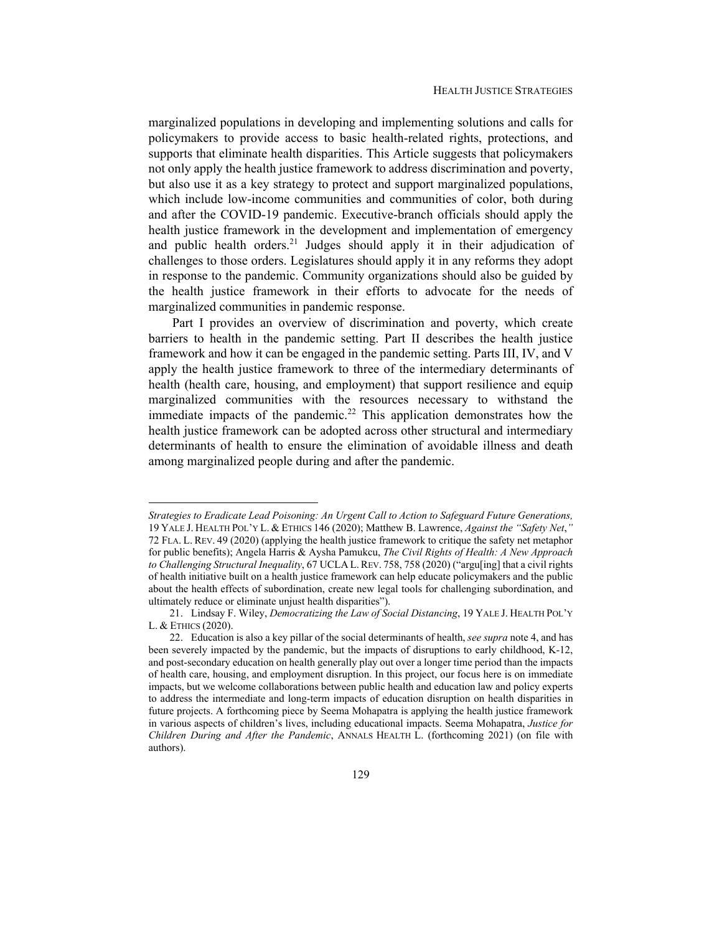marginalized populations in developing and implementing solutions and calls for policymakers to provide access to basic health-related rights, protections, and supports that eliminate health disparities. This Article suggests that policymakers not only apply the health justice framework to address discrimination and poverty, but also use it as a key strategy to protect and support marginalized populations, which include low-income communities and communities of color, both during and after the COVID-19 pandemic. Executive-branch officials should apply the health justice framework in the development and implementation of emergency and public health orders.<sup>21</sup> Judges should apply it in their adjudication of challenges to those orders. Legislatures should apply it in any reforms they adopt in response to the pandemic. Community organizations should also be guided by the health justice framework in their efforts to advocate for the needs of marginalized communities in pandemic response.

Part I provides an overview of discrimination and poverty, which create barriers to health in the pandemic setting. Part II describes the health justice framework and how it can be engaged in the pandemic setting. Parts III, IV, and V apply the health justice framework to three of the intermediary determinants of health (health care, housing, and employment) that support resilience and equip marginalized communities with the resources necessary to withstand the immediate impacts of the pandemic.<sup>22</sup> This application demonstrates how the health justice framework can be adopted across other structural and intermediary determinants of health to ensure the elimination of avoidable illness and death among marginalized people during and after the pandemic.

*Strategies to Eradicate Lead Poisoning: An Urgent Call to Action to Safeguard Future Generations,* 19 YALE J. HEALTH POL'Y L. & ETHICS 146 (2020); Matthew B. Lawrence, *Against the "Safety Net*,*"* 72 FLA. L. REV. 49 (2020) (applying the health justice framework to critique the safety net metaphor for public benefits); Angela Harris & Aysha Pamukcu, *The Civil Rights of Health: A New Approach to Challenging Structural Inequality*, 67 UCLA L.REV. 758, 758 (2020) ("argu[ing] that a civil rights of health initiative built on a health justice framework can help educate policymakers and the public about the health effects of subordination, create new legal tools for challenging subordination, and ultimately reduce or eliminate unjust health disparities").

 <sup>21.</sup> Lindsay F. Wiley, *Democratizing the Law of Social Distancing*, 19 YALE J. HEALTH POL'Y L. & ETHICS (2020).

 <sup>22.</sup> Education is also a key pillar of the social determinants of health, *see supra* note 4, and has been severely impacted by the pandemic, but the impacts of disruptions to early childhood, K-12, and post-secondary education on health generally play out over a longer time period than the impacts of health care, housing, and employment disruption. In this project, our focus here is on immediate impacts, but we welcome collaborations between public health and education law and policy experts to address the intermediate and long-term impacts of education disruption on health disparities in future projects. A forthcoming piece by Seema Mohapatra is applying the health justice framework in various aspects of children's lives, including educational impacts. Seema Mohapatra, *Justice for Children During and After the Pandemic*, ANNALS HEALTH L. (forthcoming 2021) (on file with authors).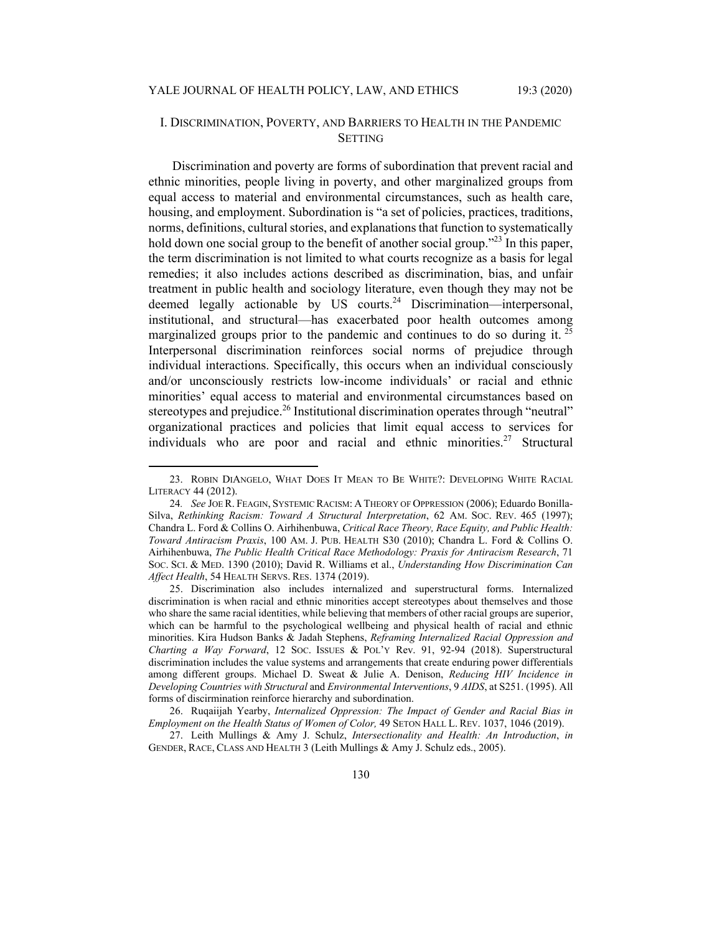# I. DISCRIMINATION, POVERTY, AND BARRIERS TO HEALTH IN THE PANDEMIC **SETTING**

Discrimination and poverty are forms of subordination that prevent racial and ethnic minorities, people living in poverty, and other marginalized groups from equal access to material and environmental circumstances, such as health care, housing, and employment. Subordination is "a set of policies, practices, traditions, norms, definitions, cultural stories, and explanations that function to systematically hold down one social group to the benefit of another social group."<sup>23</sup> In this paper, the term discrimination is not limited to what courts recognize as a basis for legal remedies; it also includes actions described as discrimination, bias, and unfair treatment in public health and sociology literature, even though they may not be deemed legally actionable by US courts.<sup>24</sup> Discrimination—interpersonal, institutional, and structural—has exacerbated poor health outcomes among marginalized groups prior to the pandemic and continues to do so during it.<sup>25</sup> Interpersonal discrimination reinforces social norms of prejudice through individual interactions. Specifically, this occurs when an individual consciously and/or unconsciously restricts low-income individuals' or racial and ethnic minorities' equal access to material and environmental circumstances based on stereotypes and prejudice.<sup>26</sup> Institutional discrimination operates through "neutral" organizational practices and policies that limit equal access to services for individuals who are poor and racial and ethnic minorities.<sup>27</sup> Structural

 <sup>23.</sup> ROBIN DIANGELO, WHAT DOES IT MEAN TO BE WHITE?: DEVELOPING WHITE RACIAL LITERACY 44 (2012).

<sup>24</sup>*. See* JOE R. FEAGIN, SYSTEMIC RACISM: A THEORY OF OPPRESSION (2006); Eduardo Bonilla-Silva, *Rethinking Racism: Toward A Structural Interpretation*, 62 AM. SOC. REV. 465 (1997); Chandra L. Ford & Collins O. Airhihenbuwa, *Critical Race Theory, Race Equity, and Public Health: Toward Antiracism Praxis*, 100 AM. J. PUB. HEALTH S30 (2010); Chandra L. Ford & Collins O. Airhihenbuwa, *The Public Health Critical Race Methodology: Praxis for Antiracism Research*, 71 SOC. SCI. & MED. 1390 (2010); David R. Williams et al., *Understanding How Discrimination Can Affect Health*, 54 HEALTH SERVS. RES. 1374 (2019).

 <sup>25.</sup> Discrimination also includes internalized and superstructural forms. Internalized discrimination is when racial and ethnic minorities accept stereotypes about themselves and those who share the same racial identities, while believing that members of other racial groups are superior, which can be harmful to the psychological wellbeing and physical health of racial and ethnic minorities. Kira Hudson Banks & Jadah Stephens, *Reframing Internalized Racial Oppression and Charting a Way Forward*, 12 SOC. ISSUES & POL'Y Rev. 91, 92-94 (2018). Superstructural discrimination includes the value systems and arrangements that create enduring power differentials among different groups. Michael D. Sweat & Julie A. Denison, *Reducing HIV Incidence in Developing Countries with Structural* and *Environmental Interventions*, 9 *AIDS*, at S251. (1995). All forms of discirmination reinforce hierarchy and subordination.

 <sup>26.</sup> Ruqaiijah Yearby, *Internalized Oppression: The Impact of Gender and Racial Bias in Employment on the Health Status of Women of Color, 49 SETON HALL L. REV. 1037, 1046 (2019).* 

 <sup>27.</sup> Leith Mullings & Amy J. Schulz, *Intersectionality and Health: An Introduction*, *in*  GENDER, RACE, CLASS AND HEALTH 3 (Leith Mullings & Amy J. Schulz eds., 2005).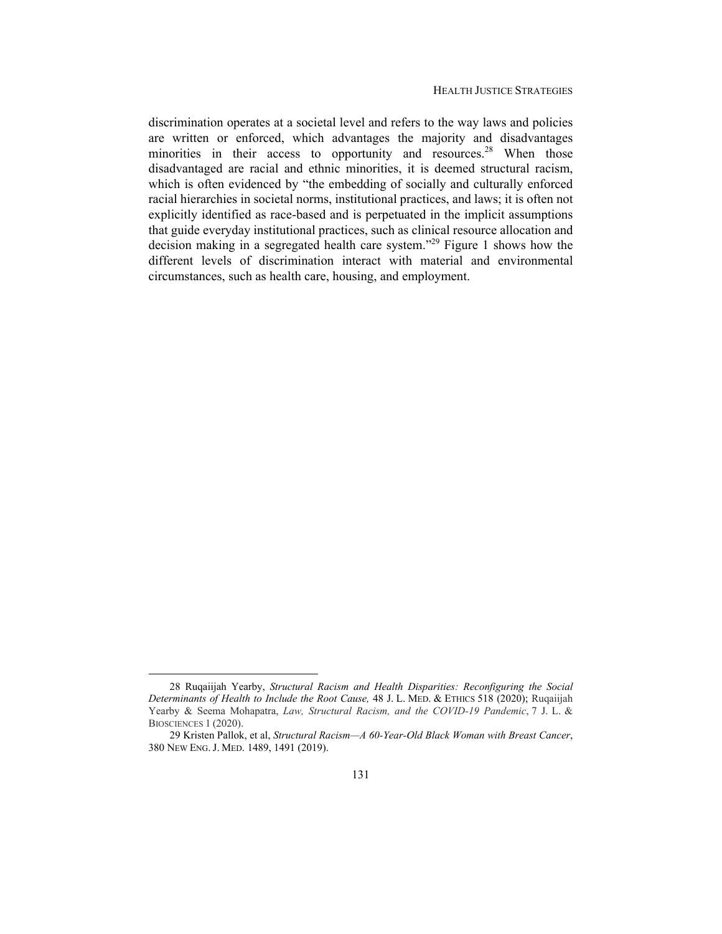discrimination operates at a societal level and refers to the way laws and policies are written or enforced, which advantages the majority and disadvantages minorities in their access to opportunity and resources.<sup>28</sup> When those disadvantaged are racial and ethnic minorities, it is deemed structural racism, which is often evidenced by "the embedding of socially and culturally enforced racial hierarchies in societal norms, institutional practices, and laws; it is often not explicitly identified as race-based and is perpetuated in the implicit assumptions that guide everyday institutional practices, such as clinical resource allocation and decision making in a segregated health care system."<sup>29</sup> Figure 1 shows how the different levels of discrimination interact with material and environmental circumstances, such as health care, housing, and employment.

 <sup>28</sup> Ruqaiijah Yearby, *Structural Racism and Health Disparities: Reconfiguring the Social Determinants of Health to Include the Root Cause,* 48 J. L. MED. & ETHICS 518 (2020); Ruqaiijah Yearby & Seema Mohapatra, *Law, Structural Racism, and the COVID-19 Pandemic*, 7 J. L. & BIOSCIENCES 1 (2020).

 <sup>29</sup> Kristen Pallok, et al, *Structural Racism—A 60-Year-Old Black Woman with Breast Cancer*, 380 NEW ENG. J. MED. 1489, 1491 (2019).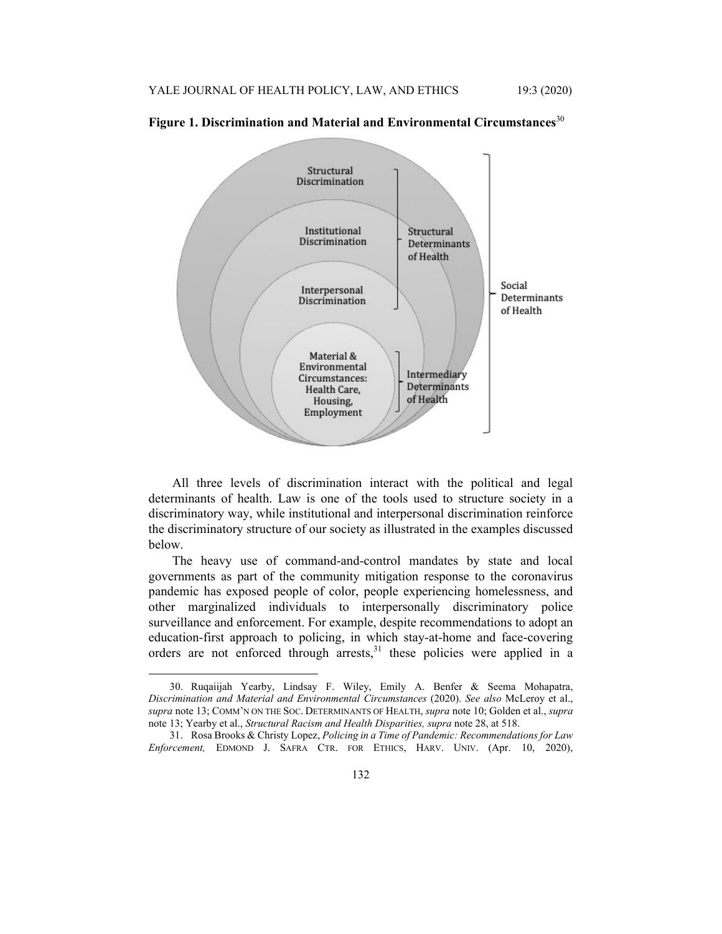

**Figure 1. Discrimination and Material and Environmental Circumstances**<sup>30</sup>

All three levels of discrimination interact with the political and legal determinants of health. Law is one of the tools used to structure society in a discriminatory way, while institutional and interpersonal discrimination reinforce the discriminatory structure of our society as illustrated in the examples discussed below.

The heavy use of command-and-control mandates by state and local governments as part of the community mitigation response to the coronavirus pandemic has exposed people of color, people experiencing homelessness, and other marginalized individuals to interpersonally discriminatory police surveillance and enforcement. For example, despite recommendations to adopt an education-first approach to policing, in which stay-at-home and face-covering orders are not enforced through arrests, $31$  these policies were applied in a

 <sup>30.</sup> Ruqaiijah Yearby, Lindsay F. Wiley, Emily A. Benfer & Seema Mohapatra, *Discrimination and Material and Environmental Circumstances* (2020). *See also* McLeroy et al., *supra* note 13; COMM'N ON THE SOC. DETERMINANTS OF HEALTH, *supra* note 10; Golden et al., *supra*  note 13; Yearby et al., *Structural Racism and Health Disparities, supra* note 28, at 518.

 <sup>31.</sup> Rosa Brooks & Christy Lopez, *Policing in a Time of Pandemic: Recommendations for Law Enforcement,* EDMOND J. SAFRA CTR. FOR ETHICS, HARV. UNIV. (Apr. 10, 2020),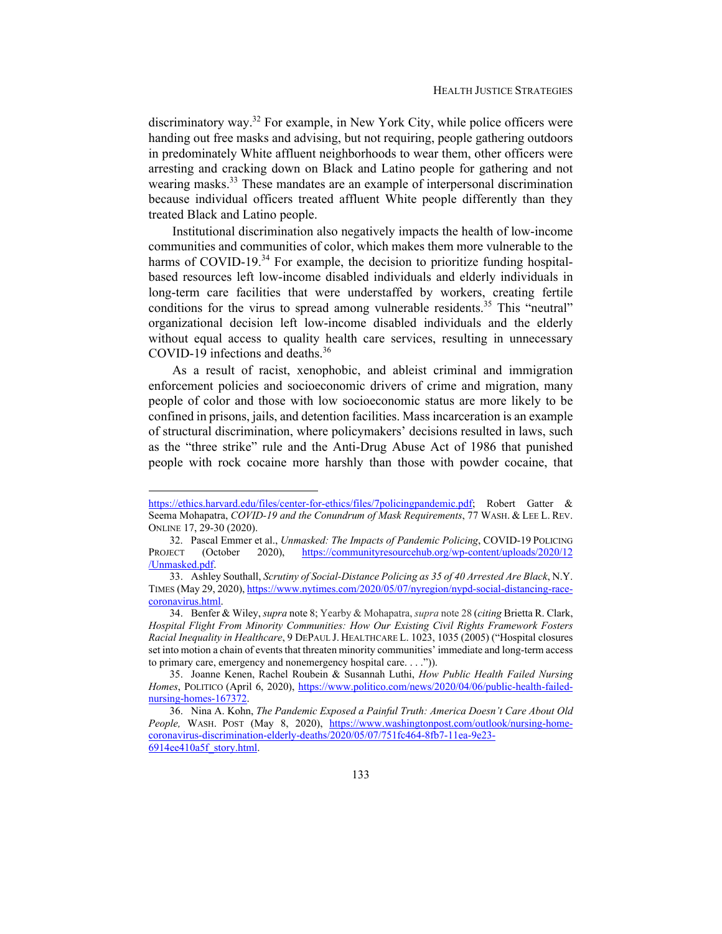discriminatory way.<sup>32</sup> For example, in New York City, while police officers were handing out free masks and advising, but not requiring, people gathering outdoors in predominately White affluent neighborhoods to wear them, other officers were arresting and cracking down on Black and Latino people for gathering and not wearing masks.<sup>33</sup> These mandates are an example of interpersonal discrimination because individual officers treated affluent White people differently than they treated Black and Latino people.

Institutional discrimination also negatively impacts the health of low-income communities and communities of color, which makes them more vulnerable to the harms of COVID-19. $34$  For example, the decision to prioritize funding hospitalbased resources left low-income disabled individuals and elderly individuals in long-term care facilities that were understaffed by workers, creating fertile conditions for the virus to spread among vulnerable residents.<sup>35</sup> This "neutral" organizational decision left low-income disabled individuals and the elderly without equal access to quality health care services, resulting in unnecessary COVID-19 infections and deaths.36

As a result of racist, xenophobic, and ableist criminal and immigration enforcement policies and socioeconomic drivers of crime and migration, many people of color and those with low socioeconomic status are more likely to be confined in prisons, jails, and detention facilities. Mass incarceration is an example of structural discrimination, where policymakers' decisions resulted in laws, such as the "three strike" rule and the Anti-Drug Abuse Act of 1986 that punished people with rock cocaine more harshly than those with powder cocaine, that

https://ethics.harvard.edu/files/center-for-ethics/files/7policingpandemic.pdf; Robert Gatter & Seema Mohapatra, *COVID-19 and the Conundrum of Mask Requirements*, 77 WASH. & LEE L. REV. ONLINE 17, 29-30 (2020).

<sup>32.</sup> Pascal Emmer et al., *Unmasked: The Impacts of Pandemic Policing*, COVID-19 POLICING<br>PROJECT (October 2020), https://communityresourcehub.org/wp-content/uploads/2020/12 2020), https://communityresourcehub.org/wp-content/uploads/2020/12 /Unmasked.pdf.

 <sup>33.</sup> Ashley Southall, *Scrutiny of Social-Distance Policing as 35 of 40 Arrested Are Black*, N.Y. TIMES (May 29, 2020), https://www.nytimes.com/2020/05/07/nyregion/nypd-social-distancing-racecoronavirus.html.

 <sup>34.</sup> Benfer & Wiley, *supra* note 8; Yearby & Mohapatra, *supra* note 28 (*citing* Brietta R. Clark, *Hospital Flight From Minority Communities: How Our Existing Civil Rights Framework Fosters Racial Inequality in Healthcare*, 9 DEPAUL J. HEALTHCARE L. 1023, 1035 (2005) ("Hospital closures set into motion a chain of events that threaten minority communities' immediate and long-term access to primary care, emergency and nonemergency hospital care. . . .")).

 <sup>35.</sup> Joanne Kenen, Rachel Roubein & Susannah Luthi, *How Public Health Failed Nursing*  Homes, POLITICO (April 6, 2020), https://www.politico.com/news/2020/04/06/public-health-failednursing-homes-167372.

 <sup>36.</sup> Nina A. Kohn, *The Pandemic Exposed a Painful Truth: America Doesn't Care About Old*  People, WASH. POST (May 8, 2020), https://www.washingtonpost.com/outlook/nursing-homecoronavirus-discrimination-elderly-deaths/2020/05/07/751fc464-8fb7-11ea-9e23- 6914ee410a5f\_story.html.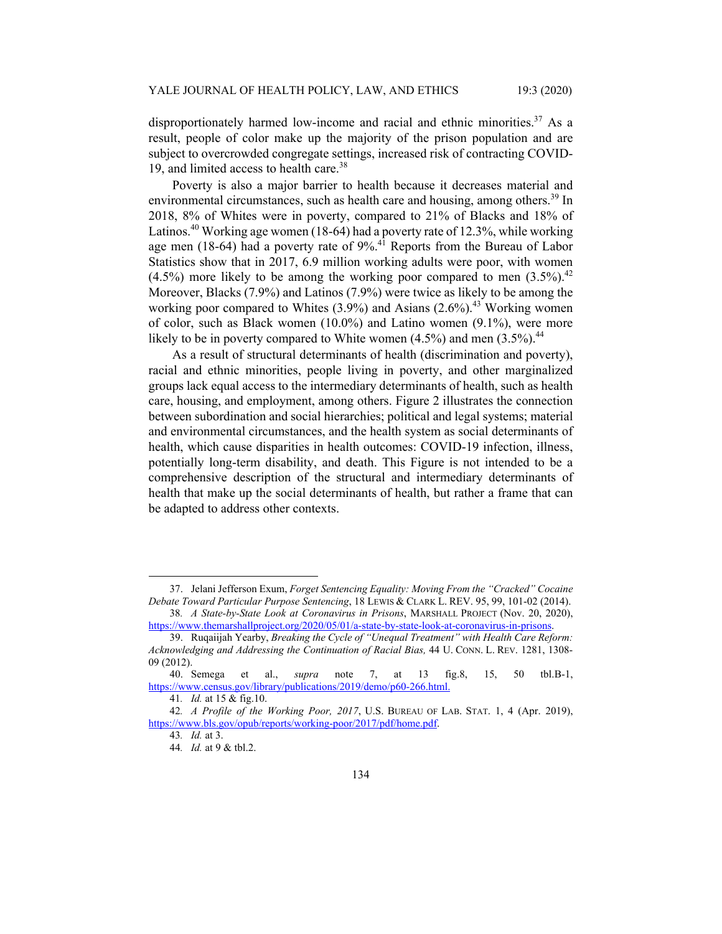disproportionately harmed low-income and racial and ethnic minorities.<sup>37</sup> As a result, people of color make up the majority of the prison population and are subject to overcrowded congregate settings, increased risk of contracting COVID-19, and limited access to health care.<sup>38</sup>

Poverty is also a major barrier to health because it decreases material and environmental circumstances, such as health care and housing, among others.<sup>39</sup> In 2018, 8% of Whites were in poverty, compared to 21% of Blacks and 18% of Latinos.<sup>40</sup> Working age women (18-64) had a poverty rate of 12.3%, while working age men (18-64) had a poverty rate of 9%.41 Reports from the Bureau of Labor Statistics show that in 2017, 6.9 million working adults were poor, with women  $(4.5\%)$  more likely to be among the working poor compared to men  $(3.5\%)$ <sup>42</sup> Moreover, Blacks (7.9%) and Latinos (7.9%) were twice as likely to be among the working poor compared to Whites  $(3.9\%)$  and Asians  $(2.6\%)$ <sup>43</sup> Working women of color, such as Black women (10.0%) and Latino women (9.1%), were more likely to be in poverty compared to White women  $(4.5\%)$  and men  $(3.5\%)$ <sup>44</sup>

As a result of structural determinants of health (discrimination and poverty), racial and ethnic minorities, people living in poverty, and other marginalized groups lack equal access to the intermediary determinants of health, such as health care, housing, and employment, among others. Figure 2 illustrates the connection between subordination and social hierarchies; political and legal systems; material and environmental circumstances, and the health system as social determinants of health, which cause disparities in health outcomes: COVID-19 infection, illness, potentially long-term disability, and death. This Figure is not intended to be a comprehensive description of the structural and intermediary determinants of health that make up the social determinants of health, but rather a frame that can be adapted to address other contexts.

 <sup>37.</sup> Jelani Jefferson Exum, *Forget Sentencing Equality: Moving From the "Cracked" Cocaine Debate Toward Particular Purpose Sentencing*, 18 LEWIS & CLARK L. REV. 95, 99, 101-02 (2014).

<sup>38</sup>*. A State-by-State Look at Coronavirus in Prisons*, MARSHALL PROJECT (Nov. 20, 2020), https://www.themarshallproject.org/2020/05/01/a-state-by-state-look-at-coronavirus-in-prisons.

 <sup>39.</sup> Ruqaiijah Yearby, *Breaking the Cycle of "Unequal Treatment" with Health Care Reform: Acknowledging and Addressing the Continuation of Racial Bias,* 44 U. CONN. L. REV. 1281, 1308- 09 (2012).

 <sup>40.</sup> Semega et al., *supra* note 7, at 13 fig.8, 15, 50 tbl.B-1, https://www.census.gov/library/publications/2019/demo/p60-266.html.

<sup>41</sup>*. Id.* at 15 & fig.10.

<sup>42</sup>*. A Profile of the Working Poor, 2017*, U.S. BUREAU OF LAB. STAT. 1, 4 (Apr. 2019), https://www.bls.gov/opub/reports/working-poor/2017/pdf/home.pdf.

<sup>43</sup>*. Id.* at 3.

<sup>44</sup>*. Id.* at 9 & tbl.2.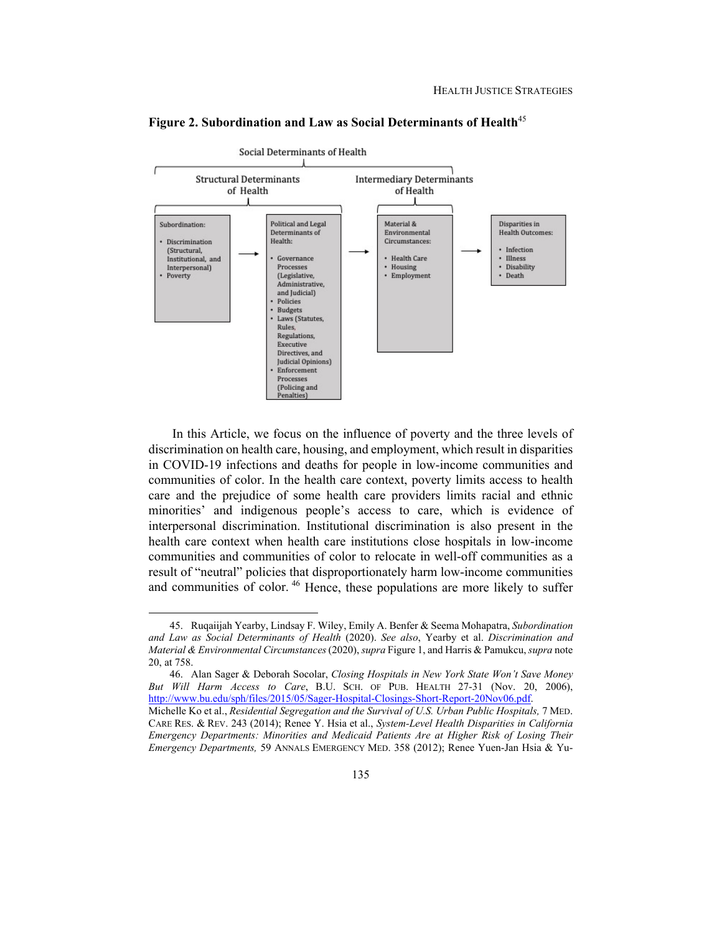

**Figure 2. Subordination and Law as Social Determinants of Health**<sup>45</sup>

In this Article, we focus on the influence of poverty and the three levels of discrimination on health care, housing, and employment, which result in disparities in COVID-19 infections and deaths for people in low-income communities and communities of color. In the health care context, poverty limits access to health care and the prejudice of some health care providers limits racial and ethnic minorities' and indigenous people's access to care, which is evidence of interpersonal discrimination. Institutional discrimination is also present in the health care context when health care institutions close hospitals in low-income communities and communities of color to relocate in well-off communities as a result of "neutral" policies that disproportionately harm low-income communities and communities of color.<sup>46</sup> Hence, these populations are more likely to suffer

 <sup>45.</sup> Ruqaiijah Yearby, Lindsay F. Wiley, Emily A. Benfer & Seema Mohapatra, *Subordination and Law as Social Determinants of Health* (2020). *See also*, Yearby et al. *Discrimination and Material & Environmental Circumstances* (2020), *supra* Figure 1, and Harris & Pamukcu, *supra* note 20, at 758.

 <sup>46.</sup> Alan Sager & Deborah Socolar, *Closing Hospitals in New York State Won't Save Money But Will Harm Access to Care*, B.U. SCH. OF PUB. HEALTH 27-31 (Nov. 20, 2006), http://www.bu.edu/sph/files/2015/05/Sager-Hospital-Closings-Short-Report-20Nov06.pdf.

Michelle Ko et al., *Residential Segregation and the Survival of U.S. Urban Public Hospitals,* 7 MED. CARE RES. & REV. 243 (2014); Renee Y. Hsia et al., *System-Level Health Disparities in California Emergency Departments: Minorities and Medicaid Patients Are at Higher Risk of Losing Their Emergency Departments,* 59 ANNALS EMERGENCY MED. 358 (2012); Renee Yuen-Jan Hsia & Yu-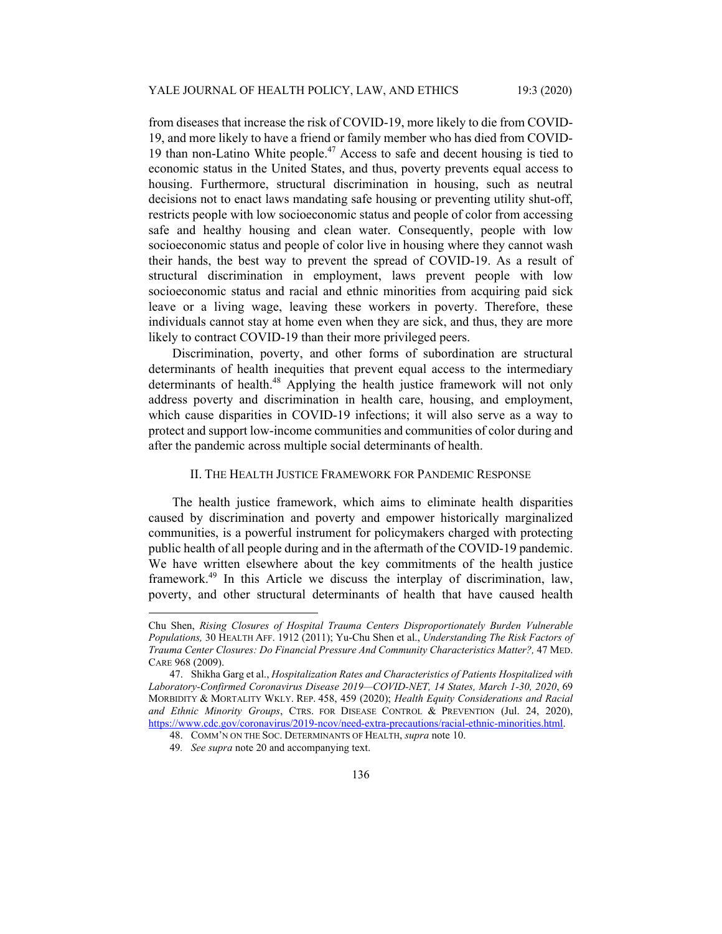from diseases that increase the risk of COVID-19, more likely to die from COVID-19, and more likely to have a friend or family member who has died from COVID-19 than non-Latino White people.<sup>47</sup> Access to safe and decent housing is tied to economic status in the United States, and thus, poverty prevents equal access to housing. Furthermore, structural discrimination in housing, such as neutral decisions not to enact laws mandating safe housing or preventing utility shut-off, restricts people with low socioeconomic status and people of color from accessing safe and healthy housing and clean water. Consequently, people with low socioeconomic status and people of color live in housing where they cannot wash their hands, the best way to prevent the spread of COVID-19. As a result of structural discrimination in employment, laws prevent people with low socioeconomic status and racial and ethnic minorities from acquiring paid sick leave or a living wage, leaving these workers in poverty. Therefore, these individuals cannot stay at home even when they are sick, and thus, they are more likely to contract COVID-19 than their more privileged peers.

Discrimination, poverty, and other forms of subordination are structural determinants of health inequities that prevent equal access to the intermediary determinants of health.<sup>48</sup> Applying the health justice framework will not only address poverty and discrimination in health care, housing, and employment, which cause disparities in COVID-19 infections; it will also serve as a way to protect and support low-income communities and communities of color during and after the pandemic across multiple social determinants of health.

# II. THE HEALTH JUSTICE FRAMEWORK FOR PANDEMIC RESPONSE

The health justice framework, which aims to eliminate health disparities caused by discrimination and poverty and empower historically marginalized communities, is a powerful instrument for policymakers charged with protecting public health of all people during and in the aftermath of the COVID-19 pandemic. We have written elsewhere about the key commitments of the health justice framework.<sup>49</sup> In this Article we discuss the interplay of discrimination, law, poverty, and other structural determinants of health that have caused health

Chu Shen, *Rising Closures of Hospital Trauma Centers Disproportionately Burden Vulnerable Populations,* 30 HEALTH AFF. 1912 (2011); Yu-Chu Shen et al., *Understanding The Risk Factors of Trauma Center Closures: Do Financial Pressure And Community Characteristics Matter?,* 47 MED. CARE 968 (2009).

 <sup>47.</sup> Shikha Garg et al., *Hospitalization Rates and Characteristics of Patients Hospitalized with Laboratory-Confirmed Coronavirus Disease 2019—COVID-NET, 14 States, March 1-30, 2020*, 69 MORBIDITY & MORTALITY WKLY. REP. 458, 459 (2020); *Health Equity Considerations and Racial and Ethnic Minority Groups*, CTRS. FOR DISEASE CONTROL & PREVENTION (Jul. 24, 2020), https://www.cdc.gov/coronavirus/2019-ncov/need-extra-precautions/racial-ethnic-minorities.html.

 <sup>48.</sup> COMM'N ON THE SOC. DETERMINANTS OF HEALTH, *supra* note 10.

<sup>49</sup>*. See supra* note 20 and accompanying text.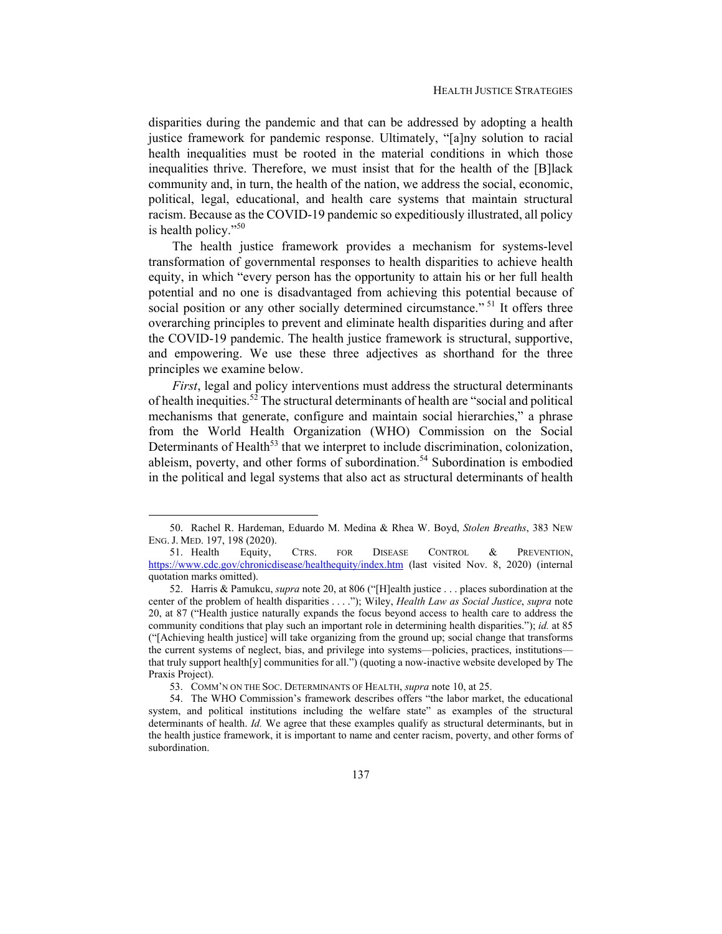disparities during the pandemic and that can be addressed by adopting a health justice framework for pandemic response. Ultimately, "[a]ny solution to racial health inequalities must be rooted in the material conditions in which those inequalities thrive. Therefore, we must insist that for the health of the [B]lack community and, in turn, the health of the nation, we address the social, economic, political, legal, educational, and health care systems that maintain structural racism. Because as the COVID-19 pandemic so expeditiously illustrated, all policy is health policy."<sup>50</sup>

The health justice framework provides a mechanism for systems-level transformation of governmental responses to health disparities to achieve health equity, in which "every person has the opportunity to attain his or her full health potential and no one is disadvantaged from achieving this potential because of social position or any other socially determined circumstance."<sup>51</sup> It offers three overarching principles to prevent and eliminate health disparities during and after the COVID-19 pandemic. The health justice framework is structural, supportive, and empowering. We use these three adjectives as shorthand for the three principles we examine below.

*First*, legal and policy interventions must address the structural determinants of health inequities.<sup>52</sup> The structural determinants of health are "social and political mechanisms that generate, configure and maintain social hierarchies," a phrase from the World Health Organization (WHO) Commission on the Social Determinants of Health<sup>53</sup> that we interpret to include discrimination, colonization, ableism, poverty, and other forms of subordination.<sup>54</sup> Subordination is embodied in the political and legal systems that also act as structural determinants of health

 <sup>50.</sup> Rachel R. Hardeman, Eduardo M. Medina & Rhea W. Boyd, *Stolen Breaths*, 383 NEW ENG. J. MED. 197, 198 (2020).

 <sup>51.</sup> Health Equity, CTRS. FOR DISEASE CONTROL & PREVENTION, https://www.cdc.gov/chronicdisease/healthequity/index.htm (last visited Nov. 8, 2020) (internal quotation marks omitted).

 <sup>52.</sup> Harris & Pamukcu, *supra* note 20, at 806 ("[H]ealth justice . . . places subordination at the center of the problem of health disparities . . . ."); Wiley, *Health Law as Social Justice*, *supra* note 20, at 87 ("Health justice naturally expands the focus beyond access to health care to address the community conditions that play such an important role in determining health disparities."); *id.* at 85 ("[Achieving health justice] will take organizing from the ground up; social change that transforms the current systems of neglect, bias, and privilege into systems—policies, practices, institutions that truly support health[y] communities for all.") (quoting a now-inactive website developed by The Praxis Project).

 <sup>53.</sup> COMM'N ON THE SOC. DETERMINANTS OF HEALTH, *supra* note 10, at 25.

 <sup>54.</sup> The WHO Commission's framework describes offers "the labor market, the educational system, and political institutions including the welfare state" as examples of the structural determinants of health. *Id.* We agree that these examples qualify as structural determinants, but in the health justice framework, it is important to name and center racism, poverty, and other forms of subordination.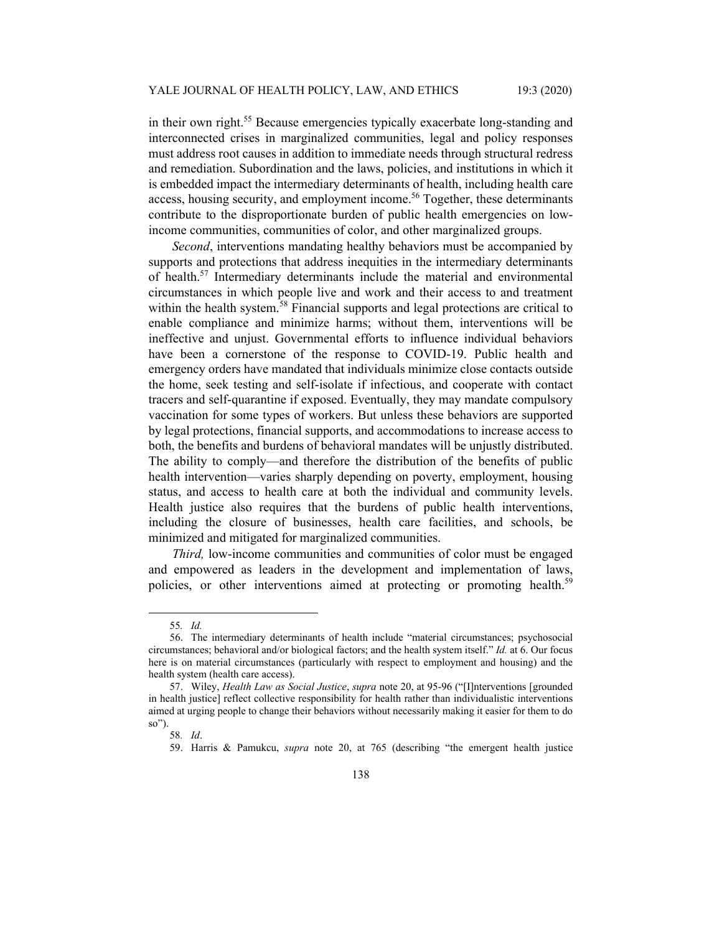in their own right.<sup>55</sup> Because emergencies typically exacerbate long-standing and interconnected crises in marginalized communities, legal and policy responses must address root causes in addition to immediate needs through structural redress and remediation. Subordination and the laws, policies, and institutions in which it is embedded impact the intermediary determinants of health, including health care access, housing security, and employment income.<sup>56</sup> Together, these determinants contribute to the disproportionate burden of public health emergencies on lowincome communities, communities of color, and other marginalized groups.

*Second*, interventions mandating healthy behaviors must be accompanied by supports and protections that address inequities in the intermediary determinants of health.<sup>57</sup> Intermediary determinants include the material and environmental circumstances in which people live and work and their access to and treatment within the health system.<sup>58</sup> Financial supports and legal protections are critical to enable compliance and minimize harms; without them, interventions will be ineffective and unjust. Governmental efforts to influence individual behaviors have been a cornerstone of the response to COVID-19. Public health and emergency orders have mandated that individuals minimize close contacts outside the home, seek testing and self-isolate if infectious, and cooperate with contact tracers and self-quarantine if exposed. Eventually, they may mandate compulsory vaccination for some types of workers. But unless these behaviors are supported by legal protections, financial supports, and accommodations to increase access to both, the benefits and burdens of behavioral mandates will be unjustly distributed. The ability to comply—and therefore the distribution of the benefits of public health intervention—varies sharply depending on poverty, employment, housing status, and access to health care at both the individual and community levels. Health justice also requires that the burdens of public health interventions, including the closure of businesses, health care facilities, and schools, be minimized and mitigated for marginalized communities.

*Third,* low-income communities and communities of color must be engaged and empowered as leaders in the development and implementation of laws, policies, or other interventions aimed at protecting or promoting health.<sup>59</sup>

<sup>55</sup>*. Id.*

 <sup>56.</sup> The intermediary determinants of health include "material circumstances; psychosocial circumstances; behavioral and/or biological factors; and the health system itself." *Id.* at 6. Our focus here is on material circumstances (particularly with respect to employment and housing) and the health system (health care access).

 <sup>57.</sup> Wiley, *Health Law as Social Justice*, *supra* note 20, at 95-96 ("[I]nterventions [grounded in health justice] reflect collective responsibility for health rather than individualistic interventions aimed at urging people to change their behaviors without necessarily making it easier for them to do so").

<sup>58</sup>*. Id*.

 <sup>59.</sup> Harris & Pamukcu, *supra* note 20, at 765 (describing "the emergent health justice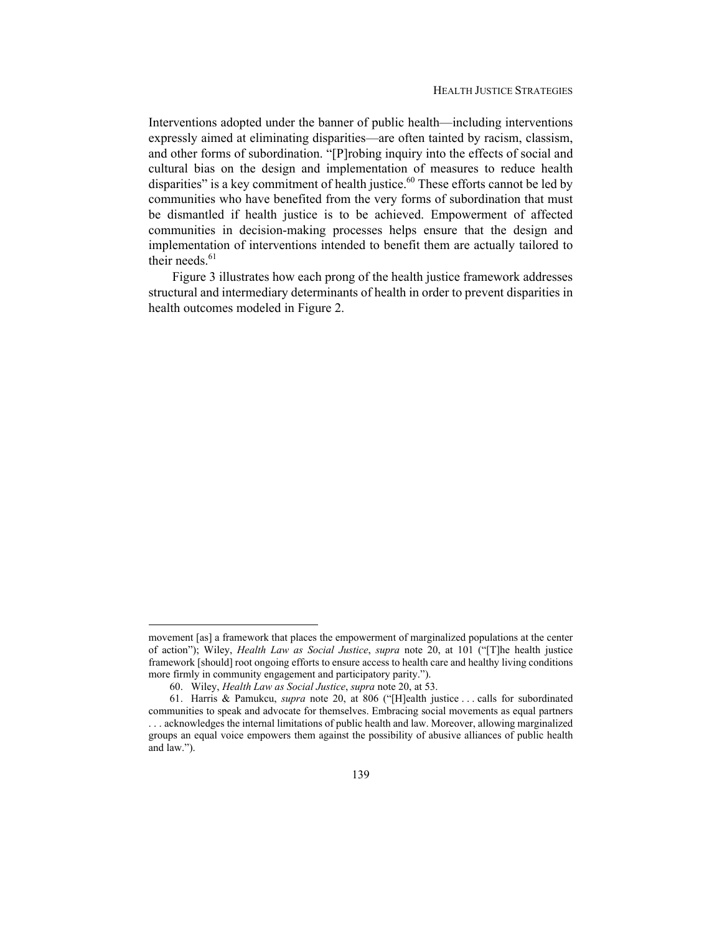Interventions adopted under the banner of public health—including interventions expressly aimed at eliminating disparities—are often tainted by racism, classism, and other forms of subordination. "[P]robing inquiry into the effects of social and cultural bias on the design and implementation of measures to reduce health disparities" is a key commitment of health justice. $60$  These efforts cannot be led by communities who have benefited from the very forms of subordination that must be dismantled if health justice is to be achieved. Empowerment of affected communities in decision-making processes helps ensure that the design and implementation of interventions intended to benefit them are actually tailored to their needs.<sup>61</sup>

Figure 3 illustrates how each prong of the health justice framework addresses structural and intermediary determinants of health in order to prevent disparities in health outcomes modeled in Figure 2.

movement [as] a framework that places the empowerment of marginalized populations at the center of action"); Wiley, *Health Law as Social Justice*, *supra* note 20, at 101 ("[T]he health justice framework [should] root ongoing efforts to ensure access to health care and healthy living conditions more firmly in community engagement and participatory parity.").

 <sup>60.</sup> Wiley, *Health Law as Social Justice*, *supra* note 20, at 53.

 <sup>61.</sup> Harris & Pamukcu, *supra* note 20, at 806 ("[H]ealth justice . . . calls for subordinated communities to speak and advocate for themselves. Embracing social movements as equal partners . . . acknowledges the internal limitations of public health and law. Moreover, allowing marginalized groups an equal voice empowers them against the possibility of abusive alliances of public health and law.").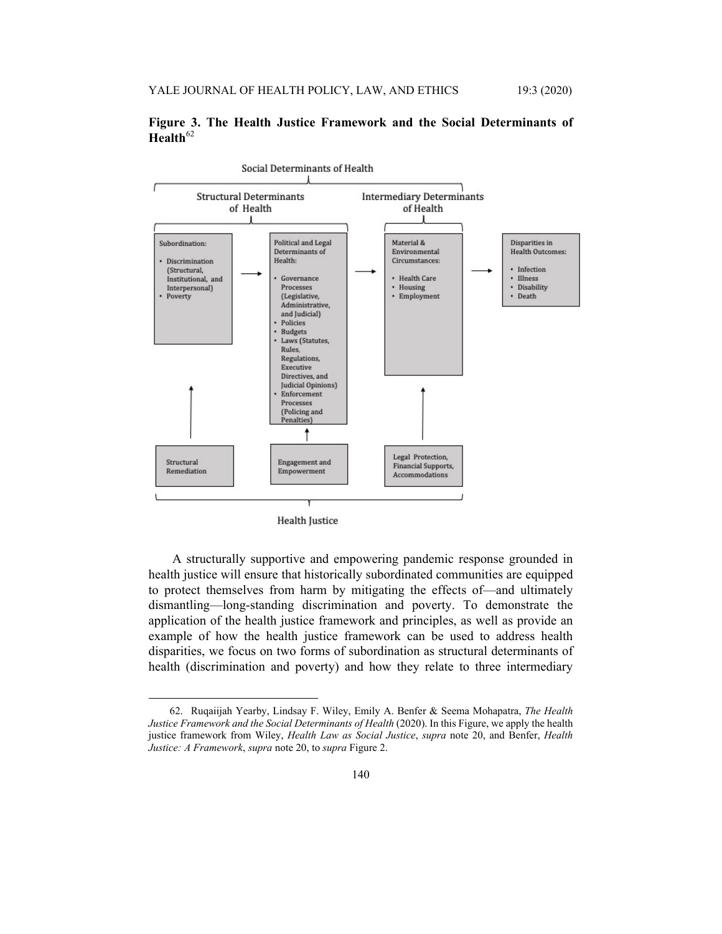



**Health Justice** 

A structurally supportive and empowering pandemic response grounded in health justice will ensure that historically subordinated communities are equipped to protect themselves from harm by mitigating the effects of—and ultimately dismantling—long-standing discrimination and poverty. To demonstrate the application of the health justice framework and principles, as well as provide an example of how the health justice framework can be used to address health disparities, we focus on two forms of subordination as structural determinants of health (discrimination and poverty) and how they relate to three intermediary

 <sup>62.</sup> Ruqaiijah Yearby, Lindsay F. Wiley, Emily A. Benfer & Seema Mohapatra, *The Health Justice Framework and the Social Determinants of Health* (2020). In this Figure, we apply the health justice framework from Wiley, *Health Law as Social Justice*, *supra* note 20, and Benfer, *Health Justice: A Framework*, *supra* note 20, to *supra* Figure 2.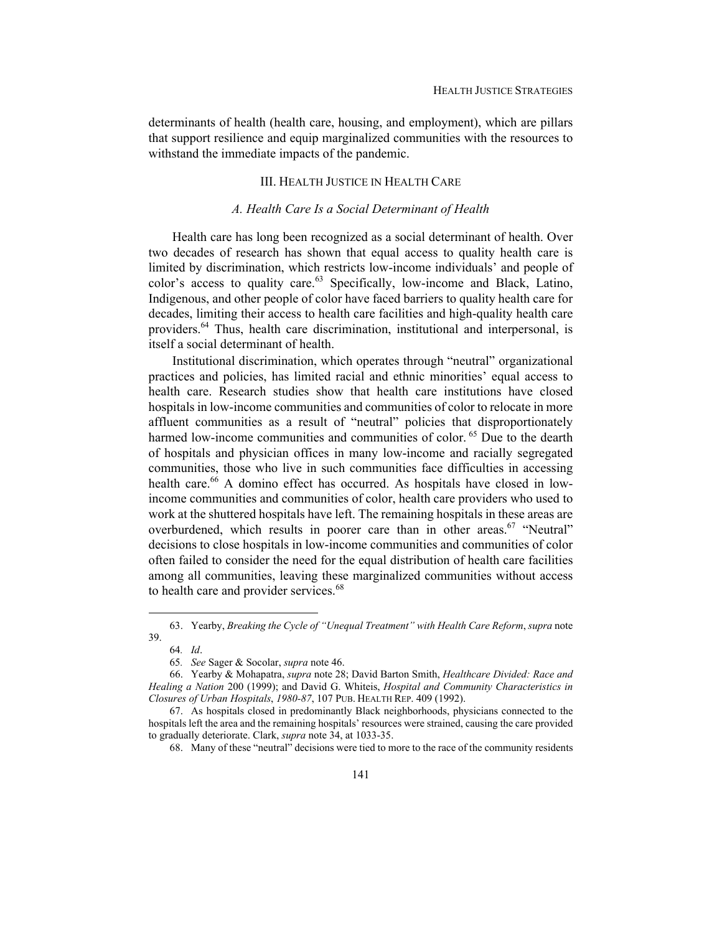determinants of health (health care, housing, and employment), which are pillars that support resilience and equip marginalized communities with the resources to withstand the immediate impacts of the pandemic.

# III. HEALTH JUSTICE IN HEALTH CARE

# *A. Health Care Is a Social Determinant of Health*

Health care has long been recognized as a social determinant of health. Over two decades of research has shown that equal access to quality health care is limited by discrimination, which restricts low-income individuals' and people of  $color's$  access to quality care.<sup>63</sup> Specifically, low-income and Black, Latino, Indigenous, and other people of color have faced barriers to quality health care for decades, limiting their access to health care facilities and high-quality health care providers.64 Thus, health care discrimination, institutional and interpersonal, is itself a social determinant of health.

Institutional discrimination, which operates through "neutral" organizational practices and policies, has limited racial and ethnic minorities' equal access to health care. Research studies show that health care institutions have closed hospitals in low-income communities and communities of color to relocate in more affluent communities as a result of "neutral" policies that disproportionately harmed low-income communities and communities of color. <sup>65</sup> Due to the dearth of hospitals and physician offices in many low-income and racially segregated communities, those who live in such communities face difficulties in accessing health care.<sup>66</sup> A domino effect has occurred. As hospitals have closed in lowincome communities and communities of color, health care providers who used to work at the shuttered hospitals have left. The remaining hospitals in these areas are overburdened, which results in poorer care than in other areas.<sup>67</sup> "Neutral" decisions to close hospitals in low-income communities and communities of color often failed to consider the need for the equal distribution of health care facilities among all communities, leaving these marginalized communities without access to health care and provider services.<sup>68</sup>

 <sup>63.</sup> Yearby, *Breaking the Cycle of "Unequal Treatment" with Health Care Reform*, *supra* note 39.

<sup>64</sup>*. Id*.

<sup>65</sup>*. See* Sager & Socolar, *supra* note 46.

 <sup>66.</sup> Yearby & Mohapatra, *supra* note 28; David Barton Smith, *Healthcare Divided: Race and Healing a Nation* 200 (1999); and David G. Whiteis, *Hospital and Community Characteristics in Closures of Urban Hospitals*, *1980-87*, 107 PUB. HEALTH REP. 409 (1992).

 <sup>67.</sup> As hospitals closed in predominantly Black neighborhoods, physicians connected to the hospitals left the area and the remaining hospitals' resources were strained, causing the care provided to gradually deteriorate. Clark, *supra* note 34, at 1033-35.

 <sup>68.</sup> Many of these "neutral" decisions were tied to more to the race of the community residents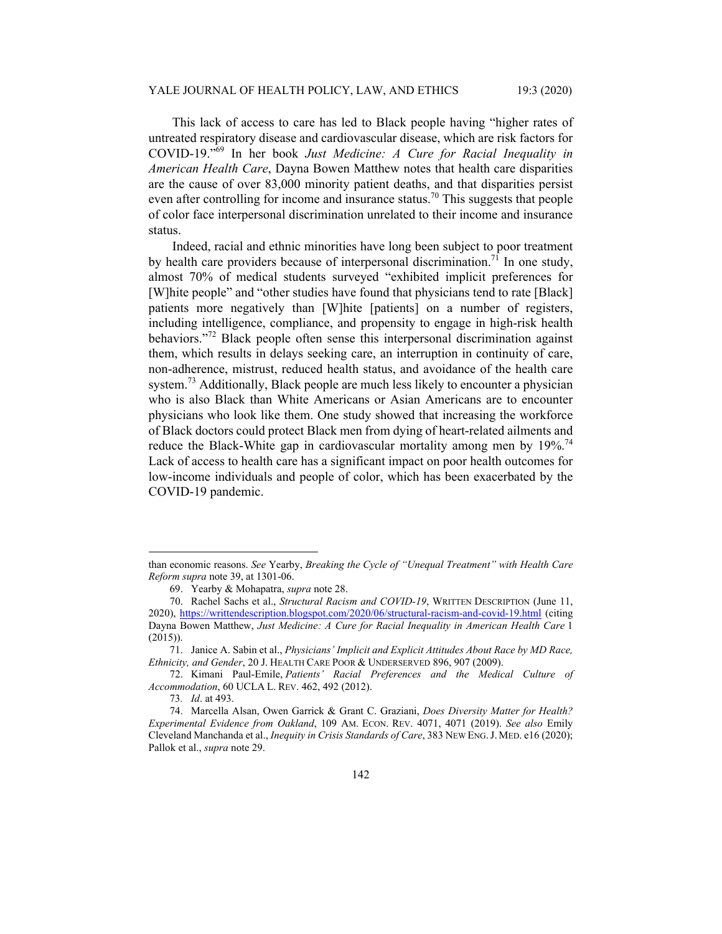This lack of access to care has led to Black people having "higher rates of untreated respiratory disease and cardiovascular disease, which are risk factors for COVID-19."69 In her book *Just Medicine: A Cure for Racial Inequality in American Health Care*, Dayna Bowen Matthew notes that health care disparities are the cause of over 83,000 minority patient deaths, and that disparities persist even after controlling for income and insurance status.<sup>70</sup> This suggests that people of color face interpersonal discrimination unrelated to their income and insurance status.

Indeed, racial and ethnic minorities have long been subject to poor treatment by health care providers because of interpersonal discrimination.<sup>71</sup> In one study, almost 70% of medical students surveyed "exhibited implicit preferences for [W]hite people" and "other studies have found that physicians tend to rate [Black] patients more negatively than [W]hite [patients] on a number of registers, including intelligence, compliance, and propensity to engage in high-risk health behaviors."<sup>72</sup> Black people often sense this interpersonal discrimination against them, which results in delays seeking care, an interruption in continuity of care, non-adherence, mistrust, reduced health status, and avoidance of the health care system.<sup>73</sup> Additionally, Black people are much less likely to encounter a physician who is also Black than White Americans or Asian Americans are to encounter physicians who look like them. One study showed that increasing the workforce of Black doctors could protect Black men from dying of heart-related ailments and reduce the Black-White gap in cardiovascular mortality among men by  $19\%$ <sup>74</sup> Lack of access to health care has a significant impact on poor health outcomes for low-income individuals and people of color, which has been exacerbated by the COVID-19 pandemic.

than economic reasons. *See* Yearby, *Breaking the Cycle of "Unequal Treatment" with Health Care Reform supra* note 39, at 1301-06.

 <sup>69.</sup> Yearby & Mohapatra, *supra* note 28.

 <sup>70.</sup> Rachel Sachs et al., *Structural Racism and COVID-19*, WRITTEN DESCRIPTION (June 11, 2020), https://writtendescription.blogspot.com/2020/06/structural-racism-and-covid-19.html (citing Dayna Bowen Matthew, *Just Medicine: A Cure for Racial Inequality in American Health Care* 1 (2015)).

 <sup>71.</sup> Janice A. Sabin et al., *Physicians' Implicit and Explicit Attitudes About Race by MD Race, Ethnicity, and Gender*, 20 J. HEALTH CARE POOR & UNDERSERVED 896, 907 (2009).

 <sup>72.</sup> Kimani Paul-Emile, *Patients' Racial Preferences and the Medical Culture of Accommodation*, 60 UCLA L. REV. 462, 492 (2012).

<sup>73</sup>*. Id*. at 493.

 <sup>74.</sup> Marcella Alsan, Owen Garrick & Grant C. Graziani, *Does Diversity Matter for Health? Experimental Evidence from Oakland*, 109 AM. ECON. REV. 4071, 4071 (2019). *See also* Emily Cleveland Manchanda et al., *Inequity in Crisis Standards of Care*, 383 NEW ENG.J. MED. e16 (2020); Pallok et al., *supra* note 29.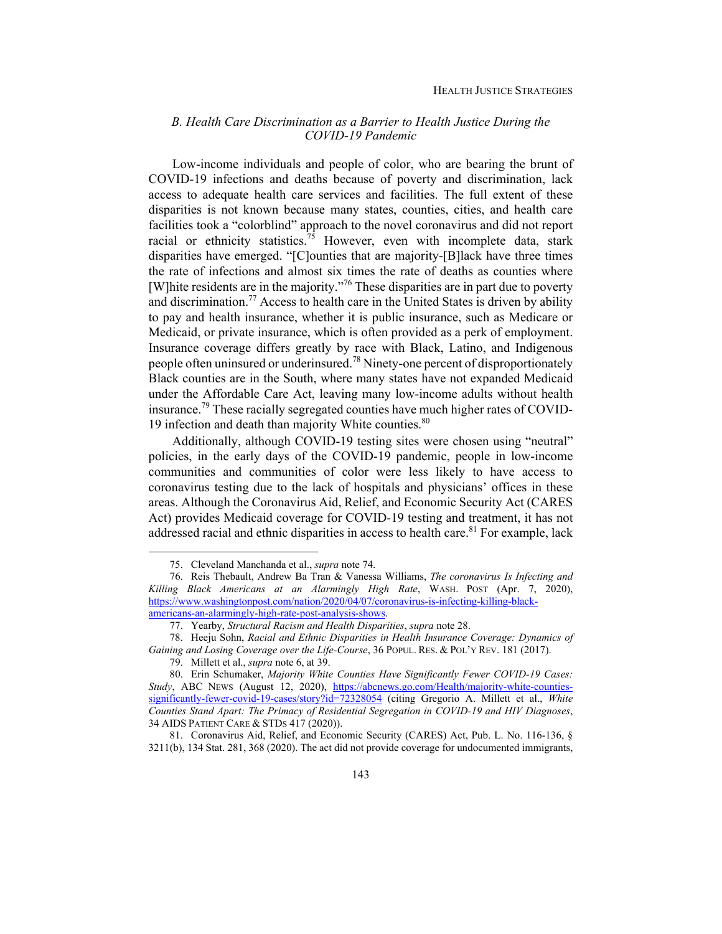# *B. Health Care Discrimination as a Barrier to Health Justice During the COVID-19 Pandemic*

Low-income individuals and people of color, who are bearing the brunt of COVID-19 infections and deaths because of poverty and discrimination, lack access to adequate health care services and facilities. The full extent of these disparities is not known because many states, counties, cities, and health care facilities took a "colorblind" approach to the novel coronavirus and did not report racial or ethnicity statistics.<sup>75</sup> However, even with incomplete data, stark disparities have emerged. "[C]ounties that are majority-[B]lack have three times the rate of infections and almost six times the rate of deaths as counties where [W] hite residents are in the majority."<sup>76</sup> These disparities are in part due to poverty and discrimination.<sup>77</sup> Access to health care in the United States is driven by ability to pay and health insurance, whether it is public insurance, such as Medicare or Medicaid, or private insurance, which is often provided as a perk of employment. Insurance coverage differs greatly by race with Black, Latino, and Indigenous people often uninsured or underinsured.<sup>78</sup> Ninety-one percent of disproportionately Black counties are in the South, where many states have not expanded Medicaid under the Affordable Care Act, leaving many low-income adults without health insurance.79 These racially segregated counties have much higher rates of COVID-19 infection and death than majority White counties. $80$ 

Additionally, although COVID-19 testing sites were chosen using "neutral" policies, in the early days of the COVID-19 pandemic, people in low-income communities and communities of color were less likely to have access to coronavirus testing due to the lack of hospitals and physicians' offices in these areas. Although the Coronavirus Aid, Relief, and Economic Security Act (CARES Act) provides Medicaid coverage for COVID-19 testing and treatment, it has not addressed racial and ethnic disparities in access to health care.<sup>81</sup> For example, lack

 <sup>75.</sup> Cleveland Manchanda et al., *supra* note 74.

 <sup>76.</sup> Reis Thebault, Andrew Ba Tran & Vanessa Williams, *The coronavirus Is Infecting and Killing Black Americans at an Alarmingly High Rate*, WASH. POST (Apr. 7, 2020), https://www.washingtonpost.com/nation/2020/04/07/coronavirus-is-infecting-killing-blackamericans-an-alarmingly-high-rate-post-analysis-shows.

 <sup>77.</sup> Yearby, *Structural Racism and Health Disparities*, *supra* note 28.

 <sup>78.</sup> Heeju Sohn, *Racial and Ethnic Disparities in Health Insurance Coverage: Dynamics of Gaining and Losing Coverage over the Life-Course*, 36 POPUL. RES. & POL'Y REV. 181 (2017).

 <sup>79.</sup> Millett et al., *supra* note 6, at 39.

 <sup>80.</sup> Erin Schumaker, *Majority White Counties Have Significantly Fewer COVID-19 Cases:*  Study, ABC NEWS (August 12, 2020), https://abcnews.go.com/Health/majority-white-countiessignificantly-fewer-covid-19-cases/story?id=72328054 (citing Gregorio A. Millett et al., *White Counties Stand Apart: The Primacy of Residential Segregation in COVID-19 and HIV Diagnoses*, 34 AIDS PATIENT CARE & STDS 417 (2020)).

 <sup>81.</sup> Coronavirus Aid, Relief, and Economic Security (CARES) Act, Pub. L. No. 116-136, § 3211(b), 134 Stat. 281, 368 (2020). The act did not provide coverage for undocumented immigrants,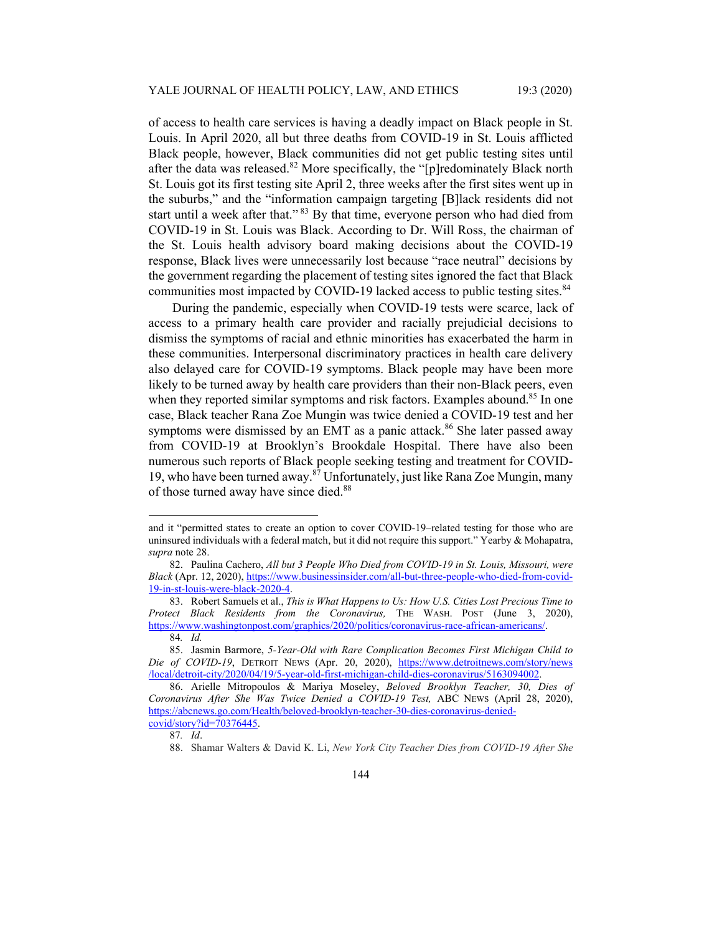of access to health care services is having a deadly impact on Black people in St. Louis. In April 2020, all but three deaths from COVID-19 in St. Louis afflicted Black people, however, Black communities did not get public testing sites until after the data was released.<sup>82</sup> More specifically, the "[p]redominately Black north St. Louis got its first testing site April 2, three weeks after the first sites went up in the suburbs," and the "information campaign targeting [B]lack residents did not start until a week after that." <sup>83</sup> By that time, everyone person who had died from COVID-19 in St. Louis was Black. According to Dr. Will Ross, the chairman of the St. Louis health advisory board making decisions about the COVID-19 response, Black lives were unnecessarily lost because "race neutral" decisions by the government regarding the placement of testing sites ignored the fact that Black communities most impacted by COVID-19 lacked access to public testing sites.<sup>84</sup>

During the pandemic, especially when COVID-19 tests were scarce, lack of access to a primary health care provider and racially prejudicial decisions to dismiss the symptoms of racial and ethnic minorities has exacerbated the harm in these communities. Interpersonal discriminatory practices in health care delivery also delayed care for COVID-19 symptoms. Black people may have been more likely to be turned away by health care providers than their non-Black peers, even when they reported similar symptoms and risk factors. Examples abound.<sup>85</sup> In one case, Black teacher Rana Zoe Mungin was twice denied a COVID-19 test and her symptoms were dismissed by an EMT as a panic attack.<sup>86</sup> She later passed away from COVID-19 at Brooklyn's Brookdale Hospital. There have also been numerous such reports of Black people seeking testing and treatment for COVID-19, who have been turned away.<sup>87</sup> Unfortunately, just like Rana Zoe Mungin, many of those turned away have since died.<sup>88</sup>

87*. Id*.

and it "permitted states to create an option to cover COVID-19–related testing for those who are uninsured individuals with a federal match, but it did not require this support." Yearby  $\&$  Mohapatra, *supra* note 28.

 <sup>82.</sup> Paulina Cachero, *All but 3 People Who Died from COVID-19 in St. Louis, Missouri, were Black* (Apr. 12, 2020), https://www.businessinsider.com/all-but-three-people-who-died-from-covid-19-in-st-louis-were-black-2020-4.

 <sup>83.</sup> Robert Samuels et al., *This is What Happens to Us: How U.S. Cities Lost Precious Time to Protect Black Residents from the Coronavirus,* THE WASH. POST (June 3, 2020), https://www.washingtonpost.com/graphics/2020/politics/coronavirus-race-african-americans/.

<sup>84</sup>*. Id.* 

 <sup>85.</sup> Jasmin Barmore, *5-Year-Old with Rare Complication Becomes First Michigan Child to Die of COVID-19*, DETROIT NEWS (Apr. 20, 2020), https://www.detroitnews.com/story/news /local/detroit-city/2020/04/19/5-year-old-first-michigan-child-dies-coronavirus/5163094002.

 <sup>86.</sup> Arielle Mitropoulos & Mariya Moseley, *Beloved Brooklyn Teacher, 30, Dies of Coronavirus After She Was Twice Denied a COVID-19 Test,* ABC NEWS (April 28, 2020), https://abcnews.go.com/Health/beloved-brooklyn-teacher-30-dies-coronavirus-deniedcovid/story?id=70376445.

<sup>88.</sup> Shamar Walters & David K. Li, *New York City Teacher Dies from COVID-19 After She*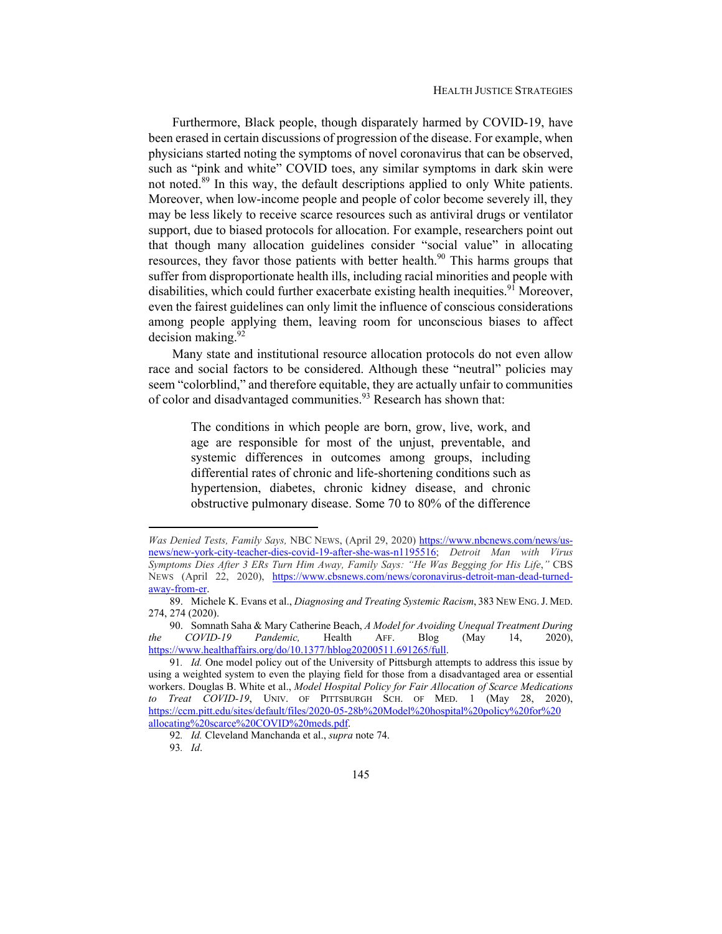Furthermore, Black people, though disparately harmed by COVID-19, have been erased in certain discussions of progression of the disease. For example, when physicians started noting the symptoms of novel coronavirus that can be observed, such as "pink and white" COVID toes, any similar symptoms in dark skin were not noted.<sup>89</sup> In this way, the default descriptions applied to only White patients. Moreover, when low-income people and people of color become severely ill, they may be less likely to receive scarce resources such as antiviral drugs or ventilator support, due to biased protocols for allocation. For example, researchers point out that though many allocation guidelines consider "social value" in allocating resources, they favor those patients with better health.<sup>90</sup> This harms groups that suffer from disproportionate health ills, including racial minorities and people with disabilities, which could further exacerbate existing health inequities.<sup>91</sup> Moreover, even the fairest guidelines can only limit the influence of conscious considerations among people applying them, leaving room for unconscious biases to affect decision making. $92$ 

Many state and institutional resource allocation protocols do not even allow race and social factors to be considered. Although these "neutral" policies may seem "colorblind," and therefore equitable, they are actually unfair to communities of color and disadvantaged communities.<sup>93</sup> Research has shown that:

The conditions in which people are born, grow, live, work, and age are responsible for most of the unjust, preventable, and systemic differences in outcomes among groups, including differential rates of chronic and life-shortening conditions such as hypertension, diabetes, chronic kidney disease, and chronic obstructive pulmonary disease. Some 70 to 80% of the difference

 90. Somnath Saha & Mary Catherine Beach, *A Model for Avoiding Unequal Treatment During the COVID-19 Pandemic,* Health AFF. Blog (May 14, 2020), https://www.healthaffairs.org/do/10.1377/hblog20200511.691265/full.

92*. Id.* Cleveland Manchanda et al., *supra* note 74. 93*. Id*.

*Was Denied Tests, Family Says,* NBC NEWS, (April 29, 2020) https://www.nbcnews.com/news/usnews/new-york-city-teacher-dies-covid-19-after-she-was-n1195516; *Detroit Man with Virus Symptoms Dies After 3 ERs Turn Him Away, Family Says: "He Was Begging for His Life*,*"* CBS NEWS (April 22, 2020), https://www.cbsnews.com/news/coronavirus-detroit-man-dead-turnedaway-from-er.

 <sup>89.</sup> Michele K. Evans et al., *Diagnosing and Treating Systemic Racism*, 383 NEW ENG.J. MED. 274, 274 (2020).

<sup>91</sup>*. Id.* One model policy out of the University of Pittsburgh attempts to address this issue by using a weighted system to even the playing field for those from a disadvantaged area or essential workers. Douglas B. White et al., *Model Hospital Policy for Fair Allocation of Scarce Medications to Treat COVID-19*, UNIV. OF PITTSBURGH SCH. OF MED. 1 (May 28, 2020), https://ccm.pitt.edu/sites/default/files/2020-05-28b%20Model%20hospital%20policy%20for%20 allocating%20scarce%20COVID%20meds.pdf.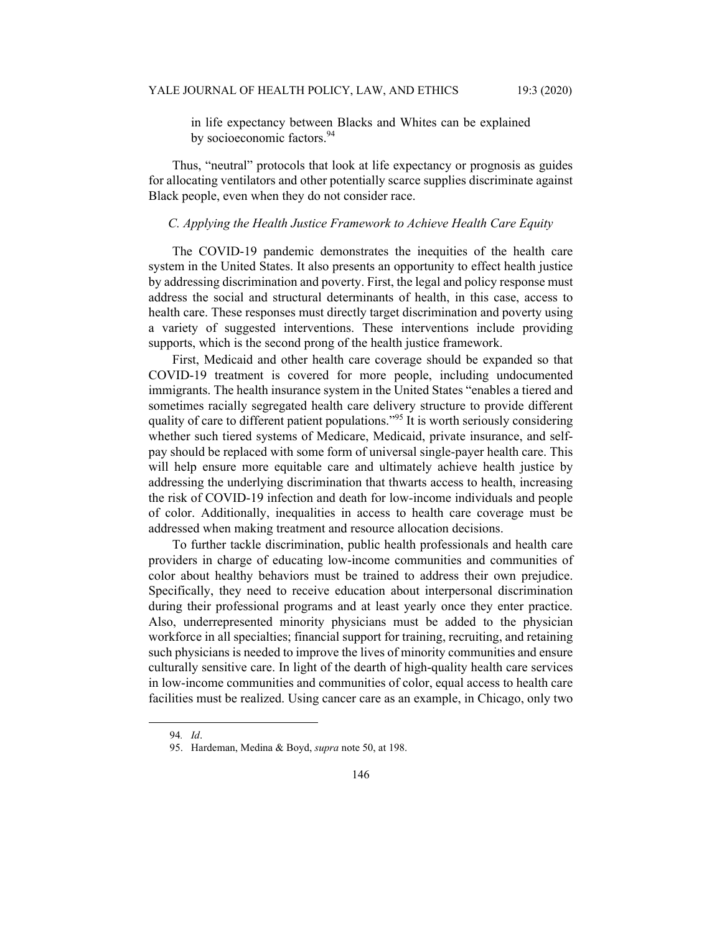in life expectancy between Blacks and Whites can be explained by socioeconomic factors.<sup>94</sup>

Thus, "neutral" protocols that look at life expectancy or prognosis as guides for allocating ventilators and other potentially scarce supplies discriminate against Black people, even when they do not consider race.

#### *C. Applying the Health Justice Framework to Achieve Health Care Equity*

The COVID-19 pandemic demonstrates the inequities of the health care system in the United States. It also presents an opportunity to effect health justice by addressing discrimination and poverty. First, the legal and policy response must address the social and structural determinants of health, in this case, access to health care. These responses must directly target discrimination and poverty using a variety of suggested interventions. These interventions include providing supports, which is the second prong of the health justice framework.

First, Medicaid and other health care coverage should be expanded so that COVID-19 treatment is covered for more people, including undocumented immigrants. The health insurance system in the United States "enables a tiered and sometimes racially segregated health care delivery structure to provide different quality of care to different patient populations."<sup>95</sup> It is worth seriously considering whether such tiered systems of Medicare, Medicaid, private insurance, and selfpay should be replaced with some form of universal single-payer health care. This will help ensure more equitable care and ultimately achieve health justice by addressing the underlying discrimination that thwarts access to health, increasing the risk of COVID-19 infection and death for low-income individuals and people of color. Additionally, inequalities in access to health care coverage must be addressed when making treatment and resource allocation decisions.

To further tackle discrimination, public health professionals and health care providers in charge of educating low-income communities and communities of color about healthy behaviors must be trained to address their own prejudice. Specifically, they need to receive education about interpersonal discrimination during their professional programs and at least yearly once they enter practice. Also, underrepresented minority physicians must be added to the physician workforce in all specialties; financial support for training, recruiting, and retaining such physicians is needed to improve the lives of minority communities and ensure culturally sensitive care. In light of the dearth of high-quality health care services in low-income communities and communities of color, equal access to health care facilities must be realized. Using cancer care as an example, in Chicago, only two

<sup>94</sup>*. Id*.

 <sup>95.</sup> Hardeman, Medina & Boyd, *supra* note 50, at 198.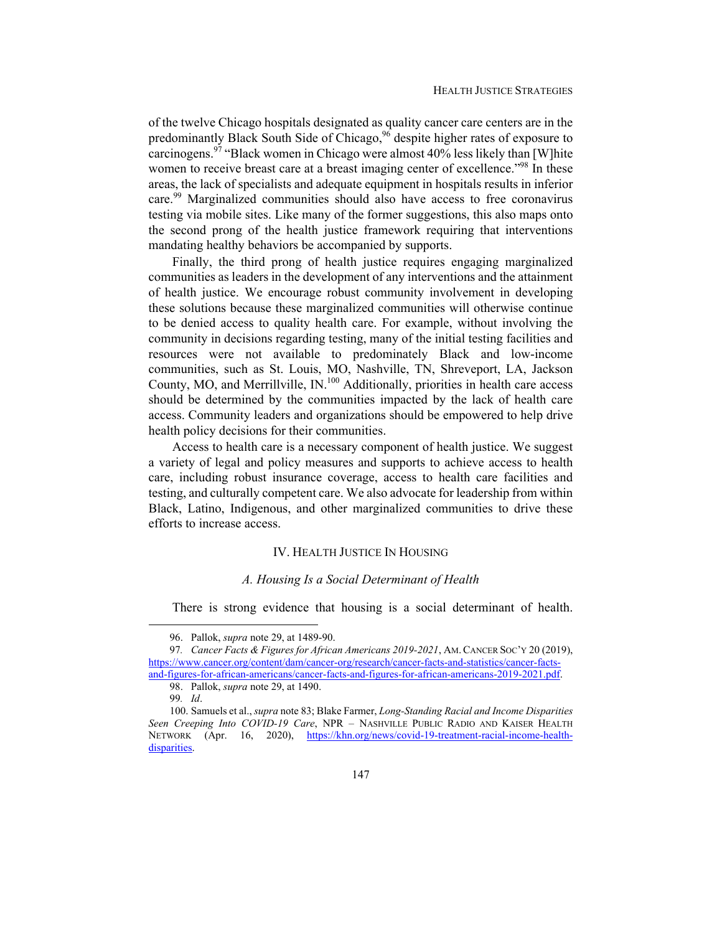of the twelve Chicago hospitals designated as quality cancer care centers are in the predominantly Black South Side of Chicago,<sup>96</sup> despite higher rates of exposure to carcinogens.97 "Black women in Chicago were almost 40% less likely than [W]hite women to receive breast care at a breast imaging center of excellence.<sup>"98</sup> In these areas, the lack of specialists and adequate equipment in hospitals results in inferior care.<sup>99</sup> Marginalized communities should also have access to free coronavirus testing via mobile sites. Like many of the former suggestions, this also maps onto the second prong of the health justice framework requiring that interventions mandating healthy behaviors be accompanied by supports.

Finally, the third prong of health justice requires engaging marginalized communities as leaders in the development of any interventions and the attainment of health justice. We encourage robust community involvement in developing these solutions because these marginalized communities will otherwise continue to be denied access to quality health care. For example, without involving the community in decisions regarding testing, many of the initial testing facilities and resources were not available to predominately Black and low-income communities, such as St. Louis, MO, Nashville, TN, Shreveport, LA, Jackson County, MO, and Merrillville, IN.100 Additionally, priorities in health care access should be determined by the communities impacted by the lack of health care access. Community leaders and organizations should be empowered to help drive health policy decisions for their communities.

Access to health care is a necessary component of health justice. We suggest a variety of legal and policy measures and supports to achieve access to health care, including robust insurance coverage, access to health care facilities and testing, and culturally competent care. We also advocate for leadership from within Black, Latino, Indigenous, and other marginalized communities to drive these efforts to increase access.

# IV. HEALTH JUSTICE IN HOUSING

#### *A. Housing Is a Social Determinant of Health*

There is strong evidence that housing is a social determinant of health.

 <sup>96.</sup> Pallok, *supra* note 29, at 1489-90.

<sup>97</sup>*. Cancer Facts & Figures for African Americans 2019-2021*, AM. CANCER SOC'Y 20 (2019), https://www.cancer.org/content/dam/cancer-org/research/cancer-facts-and-statistics/cancer-factsand-figures-for-african-americans/cancer-facts-and-figures-for-african-americans-2019-2021.pdf.

 <sup>98.</sup> Pallok, *supra* note 29, at 1490.

<sup>99</sup>*. Id*.

 <sup>100.</sup> Samuels et al., *supra* note 83; Blake Farmer, *Long-Standing Racial and Income Disparities Seen Creeping Into COVID-19 Care*, NPR – NASHVILLE PUBLIC RADIO AND KAISER HEALTH NETWORK (Apr. 16, 2020), https://khn.org/news/covid-19-treatment-racial-income-healthdisparities.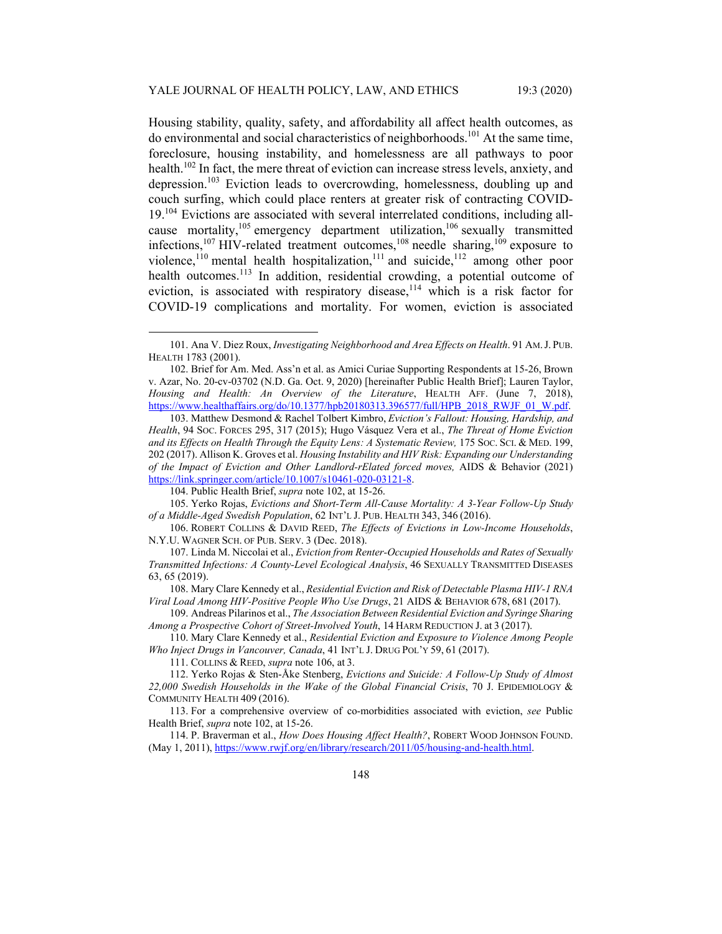Housing stability, quality, safety, and affordability all affect health outcomes, as do environmental and social characteristics of neighborhoods.<sup>101</sup> At the same time, foreclosure, housing instability, and homelessness are all pathways to poor health.<sup>102</sup> In fact, the mere threat of eviction can increase stress levels, anxiety, and depression.103 Eviction leads to overcrowding, homelessness, doubling up and couch surfing, which could place renters at greater risk of contracting COVID-19.<sup>104</sup> Evictions are associated with several interrelated conditions, including allcause mortality,<sup>105</sup> emergency department utilization,<sup>106</sup> sexually transmitted infections,<sup>107</sup> HIV-related treatment outcomes,<sup>108</sup> needle sharing,<sup>109</sup> exposure to violence,<sup>110</sup> mental health hospitalization,<sup>111</sup> and suicide,<sup>112</sup> among other poor health outcomes.<sup>113</sup> In addition, residential crowding, a potential outcome of eviction, is associated with respiratory disease,  $114$  which is a risk factor for COVID-19 complications and mortality. For women, eviction is associated

 103. Matthew Desmond & Rachel Tolbert Kimbro, *Eviction's Fallout: Housing, Hardship, and Health*, 94 SOC. FORCES 295, 317 (2015); Hugo Vásquez Vera et al., *The Threat of Home Eviction and its Effects on Health Through the Equity Lens: A Systematic Review,* 175 SOC. SCI. & MED. 199, 202 (2017). Allison K. Groves et al. *Housing Instability and HIV Risk: Expanding our Understanding of the Impact of Eviction and Other Landlord-rElated forced moves,* AIDS & Behavior (2021) https://link.springer.com/article/10.1007/s10461-020-03121-8.

104. Public Health Brief, *supra* note 102, at 15-26.

 105. Yerko Rojas, *Evictions and Short-Term All-Cause Mortality: A 3-Year Follow-Up Study of a Middle-Aged Swedish Population*, 62 INT'L J. PUB. HEALTH 343, 346 (2016).

 106. ROBERT COLLINS & DAVID REED, *The Effects of Evictions in Low-Income Households*, N.Y.U. WAGNER SCH. OF PUB. SERV. 3 (Dec. 2018).

 107. Linda M. Niccolai et al., *Eviction from Renter-Occupied Households and Rates of Sexually Transmitted Infections: A County-Level Ecological Analysis*, 46 SEXUALLY TRANSMITTED DISEASES 63, 65 (2019).

 108. Mary Clare Kennedy et al., *Residential Eviction and Risk of Detectable Plasma HIV-1 RNA Viral Load Among HIV-Positive People Who Use Drugs*, 21 AIDS & BEHAVIOR 678, 681 (2017).

 109. Andreas Pilarinos et al., *The Association Between Residential Eviction and Syringe Sharing Among a Prospective Cohort of Street-Involved Youth*, 14 HARM REDUCTION J. at 3 (2017).

 110. Mary Clare Kennedy et al., *Residential Eviction and Exposure to Violence Among People Who Inject Drugs in Vancouver, Canada*, 41 INT'L J. DRUG POL'Y 59, 61 (2017).

111. COLLINS & REED, *supra* note 106, at 3.

 113. For a comprehensive overview of co-morbidities associated with eviction, *see* Public Health Brief, *supra* note 102, at 15-26.

 114. P. Braverman et al., *How Does Housing Affect Health?*, ROBERT WOOD JOHNSON FOUND. (May 1, 2011), https://www.rwjf.org/en/library/research/2011/05/housing-and-health.html.

 <sup>101.</sup> Ana V. Diez Roux, *Investigating Neighborhood and Area Effects on Health*. 91 AM.J. PUB. HEALTH 1783 (2001).

 <sup>102.</sup> Brief for Am. Med. Ass'n et al. as Amici Curiae Supporting Respondents at 15-26, Brown v. Azar, No. 20-cv-03702 (N.D. Ga. Oct. 9, 2020) [hereinafter Public Health Brief]; Lauren Taylor, *Housing and Health: An Overview of the Literature*, HEALTH AFF. (June 7, 2018), https://www.healthaffairs.org/do/10.1377/hpb20180313.396577/full/HPB\_2018\_RWJF\_01\_W.pdf.

 <sup>112.</sup> Yerko Rojas & Sten-Åke Stenberg, *Evictions and Suicide: A Follow-Up Study of Almost 22,000 Swedish Households in the Wake of the Global Financial Crisis*, 70 J. EPIDEMIOLOGY & COMMUNITY HEALTH 409 (2016).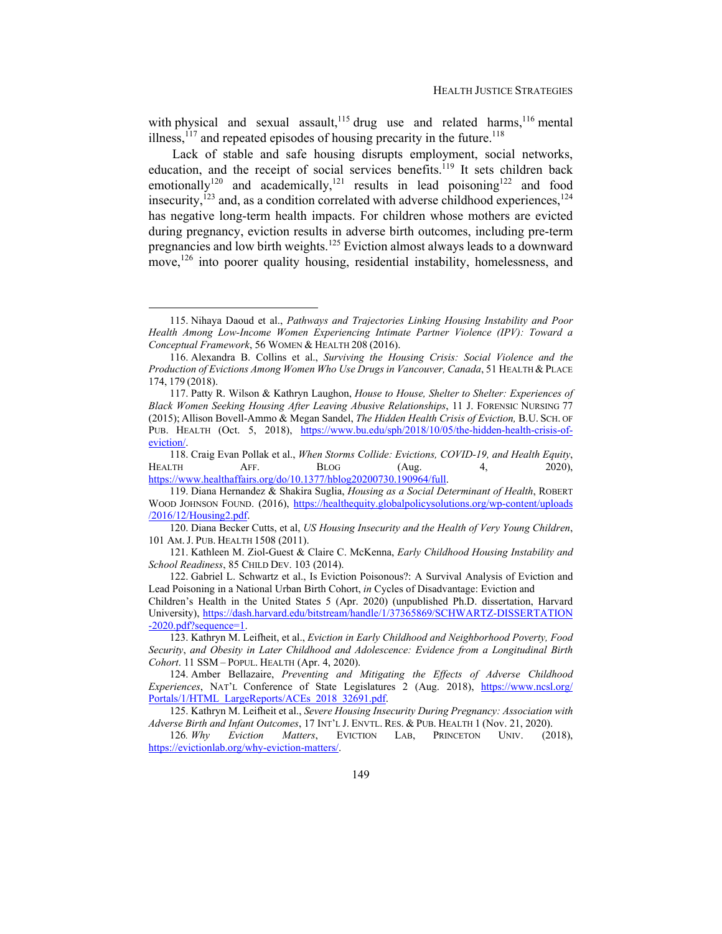with physical and sexual assault,<sup>115</sup> drug use and related harms,<sup>116</sup> mental illness,<sup>117</sup> and repeated episodes of housing precarity in the future.<sup>118</sup>

Lack of stable and safe housing disrupts employment, social networks, education, and the receipt of social services benefits.<sup>119</sup> It sets children back emotionally<sup>120</sup> and academically,<sup>121</sup> results in lead poisoning<sup>122</sup> and food insecurity,<sup>123</sup> and, as a condition correlated with adverse childhood experiences,<sup>124</sup> has negative long-term health impacts. For children whose mothers are evicted during pregnancy, eviction results in adverse birth outcomes, including pre-term pregnancies and low birth weights.<sup>125</sup> Eviction almost always leads to a downward move,<sup>126</sup> into poorer quality housing, residential instability, homelessness, and

 <sup>115.</sup> Nihaya Daoud et al., *Pathways and Trajectories Linking Housing Instability and Poor Health Among Low-Income Women Experiencing Intimate Partner Violence (IPV): Toward a Conceptual Framework*, 56 WOMEN & HEALTH 208 (2016).

 <sup>116.</sup> Alexandra B. Collins et al., *Surviving the Housing Crisis: Social Violence and the Production of Evictions Among Women Who Use Drugs in Vancouver, Canada*, 51 HEALTH & PLACE 174, 179 (2018).

 <sup>117.</sup> Patty R. Wilson & Kathryn Laughon, *House to House, Shelter to Shelter: Experiences of Black Women Seeking Housing After Leaving Abusive Relationships*, 11 J. FORENSIC NURSING 77 (2015); Allison Bovell-Ammo & Megan Sandel, *The Hidden Health Crisis of Eviction,* B.U. SCH. OF PUB. HEALTH (Oct. 5, 2018), https://www.bu.edu/sph/2018/10/05/the-hidden-health-crisis-ofeviction/.

 <sup>118.</sup> Craig Evan Pollak et al., *When Storms Collide: Evictions, COVID-19, and Health Equity*, HEALTH AFF. BLOG (Aug. 4, 2020), https://www.healthaffairs.org/do/10.1377/hblog20200730.190964/full.

 <sup>119.</sup> Diana Hernandez & Shakira Suglia, *Housing as a Social Determinant of Health*, ROBERT WOOD JOHNSON FOUND. (2016), https://healthequity.globalpolicysolutions.org/wp-content/uploads /2016/12/Housing2.pdf.

 <sup>120.</sup> Diana Becker Cutts, et al, *US Housing Insecurity and the Health of Very Young Children*, 101 AM. J. PUB. HEALTH 1508 (2011).

 <sup>121.</sup> Kathleen M. Ziol-Guest & Claire C. McKenna, *Early Childhood Housing Instability and School Readiness*, 85 CHILD DEV. 103 (2014).

 <sup>122.</sup> Gabriel L. Schwartz et al., Is Eviction Poisonous?: A Survival Analysis of Eviction and Lead Poisoning in a National Urban Birth Cohort, *in* Cycles of Disadvantage: Eviction and Children's Health in the United States 5 (Apr. 2020) (unpublished Ph.D. dissertation, Harvard

University), https://dash.harvard.edu/bitstream/handle/1/37365869/SCHWARTZ-DISSERTATION -2020.pdf?sequence=1.

 <sup>123.</sup> Kathryn M. Leifheit, et al., *Eviction in Early Childhood and Neighborhood Poverty, Food Security*, *and Obesity in Later Childhood and Adolescence: Evidence from a Longitudinal Birth Cohort*. 11 SSM – POPUL. HEALTH (Apr. 4, 2020).

 <sup>124.</sup> Amber Bellazaire, *Preventing and Mitigating the Effects of Adverse Childhood Experiences*, NAT'L Conference of State Legislatures 2 (Aug. 2018), https://www.ncsl.org/ Portals/1/HTML\_LargeReports/ACEs\_2018\_32691.pdf.

 <sup>125.</sup> Kathryn M. Leifheit et al., *Severe Housing Insecurity During Pregnancy: Association with Adverse Birth and Infant Outcomes*, 17 INT'L J. ENVTL. RES. & PUB. HEALTH 1 (Nov. 21, 2020).

<sup>126</sup>*. Why Eviction Matters*, EVICTION LAB, PRINCETON UNIV. (2018), https://evictionlab.org/why-eviction-matters/.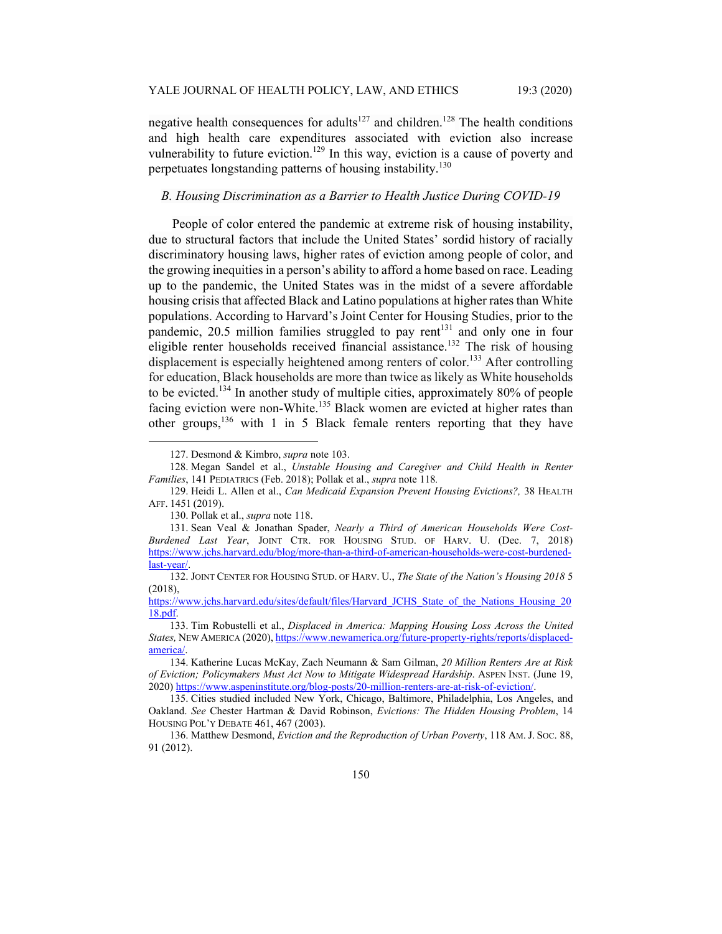negative health consequences for adults<sup>127</sup> and children.<sup>128</sup> The health conditions and high health care expenditures associated with eviction also increase vulnerability to future eviction.<sup>129</sup> In this way, eviction is a cause of poverty and perpetuates longstanding patterns of housing instability.<sup>130</sup>

## *B. Housing Discrimination as a Barrier to Health Justice During COVID-19*

People of color entered the pandemic at extreme risk of housing instability, due to structural factors that include the United States' sordid history of racially discriminatory housing laws, higher rates of eviction among people of color, and the growing inequities in a person's ability to afford a home based on race. Leading up to the pandemic, the United States was in the midst of a severe affordable housing crisis that affected Black and Latino populations at higher rates than White populations. According to Harvard's Joint Center for Housing Studies, prior to the pandemic,  $20.5$  million families struggled to pay rent<sup>131</sup> and only one in four eligible renter households received financial assistance.<sup>132</sup> The risk of housing displacement is especially heightened among renters of color.<sup>133</sup> After controlling for education, Black households are more than twice as likely as White households to be evicted.<sup>134</sup> In another study of multiple cities, approximately 80% of people facing eviction were non-White.<sup>135</sup> Black women are evicted at higher rates than other groups,<sup>136</sup> with 1 in 5 Black female renters reporting that they have

 <sup>127.</sup> Desmond & Kimbro, *supra* note 103.

 <sup>128.</sup> Megan Sandel et al., *Unstable Housing and Caregiver and Child Health in Renter Families*, 141 PEDIATRICS (Feb. 2018); Pollak et al., *supra* note 118*.*

 <sup>129.</sup> Heidi L. Allen et al., *Can Medicaid Expansion Prevent Housing Evictions?,* 38 HEALTH AFF. 1451 (2019).

 <sup>130.</sup> Pollak et al., *supra* note 118.

 <sup>131.</sup> Sean Veal & Jonathan Spader, *Nearly a Third of American Households Were Cost-Burdened Last Year*, JOINT CTR. FOR HOUSING STUD. OF HARV. U. (Dec. 7, 2018) https://www.jchs.harvard.edu/blog/more-than-a-third-of-american-households-were-cost-burdenedlast-year/.

 <sup>132.</sup> JOINT CENTER FOR HOUSING STUD. OF HARV. U., *The State of the Nation's Housing 2018* 5 (2018),

https://www.jchs.harvard.edu/sites/default/files/Harvard\_JCHS\_State\_of\_the\_Nations\_Housing\_20 18.pdf.

 <sup>133.</sup> Tim Robustelli et al., *Displaced in America: Mapping Housing Loss Across the United States,* NEW AMERICA (2020), https://www.newamerica.org/future-property-rights/reports/displacedamerica/.

 <sup>134.</sup> Katherine Lucas McKay, Zach Neumann & Sam Gilman, *20 Million Renters Are at Risk of Eviction; Policymakers Must Act Now to Mitigate Widespread Hardship*. ASPEN INST. (June 19, 2020) https://www.aspeninstitute.org/blog-posts/20-million-renters-are-at-risk-of-eviction/.

 <sup>135.</sup> Cities studied included New York, Chicago, Baltimore, Philadelphia, Los Angeles, and Oakland. *See* Chester Hartman & David Robinson, *Evictions: The Hidden Housing Problem*, 14 HOUSING POL'Y DEBATE 461, 467 (2003).

 <sup>136.</sup> Matthew Desmond, *Eviction and the Reproduction of Urban Poverty*, 118 AM. J. SOC. 88, 91 (2012).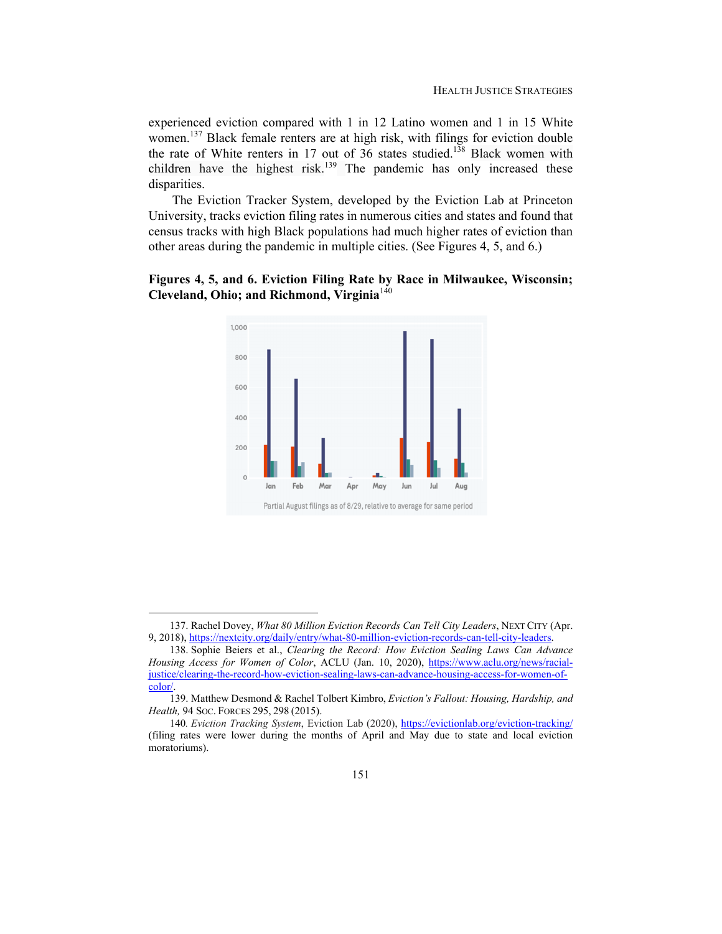experienced eviction compared with 1 in 12 Latino women and 1 in 15 White women.<sup>137</sup> Black female renters are at high risk, with filings for eviction double the rate of White renters in 17 out of 36 states studied.<sup>138</sup> Black women with children have the highest risk.<sup>139</sup> The pandemic has only increased these disparities.

The Eviction Tracker System, developed by the Eviction Lab at Princeton University, tracks eviction filing rates in numerous cities and states and found that census tracks with high Black populations had much higher rates of eviction than other areas during the pandemic in multiple cities. (See Figures 4, 5, and 6.)





 <sup>137.</sup> Rachel Dovey, *What 80 Million Eviction Records Can Tell City Leaders*, NEXT CITY (Apr. 9, 2018), https://nextcity.org/daily/entry/what-80-million-eviction-records-can-tell-city-leaders.

 <sup>138.</sup> Sophie Beiers et al., *Clearing the Record: How Eviction Sealing Laws Can Advance Housing Access for Women of Color*, ACLU (Jan. 10, 2020), https://www.aclu.org/news/racialjustice/clearing-the-record-how-eviction-sealing-laws-can-advance-housing-access-for-women-ofcolor/.

 <sup>139.</sup> Matthew Desmond & Rachel Tolbert Kimbro, *Eviction's Fallout: Housing, Hardship, and Health,* 94 SOC. FORCES 295, 298 (2015).

<sup>140</sup>*. Eviction Tracking System*, Eviction Lab (2020), https://evictionlab.org/eviction-tracking/ (filing rates were lower during the months of April and May due to state and local eviction moratoriums).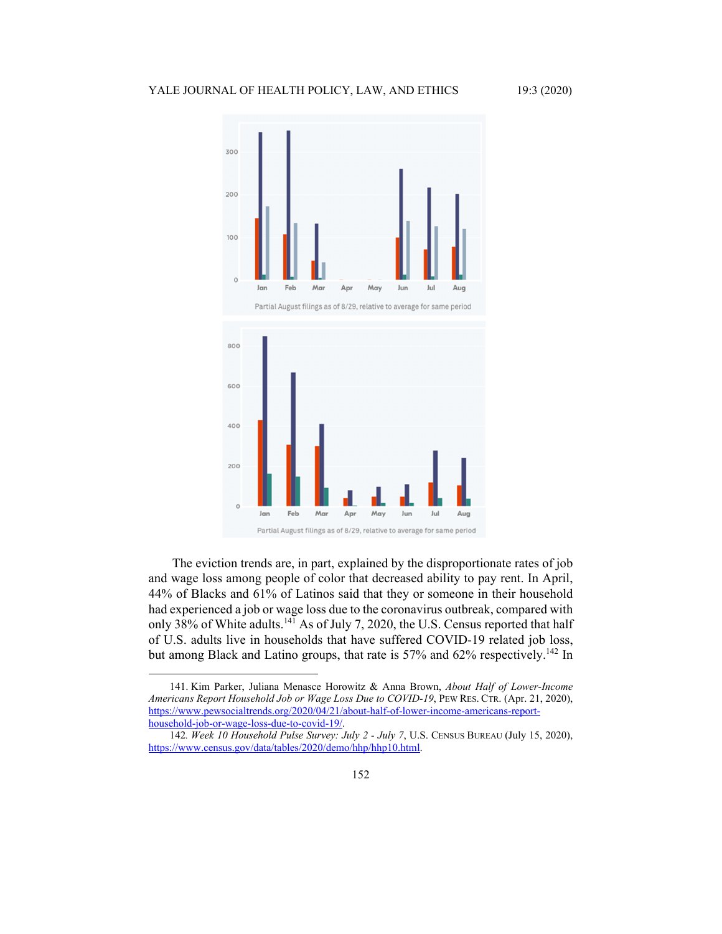## YALE JOURNAL OF HEALTH POLICY, LAW, AND ETHICS 19:3 (2020)



The eviction trends are, in part, explained by the disproportionate rates of job and wage loss among people of color that decreased ability to pay rent. In April, 44% of Blacks and 61% of Latinos said that they or someone in their household had experienced a job or wage loss due to the coronavirus outbreak, compared with only 38% of White adults.<sup>141</sup> As of July 7, 2020, the U.S. Census reported that half of U.S. adults live in households that have suffered COVID-19 related job loss, but among Black and Latino groups, that rate is 57% and 62% respectively.<sup>142</sup> In

 <sup>141.</sup> Kim Parker, Juliana Menasce Horowitz & Anna Brown, *About Half of Lower-Income Americans Report Household Job or Wage Loss Due to COVID-19*, PEW RES. CTR. (Apr. 21, 2020), https://www.pewsocialtrends.org/2020/04/21/about-half-of-lower-income-americans-reporthousehold-job-or-wage-loss-due-to-covid-19/.

<sup>142</sup>*. Week 10 Household Pulse Survey: July 2 - July 7*, U.S. CENSUS BUREAU (July 15, 2020), https://www.census.gov/data/tables/2020/demo/hhp/hhp10.html.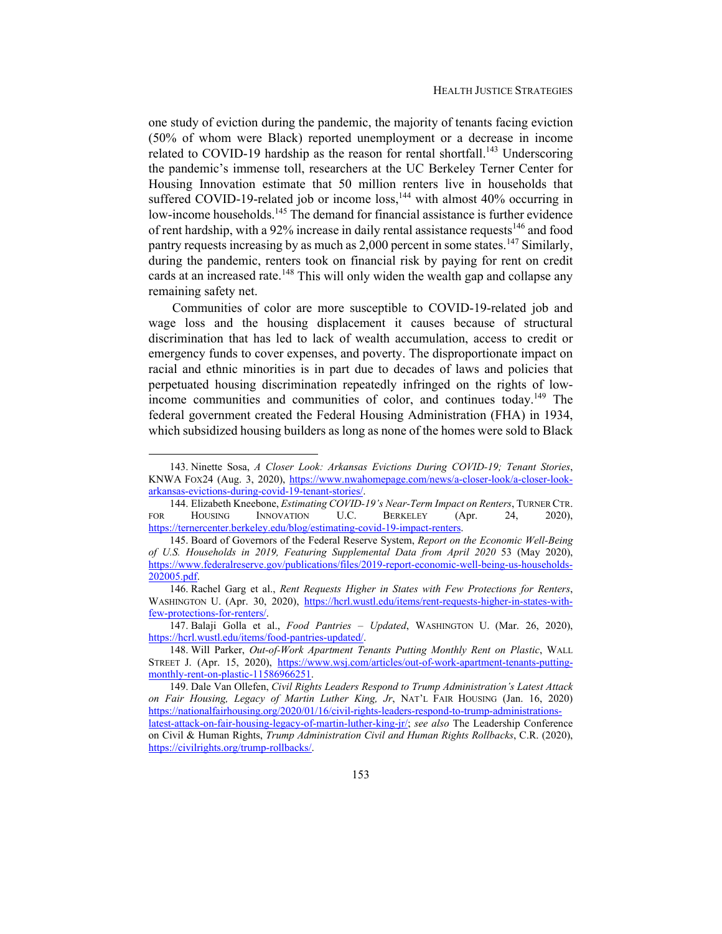one study of eviction during the pandemic, the majority of tenants facing eviction (50% of whom were Black) reported unemployment or a decrease in income related to COVID-19 hardship as the reason for rental shortfall.<sup>143</sup> Underscoring the pandemic's immense toll, researchers at the UC Berkeley Terner Center for Housing Innovation estimate that 50 million renters live in households that suffered COVID-19-related job or income  $loss<sub>1</sub><sup>144</sup>$  with almost 40% occurring in low-income households.<sup>145</sup> The demand for financial assistance is further evidence of rent hardship, with a 92% increase in daily rental assistance requests<sup>146</sup> and food pantry requests increasing by as much as  $2,000$  percent in some states.<sup>147</sup> Similarly, during the pandemic, renters took on financial risk by paying for rent on credit cards at an increased rate.<sup>148</sup> This will only widen the wealth gap and collapse any remaining safety net.

Communities of color are more susceptible to COVID-19-related job and wage loss and the housing displacement it causes because of structural discrimination that has led to lack of wealth accumulation, access to credit or emergency funds to cover expenses, and poverty. The disproportionate impact on racial and ethnic minorities is in part due to decades of laws and policies that perpetuated housing discrimination repeatedly infringed on the rights of lowincome communities and communities of color, and continues today.<sup>149</sup> The federal government created the Federal Housing Administration (FHA) in 1934, which subsidized housing builders as long as none of the homes were sold to Black

 <sup>143.</sup> Ninette Sosa, *A Closer Look: Arkansas Evictions During COVID-19; Tenant Stories*, KNWA FOX24 (Aug. 3, 2020), https://www.nwahomepage.com/news/a-closer-look/a-closer-lookarkansas-evictions-during-covid-19-tenant-stories/.

 <sup>144.</sup> Elizabeth Kneebone, *Estimating COVID-19's Near-Term Impact on Renters*, TURNER CTR. FOR HOUSING INNOVATION U.C. BERKELEY (Apr. 24, 2020), https://ternercenter.berkeley.edu/blog/estimating-covid-19-impact-renters.

 <sup>145.</sup> Board of Governors of the Federal Reserve System, *Report on the Economic Well-Being of U.S. Households in 2019, Featuring Supplemental Data from April 2020* 53 (May 2020), https://www.federalreserve.gov/publications/files/2019-report-economic-well-being-us-households-202005.pdf.

 <sup>146.</sup> Rachel Garg et al., *Rent Requests Higher in States with Few Protections for Renters*, WASHINGTON U. (Apr. 30, 2020), https://hcrl.wustl.edu/items/rent-requests-higher-in-states-withfew-protections-for-renters/.

 <sup>147.</sup> Balaji Golla et al., *Food Pantries – Updated*, WASHINGTON U. (Mar. 26, 2020), https://hcrl.wustl.edu/items/food-pantries-updated/.

 <sup>148.</sup> Will Parker, *Out-of-Work Apartment Tenants Putting Monthly Rent on Plastic*, WALL STREET J. (Apr. 15, 2020), https://www.wsj.com/articles/out-of-work-apartment-tenants-puttingmonthly-rent-on-plastic-11586966251.

 <sup>149.</sup> Dale Van Ollefen, *Civil Rights Leaders Respond to Trump Administration's Latest Attack on Fair Housing, Legacy of Martin Luther King, Jr*, NAT'L FAIR HOUSING (Jan. 16, 2020) https://nationalfairhousing.org/2020/01/16/civil-rights-leaders-respond-to-trump-administrationslatest-attack-on-fair-housing-legacy-of-martin-luther-king-jr/; *see also* The Leadership Conference on Civil & Human Rights, *Trump Administration Civil and Human Rights Rollbacks*, C.R. (2020), https://civilrights.org/trump-rollbacks/.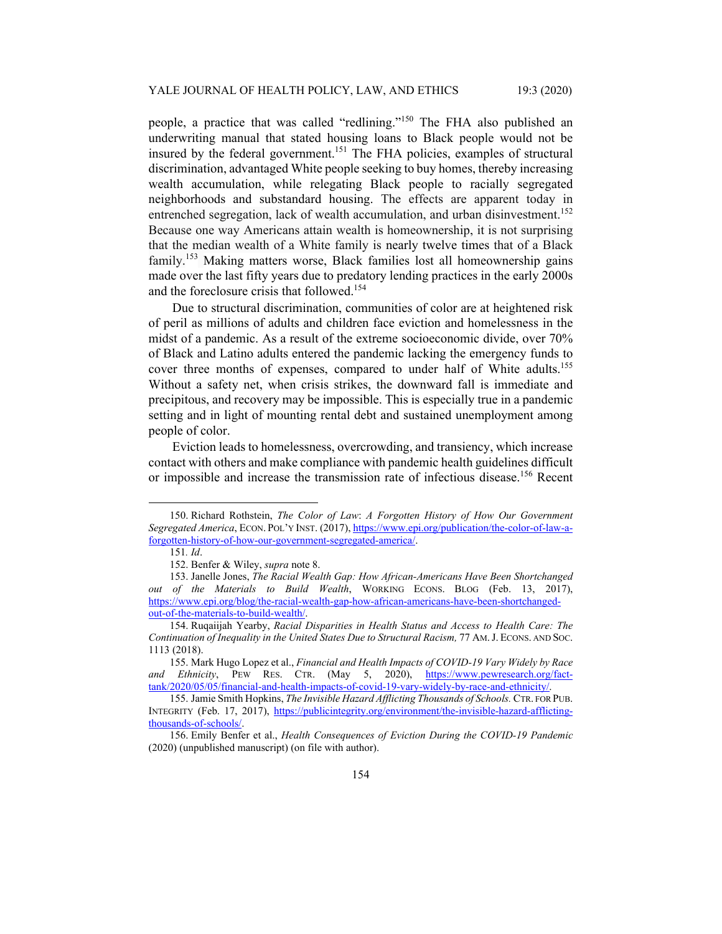people, a practice that was called "redlining."<sup>150</sup> The FHA also published an underwriting manual that stated housing loans to Black people would not be insured by the federal government.<sup>151</sup> The FHA policies, examples of structural discrimination, advantaged White people seeking to buy homes, thereby increasing wealth accumulation, while relegating Black people to racially segregated neighborhoods and substandard housing. The effects are apparent today in entrenched segregation, lack of wealth accumulation, and urban disinvestment.<sup>152</sup> Because one way Americans attain wealth is homeownership, it is not surprising that the median wealth of a White family is nearly twelve times that of a Black family.153 Making matters worse, Black families lost all homeownership gains made over the last fifty years due to predatory lending practices in the early 2000s and the foreclosure crisis that followed.<sup>154</sup>

Due to structural discrimination, communities of color are at heightened risk of peril as millions of adults and children face eviction and homelessness in the midst of a pandemic. As a result of the extreme socioeconomic divide, over 70% of Black and Latino adults entered the pandemic lacking the emergency funds to cover three months of expenses, compared to under half of White adults.<sup>155</sup> Without a safety net, when crisis strikes, the downward fall is immediate and precipitous, and recovery may be impossible. This is especially true in a pandemic setting and in light of mounting rental debt and sustained unemployment among people of color.

Eviction leads to homelessness, overcrowding, and transiency, which increase contact with others and make compliance with pandemic health guidelines difficult or impossible and increase the transmission rate of infectious disease.<sup>156</sup> Recent

 <sup>150.</sup> Richard Rothstein, *The Color of Law*: *A Forgotten History of How Our Government Segregated America*, ECON. POL'Y INST. (2017), https://www.epi.org/publication/the-color-of-law-aforgotten-history-of-how-our-government-segregated-america/.

<sup>151</sup>*. Id*.

 <sup>152.</sup> Benfer & Wiley, *supra* note 8.

 <sup>153.</sup> Janelle Jones, *The Racial Wealth Gap: How African-Americans Have Been Shortchanged out of the Materials to Build Wealth*, WORKING ECONS. BLOG (Feb. 13, 2017), https://www.epi.org/blog/the-racial-wealth-gap-how-african-americans-have-been-shortchangedout-of-the-materials-to-build-wealth/.

 <sup>154.</sup> Ruqaiijah Yearby, *Racial Disparities in Health Status and Access to Health Care: The Continuation of Inequality in the United States Due to Structural Racism,*  $77$  *AM.J. ECONS. AND SOC.* 1113 (2018).

 <sup>155.</sup> Mark Hugo Lopez et al., *Financial and Health Impacts of COVID-19 Vary Widely by Race and Ethnicity*, PEW RES. CTR. (May 5, 2020), https://www.pewresearch.org/facttank/2020/05/05/financial-and-health-impacts-of-covid-19-vary-widely-by-race-and-ethnicity/.

 <sup>155.</sup> Jamie Smith Hopkins, *The Invisible Hazard Afflicting Thousands of Schools.* CTR. FOR PUB. INTEGRITY (Feb. 17, 2017), https://publicintegrity.org/environment/the-invisible-hazard-afflictingthousands-of-schools/.

 <sup>156.</sup> Emily Benfer et al., *Health Consequences of Eviction During the COVID-19 Pandemic* (2020) (unpublished manuscript) (on file with author).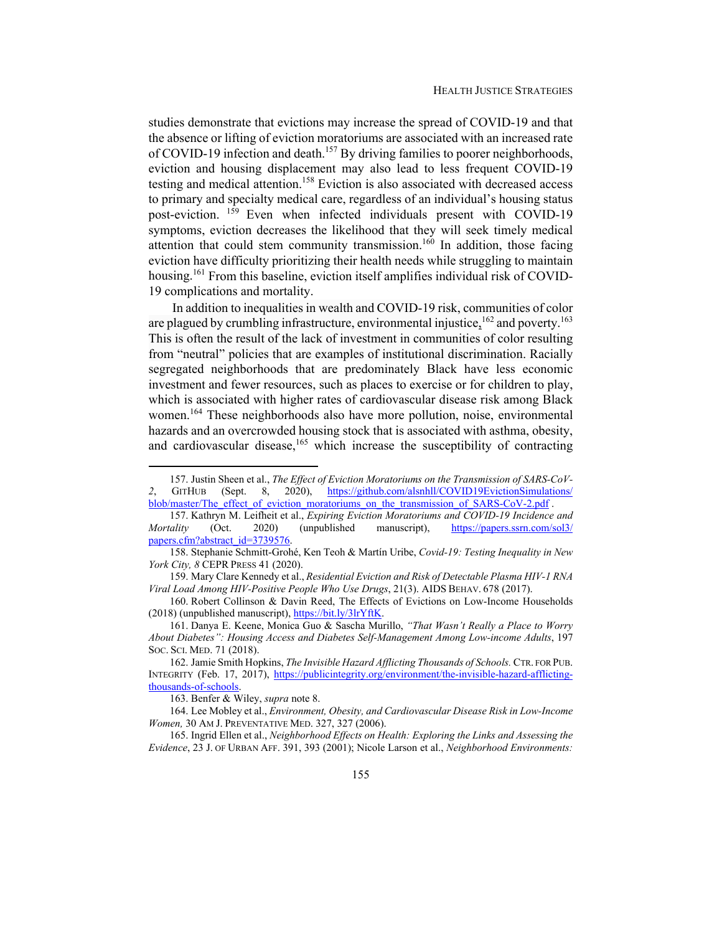studies demonstrate that evictions may increase the spread of COVID-19 and that the absence or lifting of eviction moratoriums are associated with an increased rate of COVID-19 infection and death.<sup>157</sup> By driving families to poorer neighborhoods, eviction and housing displacement may also lead to less frequent COVID-19 testing and medical attention.<sup>158</sup> Eviction is also associated with decreased access to primary and specialty medical care, regardless of an individual's housing status post-eviction. <sup>159</sup> Even when infected individuals present with COVID-19 symptoms, eviction decreases the likelihood that they will seek timely medical attention that could stem community transmission.<sup>160</sup> In addition, those facing eviction have difficulty prioritizing their health needs while struggling to maintain housing.<sup>161</sup> From this baseline, eviction itself amplifies individual risk of COVID-19 complications and mortality.

In addition to inequalities in wealth and COVID-19 risk, communities of color are plagued by crumbling infrastructure, environmental injustice,  $^{162}$  and poverty.<sup>163</sup> This is often the result of the lack of investment in communities of color resulting from "neutral" policies that are examples of institutional discrimination. Racially segregated neighborhoods that are predominately Black have less economic investment and fewer resources, such as places to exercise or for children to play, which is associated with higher rates of cardiovascular disease risk among Black women.<sup>164</sup> These neighborhoods also have more pollution, noise, environmental hazards and an overcrowded housing stock that is associated with asthma, obesity, and cardiovascular disease, $165$  which increase the susceptibility of contracting

 160. Robert Collinson & Davin Reed, The Effects of Evictions on Low-Income Households (2018) (unpublished manuscript), https://bit.ly/3lrYftK.

 161. Danya E. Keene, Monica Guo & Sascha Murillo, *"That Wasn't Really a Place to Worry About Diabetes": Housing Access and Diabetes Self-Management Among Low-income Adults*, 197 SOC. SCI. MED. 71 (2018).

163. Benfer & Wiley, *supra* note 8.

 164. Lee Mobley et al., *Environment, Obesity, and Cardiovascular Disease Risk in Low-Income Women,* 30 AM J. PREVENTATIVE MED. 327, 327 (2006).

 165. Ingrid Ellen et al., *Neighborhood Effects on Health: Exploring the Links and Assessing the Evidence*, 23 J. OF URBAN AFF. 391, 393 (2001); Nicole Larson et al., *Neighborhood Environments:* 

 <sup>157.</sup> Justin Sheen et al., *The Effect of Eviction Moratoriums on the Transmission of SARS-CoV-*GITHUB (Sept. 8, 2020), https://github.com/alsnhll/COVID19EvictionSimulations/ blob/master/The\_effect\_of\_eviction\_moratoriums\_on\_the\_transmission\_of\_SARS-CoV-2.pdf .

 <sup>157.</sup> Kathryn M. Leifheit et al., *Expiring Eviction Moratoriums and COVID-19 Incidence and Mortality* (Oct. 2020) (unpublished manuscript), https://papers.ssrn.com/sol3/ papers.cfm?abstract\_id=3739576.

 <sup>158.</sup> Stephanie Schmitt-Grohé, Ken Teoh & Martín Uribe, *Covid-19: Testing Inequality in New York City, 8* CEPR PRESS 41 (2020).

 <sup>159.</sup> Mary Clare Kennedy et al., *Residential Eviction and Risk of Detectable Plasma HIV-1 RNA Viral Load Among HIV-Positive People Who Use Drugs*, 21(3). AIDS BEHAV. 678 (2017).

 <sup>162.</sup> Jamie Smith Hopkins, *The Invisible Hazard Afflicting Thousands of Schools.* CTR. FOR PUB. INTEGRITY (Feb. 17, 2017), https://publicintegrity.org/environment/the-invisible-hazard-afflictingthousands-of-schools.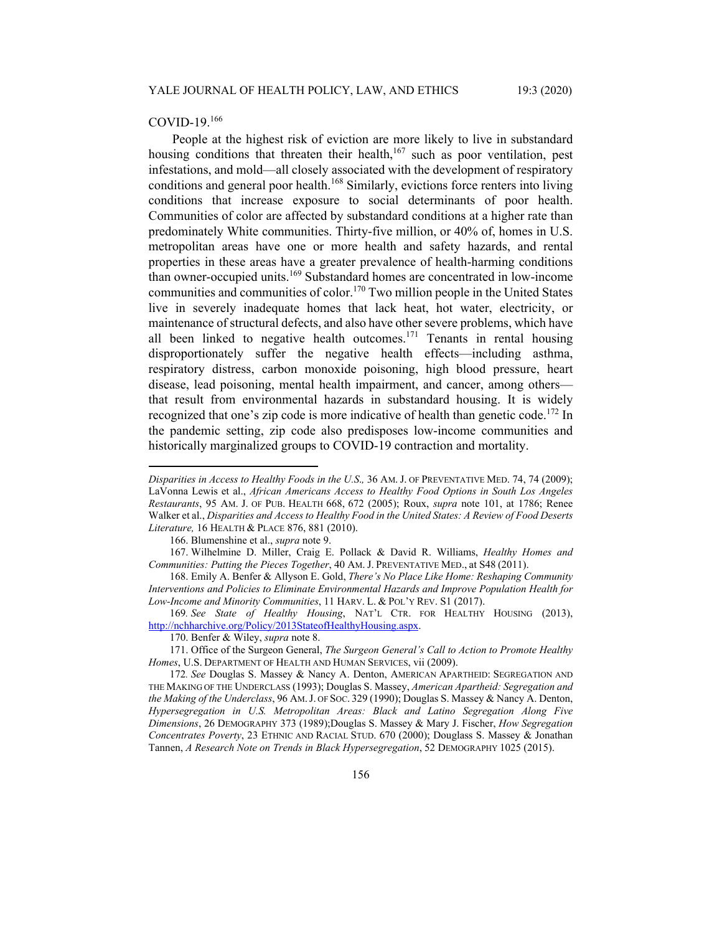#### COVID-19.<sup>166</sup>

People at the highest risk of eviction are more likely to live in substandard housing conditions that threaten their health, $167$  such as poor ventilation, pest infestations, and mold—all closely associated with the development of respiratory conditions and general poor health.<sup>168</sup> Similarly, evictions force renters into living conditions that increase exposure to social determinants of poor health. Communities of color are affected by substandard conditions at a higher rate than predominately White communities. Thirty-five million, or 40% of, homes in U.S. metropolitan areas have one or more health and safety hazards, and rental properties in these areas have a greater prevalence of health-harming conditions than owner-occupied units.<sup>169</sup> Substandard homes are concentrated in low-income communities and communities of color.<sup>170</sup> Two million people in the United States live in severely inadequate homes that lack heat, hot water, electricity, or maintenance of structural defects, and also have other severe problems, which have all been linked to negative health outcomes.<sup>171</sup> Tenants in rental housing disproportionately suffer the negative health effects—including asthma, respiratory distress, carbon monoxide poisoning, high blood pressure, heart disease, lead poisoning, mental health impairment, and cancer, among others that result from environmental hazards in substandard housing. It is widely recognized that one's zip code is more indicative of health than genetic code.<sup>172</sup> In the pandemic setting, zip code also predisposes low-income communities and historically marginalized groups to COVID-19 contraction and mortality.

169*. See State of Healthy Housing*, NAT'L CTR. FOR HEALTHY HOUSING (2013), http://nchharchive.org/Policy/2013StateofHealthyHousing.aspx.

170. Benfer & Wiley, *supra* note 8.

 171. Office of the Surgeon General, *The Surgeon General's Call to Action to Promote Healthy Homes*, U.S. DEPARTMENT OF HEALTH AND HUMAN SERVICES, vii (2009).

*Disparities in Access to Healthy Foods in the U.S*.*,* 36 AM. J. OF PREVENTATIVE MED. 74, 74 (2009); LaVonna Lewis et al., *African Americans Access to Healthy Food Options in South Los Angeles Restaurants*, 95 AM. J. OF PUB. HEALTH 668, 672 (2005); Roux, *supra* note 101, at 1786; Renee Walker et al., *Disparities and Access to Healthy Food in the United States: A Review of Food Deserts Literature,* 16 HEALTH & PLACE 876, 881 (2010).

 <sup>166.</sup> Blumenshine et al., *supra* note 9.

 <sup>167.</sup> Wilhelmine D. Miller, Craig E. Pollack & David R. Williams, *Healthy Homes and Communities: Putting the Pieces Together*, 40 AM. J. PREVENTATIVE MED., at S48 (2011).

 <sup>168.</sup> Emily A. Benfer & Allyson E. Gold, *There's No Place Like Home: Reshaping Community Interventions and Policies to Eliminate Environmental Hazards and Improve Population Health for Low-Income and Minority Communities*, 11 HARV. L. & POL'Y REV. S1 (2017).

<sup>172</sup>*. See* Douglas S. Massey & Nancy A. Denton, AMERICAN APARTHEID: SEGREGATION AND THE MAKING OF THE UNDERCLASS (1993); Douglas S. Massey, *American Apartheid: Segregation and the Making of the Underclass*, 96 AM.J. OF SOC. 329 (1990); Douglas S. Massey & Nancy A. Denton, *Hypersegregation in U.S. Metropolitan Areas: Black and Latino Segregation Along Five Dimensions*, 26 DEMOGRAPHY 373 (1989);Douglas S. Massey & Mary J. Fischer, *How Segregation Concentrates Poverty*, 23 ETHNIC AND RACIAL STUD. 670 (2000); Douglass S. Massey & Jonathan Tannen, *A Research Note on Trends in Black Hypersegregation*, 52 DEMOGRAPHY 1025 (2015).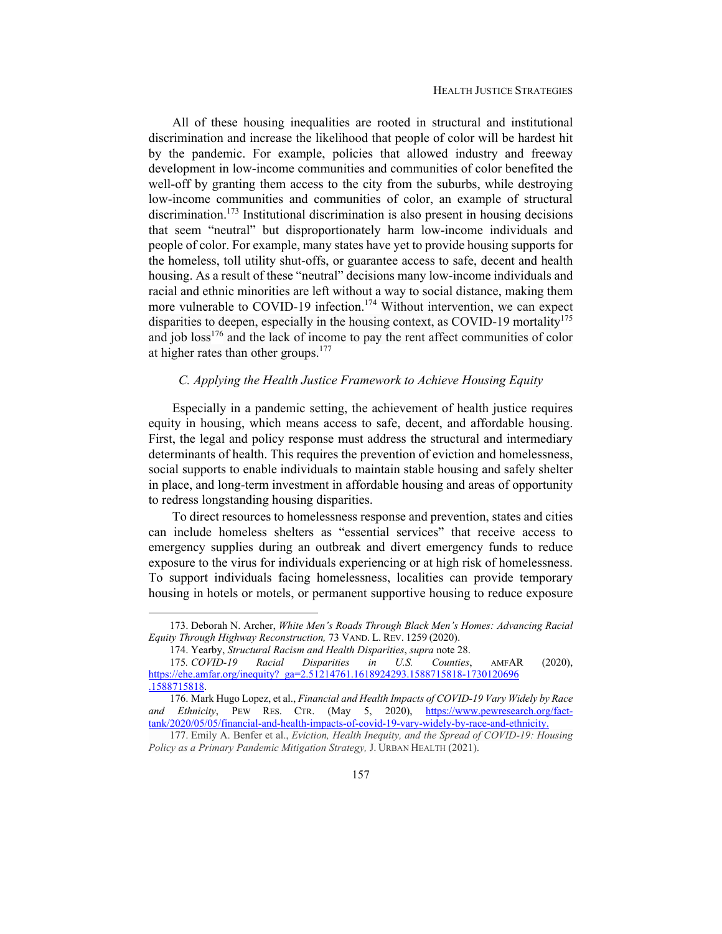All of these housing inequalities are rooted in structural and institutional discrimination and increase the likelihood that people of color will be hardest hit by the pandemic. For example, policies that allowed industry and freeway development in low-income communities and communities of color benefited the well-off by granting them access to the city from the suburbs, while destroying low-income communities and communities of color, an example of structural discrimination.<sup>173</sup> Institutional discrimination is also present in housing decisions that seem "neutral" but disproportionately harm low-income individuals and people of color. For example, many states have yet to provide housing supports for the homeless, toll utility shut-offs, or guarantee access to safe, decent and health housing. As a result of these "neutral" decisions many low-income individuals and racial and ethnic minorities are left without a way to social distance, making them more vulnerable to COVID-19 infection.<sup>174</sup> Without intervention, we can expect disparities to deepen, especially in the housing context, as COVID-19 mortality<sup>175</sup> and job loss<sup>176</sup> and the lack of income to pay the rent affect communities of color at higher rates than other groups. $177$ 

# *C. Applying the Health Justice Framework to Achieve Housing Equity*

Especially in a pandemic setting, the achievement of health justice requires equity in housing, which means access to safe, decent, and affordable housing. First, the legal and policy response must address the structural and intermediary determinants of health. This requires the prevention of eviction and homelessness, social supports to enable individuals to maintain stable housing and safely shelter in place, and long-term investment in affordable housing and areas of opportunity to redress longstanding housing disparities.

To direct resources to homelessness response and prevention, states and cities can include homeless shelters as "essential services" that receive access to emergency supplies during an outbreak and divert emergency funds to reduce exposure to the virus for individuals experiencing or at high risk of homelessness. To support individuals facing homelessness, localities can provide temporary housing in hotels or motels, or permanent supportive housing to reduce exposure

 <sup>173.</sup> Deborah N. Archer, *White Men's Roads Through Black Men's Homes: Advancing Racial Equity Through Highway Reconstruction,* 73 VAND. L. REV. 1259 (2020).

 <sup>174.</sup> Yearby, *Structural Racism and Health Disparities*, *supra* note 28.

<sup>175</sup>*. COVID-19 Racial Disparities in U.S. Counties*, AMFAR (2020), https://ehe.amfar.org/inequity?\_ga=2.51214761.1618924293.1588715818-1730120696 .1588715818.

 <sup>176.</sup> Mark Hugo Lopez, et al., *Financial and Health Impacts of COVID-19 Vary Widely by Race*  and Ethnicity, PEW RES. CTR. (May 5, 2020), https://www.pewresearch.org/facttank/2020/05/05/financial-and-health-impacts-of-covid-19-vary-widely-by-race-and-ethnicity.

<sup>177.</sup> Emily A. Benfer et al., *Eviction, Health Inequity, and the Spread of COVID-19: Housing Policy as a Primary Pandemic Mitigation Strategy,* J. URBAN HEALTH (2021).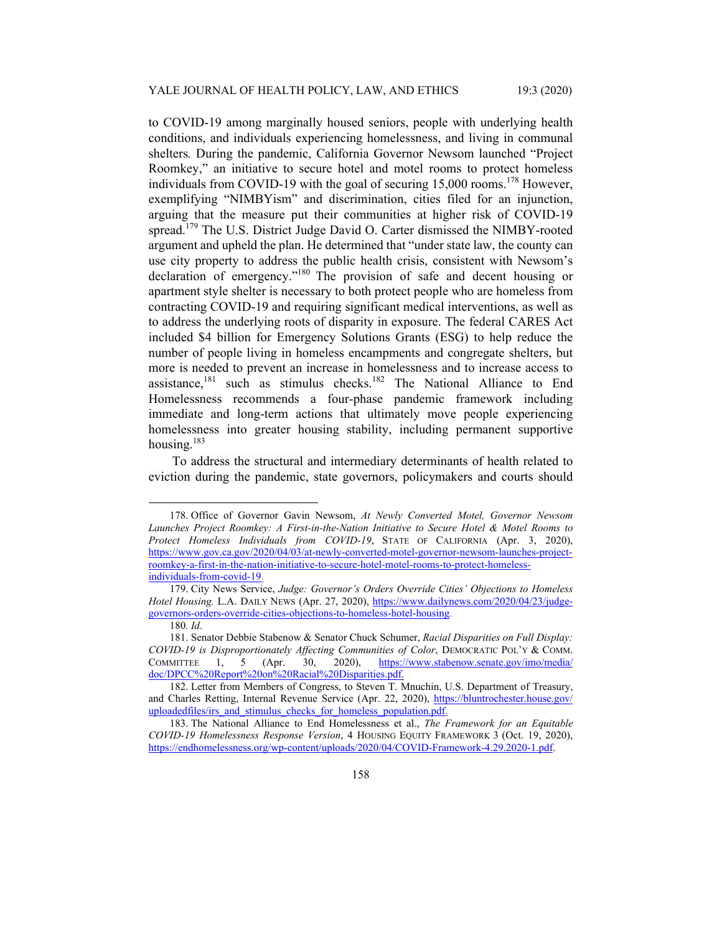to COVID-19 among marginally housed seniors, people with underlying health conditions, and individuals experiencing homelessness, and living in communal shelters*.* During the pandemic, California Governor Newsom launched "Project Roomkey," an initiative to secure hotel and motel rooms to protect homeless individuals from COVID-19 with the goal of securing  $15,000$  rooms.<sup>178</sup> However, exemplifying "NIMBYism" and discrimination, cities filed for an injunction, arguing that the measure put their communities at higher risk of COVID-19 spread.<sup>179</sup> The U.S. District Judge David O. Carter dismissed the NIMBY-rooted argument and upheld the plan. He determined that "under state law, the county can use city property to address the public health crisis, consistent with Newsom's declaration of emergency."180 The provision of safe and decent housing or apartment style shelter is necessary to both protect people who are homeless from contracting COVID-19 and requiring significant medical interventions, as well as to address the underlying roots of disparity in exposure. The federal CARES Act included \$4 billion for Emergency Solutions Grants (ESG) to help reduce the number of people living in homeless encampments and congregate shelters, but more is needed to prevent an increase in homelessness and to increase access to assistance,<sup>181</sup> such as stimulus checks.<sup>182</sup> The National Alliance to End Homelessness recommends a four-phase pandemic framework including immediate and long-term actions that ultimately move people experiencing homelessness into greater housing stability, including permanent supportive housing.<sup>183</sup>

To address the structural and intermediary determinants of health related to eviction during the pandemic, state governors, policymakers and courts should

 <sup>178.</sup> Office of Governor Gavin Newsom, *At Newly Converted Motel, Governor Newsom Launches Project Roomkey: A First-in-the-Nation Initiative to Secure Hotel & Motel Rooms to Protect Homeless Individuals from COVID-19*, STATE OF CALIFORNIA (Apr. 3, 2020), https://www.gov.ca.gov/2020/04/03/at-newly-converted-motel-governor-newsom-launches-projectroomkey-a-first-in-the-nation-initiative-to-secure-hotel-motel-rooms-to-protect-homelessindividuals-from-covid-19.

 <sup>179.</sup> City News Service, *Judge: Governor's Orders Override Cities' Objections to Homeless Hotel Housing.* L.A. DAILY NEWS (Apr. 27, 2020), https://www.dailynews.com/2020/04/23/judgegovernors-orders-override-cities-objections-to-homeless-hotel-housing.

<sup>180</sup>*. Id*.

 <sup>181.</sup> Senator Debbie Stabenow & Senator Chuck Schumer, *Racial Disparities on Full Display: COVID-19 is Disproportionately Affecting Communities of Color*, DEMOCRATIC POL'Y & COMM. COMMITTEE 1, 5 (Apr. 30, 2020), https://www.stabenow.senate.gov/imo/media/ doc/DPCC%20Report%20on%20Racial%20Disparities.pdf.

 <sup>182.</sup> Letter from Members of Congress, to Steven T. Mnuchin, U.S. Department of Treasury, and Charles Retting, Internal Revenue Service (Apr. 22, 2020), https://bluntrochester.house.gov/ uploadedfiles/irs\_and\_stimulus\_checks\_for\_homeless\_population.pdf.

 <sup>183.</sup> The National Alliance to End Homelessness et al., *The Framework for an Equitable COVID-19 Homelessness Response Version*, 4 HOUSING EQUITY FRAMEWORK 3 (Oct. 19, 2020), https://endhomelessness.org/wp-content/uploads/2020/04/COVID-Framework-4.29.2020-1.pdf.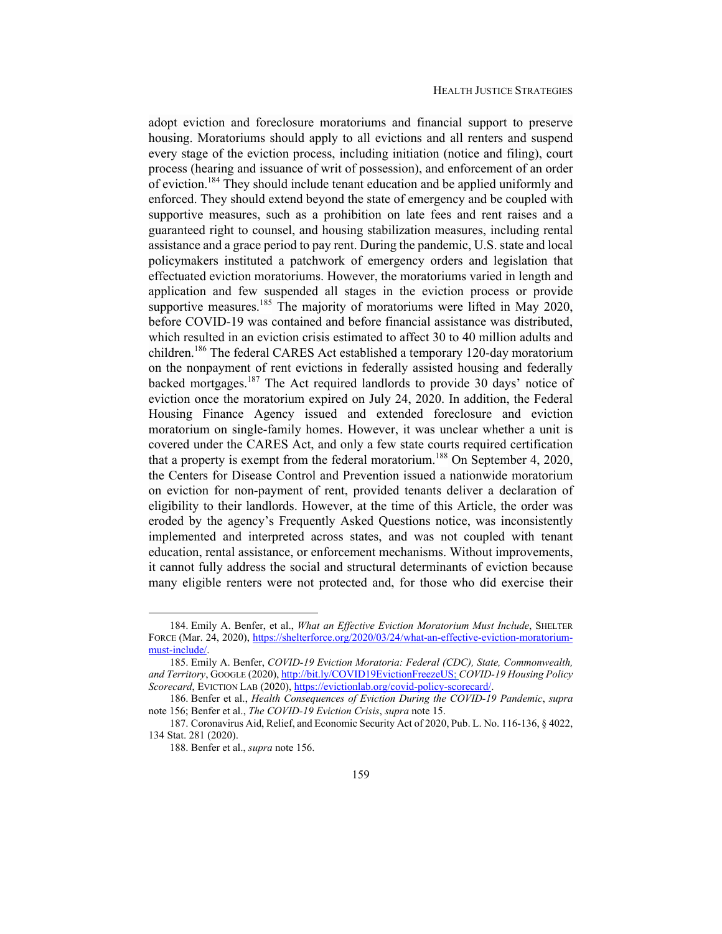adopt eviction and foreclosure moratoriums and financial support to preserve housing. Moratoriums should apply to all evictions and all renters and suspend every stage of the eviction process, including initiation (notice and filing), court process (hearing and issuance of writ of possession), and enforcement of an order of eviction.<sup>184</sup> They should include tenant education and be applied uniformly and enforced. They should extend beyond the state of emergency and be coupled with supportive measures, such as a prohibition on late fees and rent raises and a guaranteed right to counsel, and housing stabilization measures, including rental assistance and a grace period to pay rent. During the pandemic, U.S. state and local policymakers instituted a patchwork of emergency orders and legislation that effectuated eviction moratoriums. However, the moratoriums varied in length and application and few suspended all stages in the eviction process or provide supportive measures.<sup>185</sup> The majority of moratoriums were lifted in May 2020, before COVID-19 was contained and before financial assistance was distributed, which resulted in an eviction crisis estimated to affect 30 to 40 million adults and children.<sup>186</sup> The federal CARES Act established a temporary 120-day moratorium on the nonpayment of rent evictions in federally assisted housing and federally backed mortgages.<sup>187</sup> The Act required landlords to provide 30 days' notice of eviction once the moratorium expired on July 24, 2020. In addition, the Federal Housing Finance Agency issued and extended foreclosure and eviction moratorium on single-family homes. However, it was unclear whether a unit is covered under the CARES Act, and only a few state courts required certification that a property is exempt from the federal moratorium.<sup>188</sup> On September 4, 2020, the Centers for Disease Control and Prevention issued a nationwide moratorium on eviction for non-payment of rent, provided tenants deliver a declaration of eligibility to their landlords. However, at the time of this Article, the order was eroded by the agency's Frequently Asked Questions notice, was inconsistently implemented and interpreted across states, and was not coupled with tenant education, rental assistance, or enforcement mechanisms. Without improvements, it cannot fully address the social and structural determinants of eviction because many eligible renters were not protected and, for those who did exercise their

 <sup>184.</sup> Emily A. Benfer, et al., *What an Effective Eviction Moratorium Must Include*, SHELTER FORCE (Mar. 24, 2020), https://shelterforce.org/2020/03/24/what-an-effective-eviction-moratoriummust-include/.

 <sup>185.</sup> Emily A. Benfer, *COVID-19 Eviction Moratoria: Federal (CDC), State, Commonwealth, and Territory*, GOOGLE (2020), http://bit.ly/COVID19EvictionFreezeUS; *COVID-19 Housing Policy Scorecard*, EVICTION LAB (2020), https://evictionlab.org/covid-policy-scorecard/.

 <sup>186.</sup> Benfer et al., *Health Consequences of Eviction During the COVID-19 Pandemic*, *supra*  note 156; Benfer et al., *The COVID-19 Eviction Crisis*, *supra* note 15.

 <sup>187.</sup> Coronavirus Aid, Relief, and Economic Security Act of 2020, Pub. L. No. 116-136, § 4022, 134 Stat. 281 (2020).

 <sup>188.</sup> Benfer et al., *supra* note 156.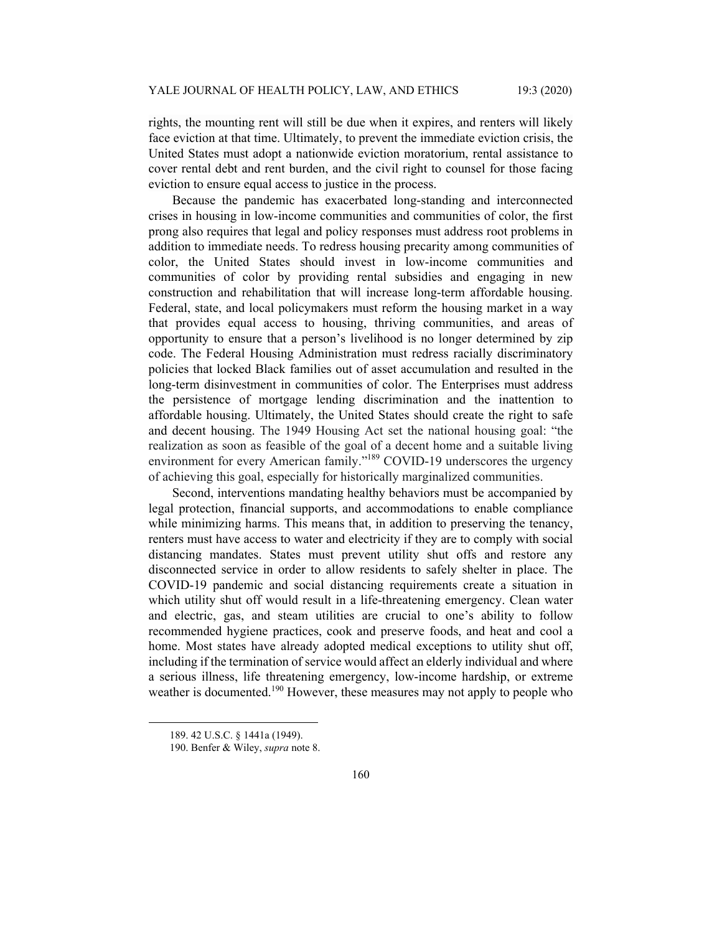rights, the mounting rent will still be due when it expires, and renters will likely face eviction at that time. Ultimately, to prevent the immediate eviction crisis, the United States must adopt a nationwide eviction moratorium, rental assistance to cover rental debt and rent burden, and the civil right to counsel for those facing eviction to ensure equal access to justice in the process.

Because the pandemic has exacerbated long-standing and interconnected crises in housing in low-income communities and communities of color, the first prong also requires that legal and policy responses must address root problems in addition to immediate needs. To redress housing precarity among communities of color, the United States should invest in low-income communities and communities of color by providing rental subsidies and engaging in new construction and rehabilitation that will increase long-term affordable housing. Federal, state, and local policymakers must reform the housing market in a way that provides equal access to housing, thriving communities, and areas of opportunity to ensure that a person's livelihood is no longer determined by zip code. The Federal Housing Administration must redress racially discriminatory policies that locked Black families out of asset accumulation and resulted in the long-term disinvestment in communities of color. The Enterprises must address the persistence of mortgage lending discrimination and the inattention to affordable housing. Ultimately, the United States should create the right to safe and decent housing. The 1949 Housing Act set the national housing goal: "the realization as soon as feasible of the goal of a decent home and a suitable living environment for every American family."<sup>189</sup> COVID-19 underscores the urgency of achieving this goal, especially for historically marginalized communities.

Second, interventions mandating healthy behaviors must be accompanied by legal protection, financial supports, and accommodations to enable compliance while minimizing harms. This means that, in addition to preserving the tenancy, renters must have access to water and electricity if they are to comply with social distancing mandates. States must prevent utility shut offs and restore any disconnected service in order to allow residents to safely shelter in place. The COVID-19 pandemic and social distancing requirements create a situation in which utility shut off would result in a life-threatening emergency. Clean water and electric, gas, and steam utilities are crucial to one's ability to follow recommended hygiene practices, cook and preserve foods, and heat and cool a home. Most states have already adopted medical exceptions to utility shut off, including if the termination of service would affect an elderly individual and where a serious illness, life threatening emergency, low-income hardship, or extreme weather is documented.<sup>190</sup> However, these measures may not apply to people who

 <sup>189. 42</sup> U.S.C. § 1441a (1949).

 <sup>190.</sup> Benfer & Wiley, *supra* note 8.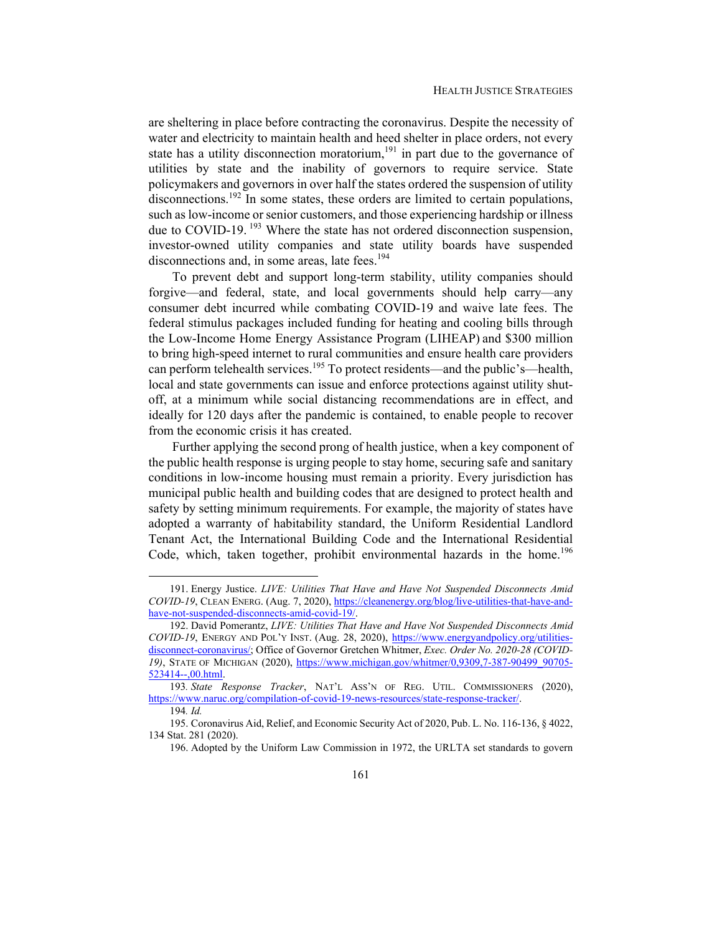are sheltering in place before contracting the coronavirus. Despite the necessity of water and electricity to maintain health and heed shelter in place orders, not every state has a utility disconnection moratorium,<sup>191</sup> in part due to the governance of utilities by state and the inability of governors to require service. State policymakers and governors in over half the states ordered the suspension of utility disconnections.<sup>192</sup> In some states, these orders are limited to certain populations, such as low-income or senior customers, and those experiencing hardship or illness due to COVID-19.<sup>193</sup> Where the state has not ordered disconnection suspension, investor-owned utility companies and state utility boards have suspended disconnections and, in some areas, late fees.<sup>194</sup>

To prevent debt and support long-term stability, utility companies should forgive—and federal, state, and local governments should help carry—any consumer debt incurred while combating COVID-19 and waive late fees. The federal stimulus packages included funding for heating and cooling bills through the Low-Income Home Energy Assistance Program (LIHEAP) and \$300 million to bring high-speed internet to rural communities and ensure health care providers can perform telehealth services.<sup>195</sup> To protect residents—and the public's—health, local and state governments can issue and enforce protections against utility shutoff, at a minimum while social distancing recommendations are in effect, and ideally for 120 days after the pandemic is contained, to enable people to recover from the economic crisis it has created.

Further applying the second prong of health justice, when a key component of the public health response is urging people to stay home, securing safe and sanitary conditions in low-income housing must remain a priority. Every jurisdiction has municipal public health and building codes that are designed to protect health and safety by setting minimum requirements. For example, the majority of states have adopted a warranty of habitability standard, the Uniform Residential Landlord Tenant Act, the International Building Code and the International Residential Code, which, taken together, prohibit environmental hazards in the home.<sup>196</sup>

 <sup>191.</sup> Energy Justice. *LIVE: Utilities That Have and Have Not Suspended Disconnects Amid COVID-19*, CLEAN ENERG. (Aug. 7, 2020), https://cleanenergy.org/blog/live-utilities-that-have-andhave-not-suspended-disconnects-amid-covid-19/.

 <sup>192.</sup> David Pomerantz, *LIVE: Utilities That Have and Have Not Suspended Disconnects Amid COVID-19*, ENERGY AND POL'Y INST. (Aug. 28, 2020), https://www.energyandpolicy.org/utilitiesdisconnect-coronavirus/; Office of Governor Gretchen Whitmer, *Exec. Order No. 2020-28 (COVID-*19), STATE OF MICHIGAN (2020), https://www.michigan.gov/whitmer/0,9309,7-387-90499\_90705-523414--,00.html.

<sup>193</sup>*. State Response Tracker*, NAT'L ASS'N OF REG. UTIL. COMMISSIONERS (2020), https://www.naruc.org/compilation-of-covid-19-news-resources/state-response-tracker/.

<sup>194</sup>*. Id.*

 <sup>195.</sup> Coronavirus Aid, Relief, and Economic Security Act of 2020, Pub. L. No. 116-136, § 4022, 134 Stat. 281 (2020).

 <sup>196.</sup> Adopted by the Uniform Law Commission in 1972, the URLTA set standards to govern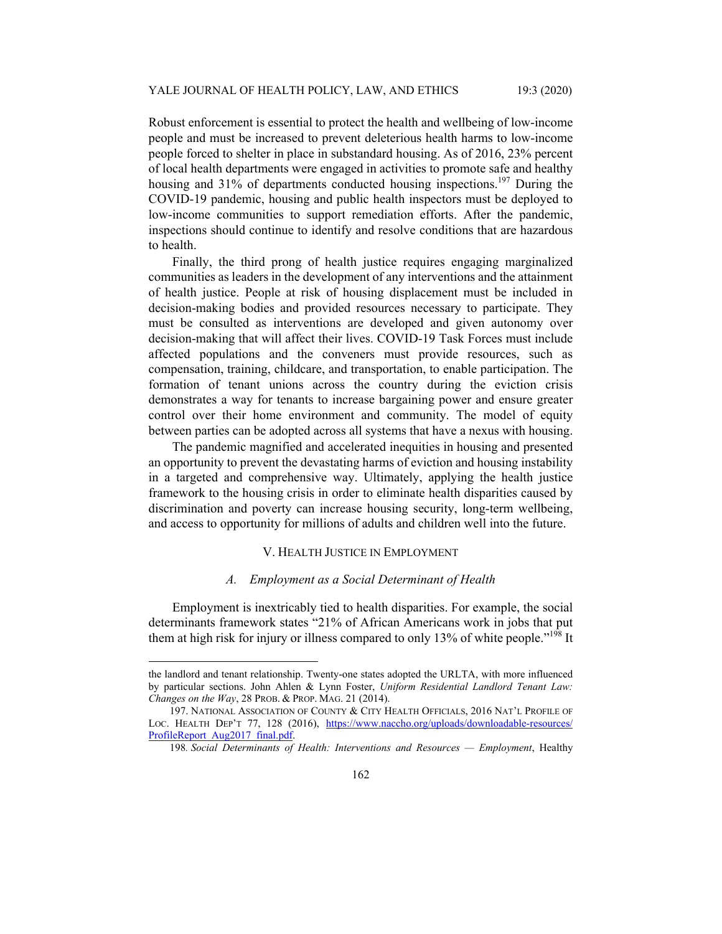Robust enforcement is essential to protect the health and wellbeing of low-income people and must be increased to prevent deleterious health harms to low-income people forced to shelter in place in substandard housing. As of 2016, 23% percent of local health departments were engaged in activities to promote safe and healthy housing and 31% of departments conducted housing inspections.<sup>197</sup> During the COVID-19 pandemic, housing and public health inspectors must be deployed to low-income communities to support remediation efforts. After the pandemic, inspections should continue to identify and resolve conditions that are hazardous to health.

Finally, the third prong of health justice requires engaging marginalized communities as leaders in the development of any interventions and the attainment of health justice. People at risk of housing displacement must be included in decision-making bodies and provided resources necessary to participate. They must be consulted as interventions are developed and given autonomy over decision-making that will affect their lives. COVID-19 Task Forces must include affected populations and the conveners must provide resources, such as compensation, training, childcare, and transportation, to enable participation. The formation of tenant unions across the country during the eviction crisis demonstrates a way for tenants to increase bargaining power and ensure greater control over their home environment and community. The model of equity between parties can be adopted across all systems that have a nexus with housing.

The pandemic magnified and accelerated inequities in housing and presented an opportunity to prevent the devastating harms of eviction and housing instability in a targeted and comprehensive way. Ultimately, applying the health justice framework to the housing crisis in order to eliminate health disparities caused by discrimination and poverty can increase housing security, long-term wellbeing, and access to opportunity for millions of adults and children well into the future.

#### V. HEALTH JUSTICE IN EMPLOYMENT

#### *A. Employment as a Social Determinant of Health*

Employment is inextricably tied to health disparities. For example, the social determinants framework states "21% of African Americans work in jobs that put them at high risk for injury or illness compared to only 13% of white people.<sup>"198</sup> It

the landlord and tenant relationship. Twenty-one states adopted the URLTA, with more influenced by particular sections. John Ahlen & Lynn Foster, *Uniform Residential Landlord Tenant Law: Changes on the Way*, 28 PROB. & PROP. MAG. 21 (2014).

 <sup>197.</sup> NATIONAL ASSOCIATION OF COUNTY & CITY HEALTH OFFICIALS, 2016 NAT'L PROFILE OF LOC. HEALTH DEP'T 77, 128 (2016), https://www.naccho.org/uploads/downloadable-resources/ ProfileReport\_Aug2017\_final.pdf.

<sup>198</sup>*. Social Determinants of Health: Interventions and Resources — Employment*, Healthy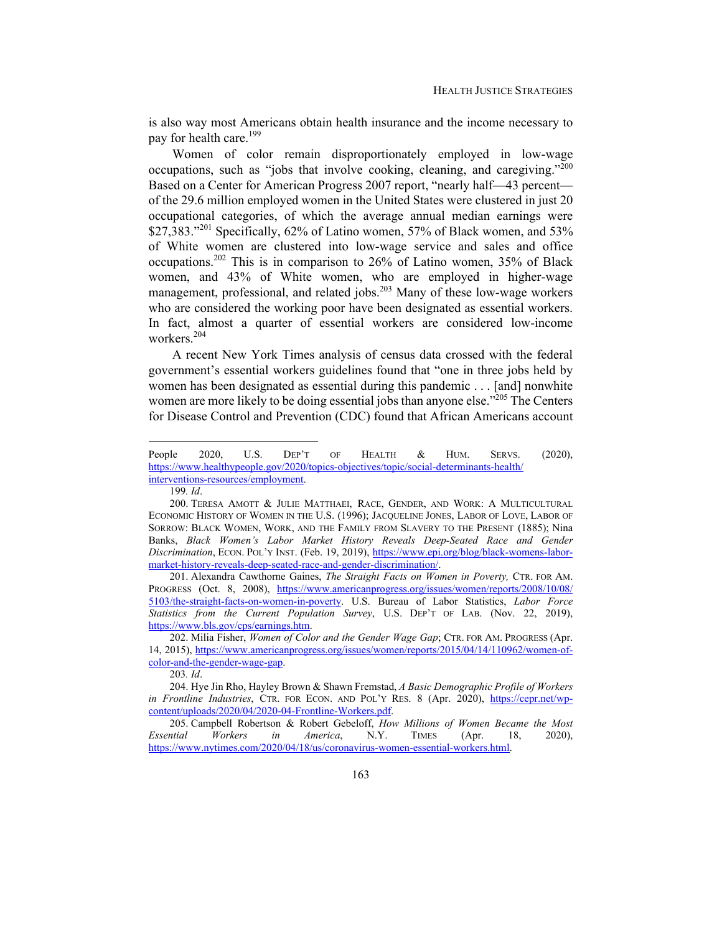is also way most Americans obtain health insurance and the income necessary to pay for health care.<sup>199</sup>

Women of color remain disproportionately employed in low-wage occupations, such as "jobs that involve cooking, cleaning, and caregiving."<sup>200</sup> Based on a Center for American Progress 2007 report, "nearly half—43 percent of the 29.6 million employed women in the United States were clustered in just 20 occupational categories, of which the average annual median earnings were \$27,383."<sup>201</sup> Specifically, 62% of Latino women, 57% of Black women, and 53% of White women are clustered into low-wage service and sales and office occupations.<sup>202</sup> This is in comparison to 26% of Latino women, 35% of Black women, and 43% of White women, who are employed in higher-wage management, professional, and related jobs.<sup>203</sup> Many of these low-wage workers who are considered the working poor have been designated as essential workers. In fact, almost a quarter of essential workers are considered low-income workers.<sup>204</sup>

A recent New York Times analysis of census data crossed with the federal government's essential workers guidelines found that "one in three jobs held by women has been designated as essential during this pandemic . . . [and] nonwhite women are more likely to be doing essential jobs than anyone else."<sup>205</sup> The Centers for Disease Control and Prevention (CDC) found that African Americans account

203*. Id*.

People 2020, U.S. DEP'T OF HEALTH & HUM. SERVS. (2020), https://www.healthypeople.gov/2020/topics-objectives/topic/social-determinants-health/ interventions-resources/employment.

<sup>199</sup>*. Id*.

 <sup>200.</sup> TERESA AMOTT & JULIE MATTHAEI, RACE, GENDER, AND WORK: A MULTICULTURAL ECONOMIC HISTORY OF WOMEN IN THE U.S. (1996); JACQUELINE JONES, LABOR OF LOVE, LABOR OF SORROW: BLACK WOMEN, WORK, AND THE FAMILY FROM SLAVERY TO THE PRESENT (1885); Nina Banks, *Black Women's Labor Market History Reveals Deep-Seated Race and Gender Discrimination*, ECON. POL'Y INST. (Feb. 19, 2019), https://www.epi.org/blog/black-womens-labormarket-history-reveals-deep-seated-race-and-gender-discrimination/.

 <sup>201.</sup> Alexandra Cawthorne Gaines, *The Straight Facts on Women in Poverty,* CTR. FOR AM. PROGRESS (Oct. 8, 2008), https://www.americanprogress.org/issues/women/reports/2008/10/08/ 5103/the-straight-facts-on-women-in-poverty. U.S. Bureau of Labor Statistics, *Labor Force Statistics from the Current Population Survey*, U.S. DEP'T OF LAB. (Nov. 22, 2019), https://www.bls.gov/cps/earnings.htm.

 <sup>202.</sup> Milia Fisher, *Women of Color and the Gender Wage Gap*; CTR. FOR AM. PROGRESS (Apr. 14, 2015), https://www.americanprogress.org/issues/women/reports/2015/04/14/110962/women-ofcolor-and-the-gender-wage-gap.

 <sup>204.</sup> Hye Jin Rho, Hayley Brown & Shawn Fremstad, *A Basic Demographic Profile of Workers in Frontline Industries*, CTR. FOR ECON. AND POL'Y RES. 8 (Apr. 2020), https://cepr.net/wpcontent/uploads/2020/04/2020-04-Frontline-Workers.pdf.

 <sup>205.</sup> Campbell Robertson & Robert Gebeloff, *How Millions of Women Became the Most Essential Workers in America*, N.Y. TIMES (Apr. 18, 2020), https://www.nytimes.com/2020/04/18/us/coronavirus-women-essential-workers.html.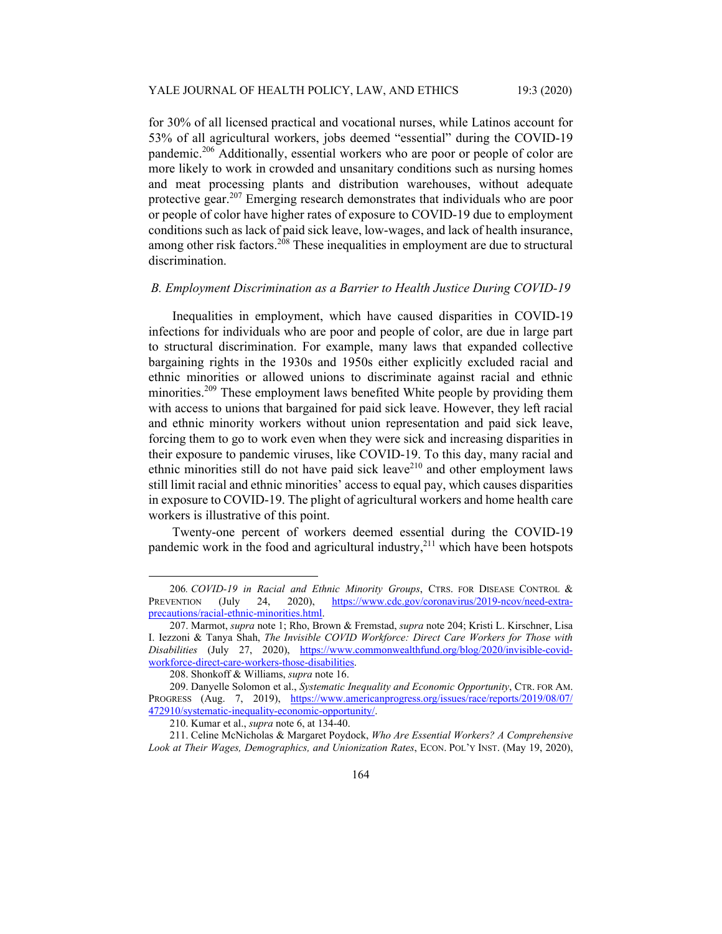for 30% of all licensed practical and vocational nurses, while Latinos account for 53% of all agricultural workers, jobs deemed "essential" during the COVID-19 pandemic.<sup>206</sup> Additionally, essential workers who are poor or people of color are more likely to work in crowded and unsanitary conditions such as nursing homes and meat processing plants and distribution warehouses, without adequate protective gear.207 Emerging research demonstrates that individuals who are poor or people of color have higher rates of exposure to COVID-19 due to employment conditions such as lack of paid sick leave, low-wages, and lack of health insurance, among other risk factors.<sup>208</sup> These inequalities in employment are due to structural discrimination.

# *B. Employment Discrimination as a Barrier to Health Justice During COVID-19*

Inequalities in employment, which have caused disparities in COVID-19 infections for individuals who are poor and people of color, are due in large part to structural discrimination. For example, many laws that expanded collective bargaining rights in the 1930s and 1950s either explicitly excluded racial and ethnic minorities or allowed unions to discriminate against racial and ethnic minorities.<sup>209</sup> These employment laws benefited White people by providing them with access to unions that bargained for paid sick leave. However, they left racial and ethnic minority workers without union representation and paid sick leave, forcing them to go to work even when they were sick and increasing disparities in their exposure to pandemic viruses, like COVID-19. To this day, many racial and ethnic minorities still do not have paid sick leave<sup>210</sup> and other employment laws still limit racial and ethnic minorities' access to equal pay, which causes disparities in exposure to COVID-19. The plight of agricultural workers and home health care workers is illustrative of this point.

Twenty-one percent of workers deemed essential during the COVID-19 pandemic work in the food and agricultural industry, $^{211}$  which have been hotspots

<sup>206</sup>*. COVID-19 in Racial and Ethnic Minority Groups*, CTRS. FOR DISEASE CONTROL & PREVENTION (July 24, 2020), https://www.cdc.gov/coronavirus/2019-ncov/need-extraprecautions/racial-ethnic-minorities.html.

 <sup>207.</sup> Marmot, *supra* note 1; Rho, Brown & Fremstad, *supra* note 204; Kristi L. Kirschner, Lisa I. Iezzoni & Tanya Shah, *The Invisible COVID Workforce: Direct Care Workers for Those with Disabilities* (July 27, 2020), https://www.commonwealthfund.org/blog/2020/invisible-covidworkforce-direct-care-workers-those-disabilities.

 <sup>208.</sup> Shonkoff & Williams, *supra* note 16.

 <sup>209.</sup> Danyelle Solomon et al., *Systematic Inequality and Economic Opportunity*, CTR. FOR AM. PROGRESS (Aug. 7, 2019), https://www.americanprogress.org/issues/race/reports/2019/08/07/ 472910/systematic-inequality-economic-opportunity/.

 <sup>210.</sup> Kumar et al., *supra* note 6, at 134-40.

 <sup>211.</sup> Celine McNicholas & Margaret Poydock, *Who Are Essential Workers? A Comprehensive Look at Their Wages, Demographics, and Unionization Rates*, ECON. POL'Y INST. (May 19, 2020),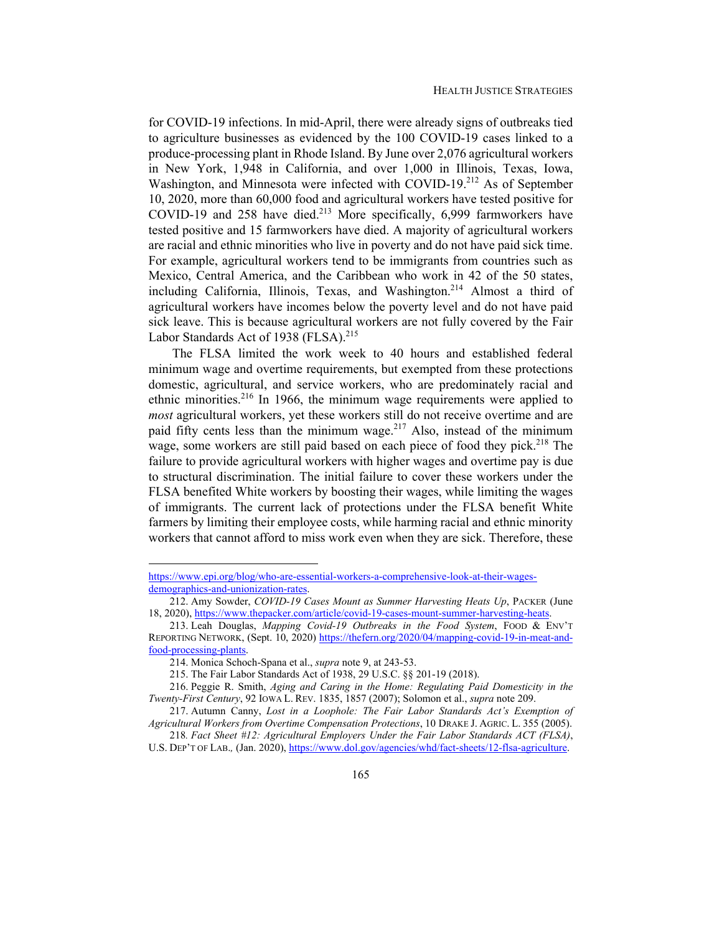for COVID-19 infections. In mid-April, there were already signs of outbreaks tied to agriculture businesses as evidenced by the 100 COVID-19 cases linked to a produce-processing plant in Rhode Island. By June over 2,076 agricultural workers in New York, 1,948 in California, and over 1,000 in Illinois, Texas, Iowa, Washington, and Minnesota were infected with COVID-19.<sup>212</sup> As of September 10, 2020, more than 60,000 food and agricultural workers have tested positive for COVID-19 and 258 have died.<sup>213</sup> More specifically, 6,999 farmworkers have tested positive and 15 farmworkers have died. A majority of agricultural workers are racial and ethnic minorities who live in poverty and do not have paid sick time. For example, agricultural workers tend to be immigrants from countries such as Mexico, Central America, and the Caribbean who work in 42 of the 50 states, including California, Illinois, Texas, and Washington.214 Almost a third of agricultural workers have incomes below the poverty level and do not have paid sick leave. This is because agricultural workers are not fully covered by the Fair Labor Standards Act of 1938 (FLSA).<sup>215</sup>

The FLSA limited the work week to 40 hours and established federal minimum wage and overtime requirements, but exempted from these protections domestic, agricultural, and service workers, who are predominately racial and ethnic minorities.<sup>216</sup> In 1966, the minimum wage requirements were applied to *most* agricultural workers, yet these workers still do not receive overtime and are paid fifty cents less than the minimum wage.<sup>217</sup> Also, instead of the minimum wage, some workers are still paid based on each piece of food they pick.<sup>218</sup> The failure to provide agricultural workers with higher wages and overtime pay is due to structural discrimination. The initial failure to cover these workers under the FLSA benefited White workers by boosting their wages, while limiting the wages of immigrants. The current lack of protections under the FLSA benefit White farmers by limiting their employee costs, while harming racial and ethnic minority workers that cannot afford to miss work even when they are sick. Therefore, these

https://www.epi.org/blog/who-are-essential-workers-a-comprehensive-look-at-their-wagesdemographics-and-unionization-rates.

 <sup>212.</sup> Amy Sowder, *COVID-19 Cases Mount as Summer Harvesting Heats Up*, PACKER (June 18, 2020), https://www.thepacker.com/article/covid-19-cases-mount-summer-harvesting-heats.

 <sup>213.</sup> Leah Douglas, *Mapping Covid-19 Outbreaks in the Food System*, FOOD & ENV'T REPORTING NETWORK, (Sept. 10, 2020) https://thefern.org/2020/04/mapping-covid-19-in-meat-andfood-processing-plants.

 <sup>214.</sup> Monica Schoch-Spana et al., *supra* note 9, at 243-53.

 <sup>215.</sup> The Fair Labor Standards Act of 1938, 29 U.S.C. §§ 201-19 (2018).

 <sup>216.</sup> Peggie R. Smith, *Aging and Caring in the Home: Regulating Paid Domesticity in the Twenty-First Century*, 92 IOWA L. REV. 1835, 1857 (2007); Solomon et al., *supra* note 209.

 <sup>217.</sup> Autumn Canny, *Lost in a Loophole: The Fair Labor Standards Act's Exemption of Agricultural Workers from Overtime Compensation Protections*, 10 DRAKE J. AGRIC. L. 355 (2005).

<sup>218</sup>*. Fact Sheet #12: Agricultural Employers Under the Fair Labor Standards ACT (FLSA)*, U.S. DEP'T OF LAB.*,* (Jan. 2020), https://www.dol.gov/agencies/whd/fact-sheets/12-flsa-agriculture.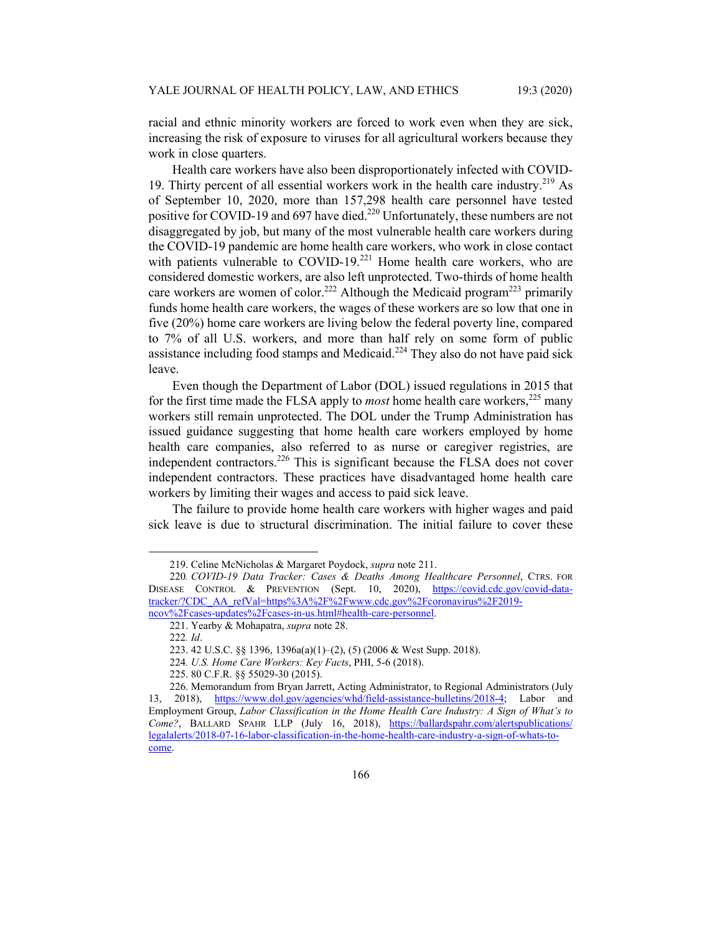racial and ethnic minority workers are forced to work even when they are sick, increasing the risk of exposure to viruses for all agricultural workers because they work in close quarters.

Health care workers have also been disproportionately infected with COVID-19. Thirty percent of all essential workers work in the health care industry.<sup>219</sup> As of September 10, 2020, more than 157,298 health care personnel have tested positive for COVID-19 and 697 have died.<sup>220</sup> Unfortunately, these numbers are not disaggregated by job, but many of the most vulnerable health care workers during the COVID-19 pandemic are home health care workers, who work in close contact with patients vulnerable to COVID-19.<sup>221</sup> Home health care workers, who are considered domestic workers, are also left unprotected. Two-thirds of home health care workers are women of color.<sup>222</sup> Although the Medicaid program<sup>223</sup> primarily funds home health care workers, the wages of these workers are so low that one in five (20%) home care workers are living below the federal poverty line, compared to 7% of all U.S. workers, and more than half rely on some form of public assistance including food stamps and Medicaid.<sup>224</sup> They also do not have paid sick leave.

Even though the Department of Labor (DOL) issued regulations in 2015 that for the first time made the FLSA apply to *most* home health care workers,<sup>225</sup> many workers still remain unprotected. The DOL under the Trump Administration has issued guidance suggesting that home health care workers employed by home health care companies, also referred to as nurse or caregiver registries, are independent contractors.<sup>226</sup> This is significant because the FLSA does not cover independent contractors. These practices have disadvantaged home health care workers by limiting their wages and access to paid sick leave.

The failure to provide home health care workers with higher wages and paid sick leave is due to structural discrimination. The initial failure to cover these

 <sup>219.</sup> Celine McNicholas & Margaret Poydock, *supra* note 211.

<sup>220</sup>*. COVID-19 Data Tracker: Cases & Deaths Among Healthcare Personnel*, CTRS. FOR DISEASE CONTROL & PREVENTION (Sept. 10, 2020), https://covid.cdc.gov/covid-datatracker/?CDC\_AA\_refVal=https%3A%2F%2Fwww.cdc.gov%2Fcoronavirus%2F2019ncov%2Fcases-updates%2Fcases-in-us.html#health-care-personnel.

 <sup>221.</sup> Yearby & Mohapatra, *supra* note 28.

<sup>222</sup>*. Id*.

 <sup>223. 42</sup> U.S.C. §§ 1396, 1396a(a)(1)–(2), (5) (2006 & West Supp. 2018).

<sup>224</sup>*. U.S. Home Care Workers: Key Facts*, PHI, 5-6 (2018).

 <sup>225. 80</sup> C.F.R. §§ 55029-30 (2015).

 <sup>226.</sup> Memorandum from Bryan Jarrett, Acting Administrator, to Regional Administrators (July 13, 2018), https://www.dol.gov/agencies/whd/field-assistance-bulletins/2018-4; Labor and Employment Group, *Labor Classification in the Home Health Care Industry: A Sign of What's to Come?*, BALLARD SPAHR LLP (July 16, 2018), https://ballardspahr.com/alertspublications/ legalalerts/2018-07-16-labor-classification-in-the-home-health-care-industry-a-sign-of-whats-tocome.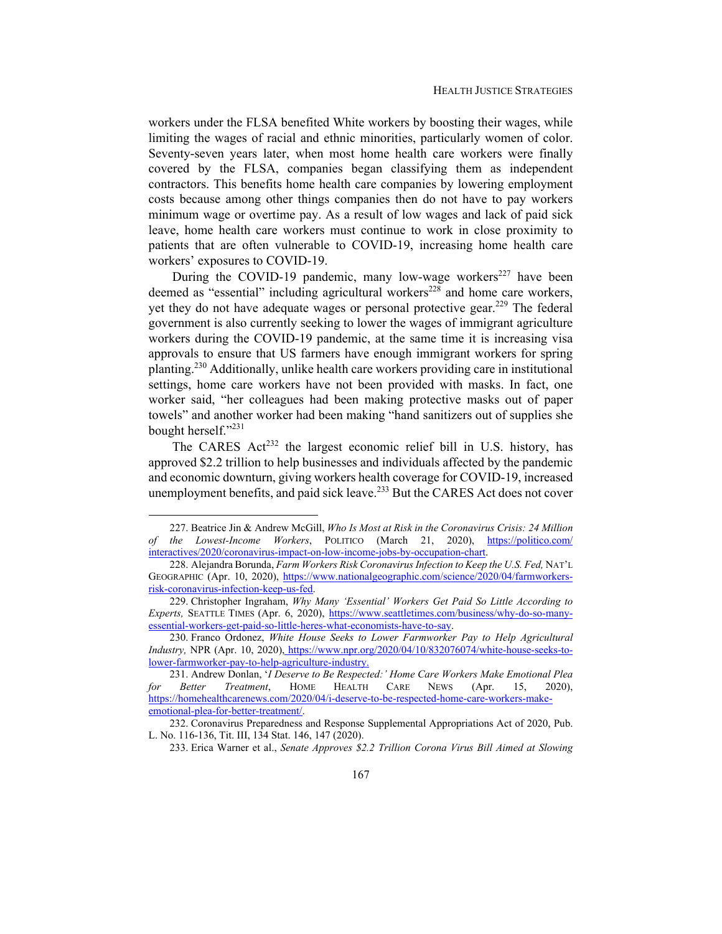workers under the FLSA benefited White workers by boosting their wages, while limiting the wages of racial and ethnic minorities, particularly women of color. Seventy-seven years later, when most home health care workers were finally covered by the FLSA, companies began classifying them as independent contractors. This benefits home health care companies by lowering employment costs because among other things companies then do not have to pay workers minimum wage or overtime pay. As a result of low wages and lack of paid sick leave, home health care workers must continue to work in close proximity to patients that are often vulnerable to COVID-19, increasing home health care workers' exposures to COVID-19.

During the COVID-19 pandemic, many low-wage workers<sup>227</sup> have been deemed as "essential" including agricultural workers<sup>228</sup> and home care workers, yet they do not have adequate wages or personal protective gear.<sup>229</sup> The federal government is also currently seeking to lower the wages of immigrant agriculture workers during the COVID-19 pandemic, at the same time it is increasing visa approvals to ensure that US farmers have enough immigrant workers for spring planting.230 Additionally, unlike health care workers providing care in institutional settings, home care workers have not been provided with masks. In fact, one worker said, "her colleagues had been making protective masks out of paper towels" and another worker had been making "hand sanitizers out of supplies she bought herself."<sup>231</sup>

The CARES  $Act^{232}$  the largest economic relief bill in U.S. history, has approved \$2.2 trillion to help businesses and individuals affected by the pandemic and economic downturn, giving workers health coverage for COVID-19, increased unemployment benefits, and paid sick leave.<sup>233</sup> But the CARES Act does not cover

 <sup>227.</sup> Beatrice Jin & Andrew McGill, *Who Is Most at Risk in the Coronavirus Crisis: 24 Million of the Lowest-Income Workers*, POLITICO (March 21, 2020), https://politico.com/ interactives/2020/coronavirus-impact-on-low-income-jobs-by-occupation-chart.

 <sup>228.</sup> Alejandra Borunda, *Farm Workers Risk Coronavirus Infection to Keep the U.S. Fed,* NAT'L GEOGRAPHIC (Apr. 10, 2020), https://www.nationalgeographic.com/science/2020/04/farmworkersrisk-coronavirus-infection-keep-us-fed.

 <sup>229.</sup> Christopher Ingraham, *Why Many 'Essential' Workers Get Paid So Little According to Experts,* SEATTLE TIMES (Apr. 6, 2020), https://www.seattletimes.com/business/why-do-so-manyessential-workers-get-paid-so-little-heres-what-economists-have-to-say.

 <sup>230.</sup> Franco Ordonez, *White House Seeks to Lower Farmworker Pay to Help Agricultural Industry,* NPR (Apr. 10, 2020), https://www.npr.org/2020/04/10/832076074/white-house-seeks-tolower-farmworker-pay-to-help-agriculture-industry.

 <sup>231.</sup> Andrew Donlan, '*I Deserve to Be Respected:' Home Care Workers Make Emotional Plea for Better Treatment*, HOME HEALTH CARE NEWS (Apr. 15, 2020), https://homehealthcarenews.com/2020/04/i-deserve-to-be-respected-home-care-workers-makeemotional-plea-for-better-treatment/.

 <sup>232.</sup> Coronavirus Preparedness and Response Supplemental Appropriations Act of 2020, Pub. L. No. 116-136, Tit. III, 134 Stat. 146, 147 (2020).

 <sup>233.</sup> Erica Warner et al., *Senate Approves \$2.2 Trillion Corona Virus Bill Aimed at Slowing*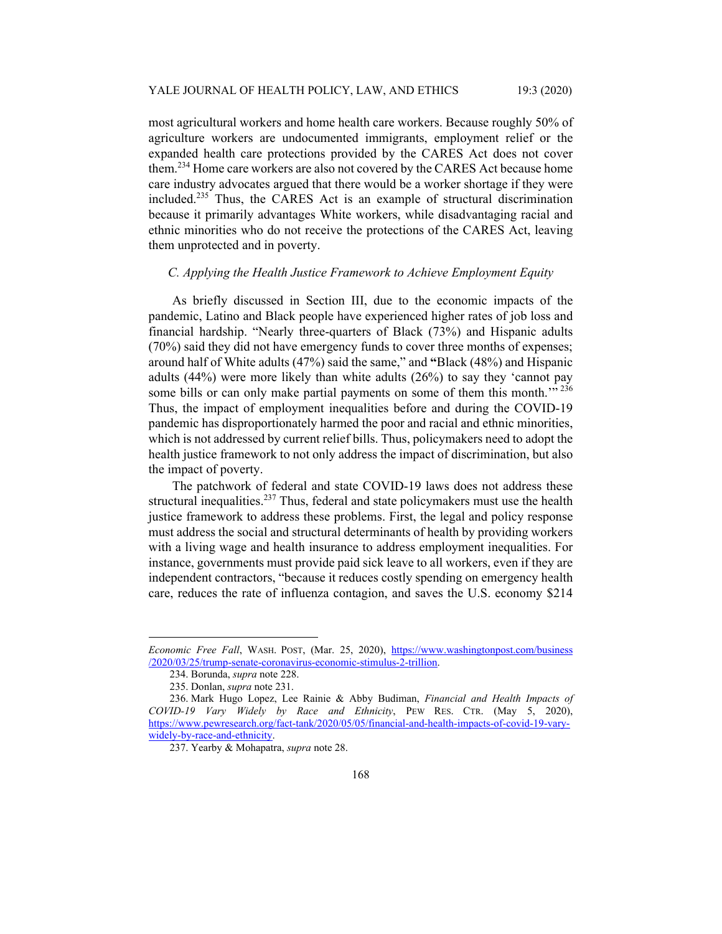most agricultural workers and home health care workers. Because roughly 50% of agriculture workers are undocumented immigrants, employment relief or the expanded health care protections provided by the CARES Act does not cover them.<sup>234</sup> Home care workers are also not covered by the CARES Act because home care industry advocates argued that there would be a worker shortage if they were included.235 Thus, the CARES Act is an example of structural discrimination because it primarily advantages White workers, while disadvantaging racial and ethnic minorities who do not receive the protections of the CARES Act, leaving them unprotected and in poverty.

## *C. Applying the Health Justice Framework to Achieve Employment Equity*

As briefly discussed in Section III, due to the economic impacts of the pandemic, Latino and Black people have experienced higher rates of job loss and financial hardship. "Nearly three-quarters of Black (73%) and Hispanic adults (70%) said they did not have emergency funds to cover three months of expenses; around half of White adults (47%) said the same," and **"**Black (48%) and Hispanic adults (44%) were more likely than white adults (26%) to say they 'cannot pay some bills or can only make partial payments on some of them this month."<sup>236</sup> Thus, the impact of employment inequalities before and during the COVID-19 pandemic has disproportionately harmed the poor and racial and ethnic minorities, which is not addressed by current relief bills. Thus, policymakers need to adopt the health justice framework to not only address the impact of discrimination, but also the impact of poverty.

The patchwork of federal and state COVID-19 laws does not address these structural inequalities.<sup>237</sup> Thus, federal and state policymakers must use the health justice framework to address these problems. First, the legal and policy response must address the social and structural determinants of health by providing workers with a living wage and health insurance to address employment inequalities. For instance, governments must provide paid sick leave to all workers, even if they are independent contractors, "because it reduces costly spending on emergency health care, reduces the rate of influenza contagion, and saves the U.S. economy \$214

*Economic Free Fall*, WASH. POST, (Mar. 25, 2020), https://www.washingtonpost.com/business /2020/03/25/trump-senate-coronavirus-economic-stimulus-2-trillion.

 <sup>234.</sup> Borunda, *supra* note 228.

 <sup>235.</sup> Donlan, *supra* note 231.

 <sup>236.</sup> Mark Hugo Lopez, Lee Rainie & Abby Budiman, *Financial and Health Impacts of COVID-19 Vary Widely by Race and Ethnicity*, PEW RES. CTR. (May 5, 2020), https://www.pewresearch.org/fact-tank/2020/05/05/financial-and-health-impacts-of-covid-19-varywidely-by-race-and-ethnicity.

 <sup>237.</sup> Yearby & Mohapatra, *supra* note 28.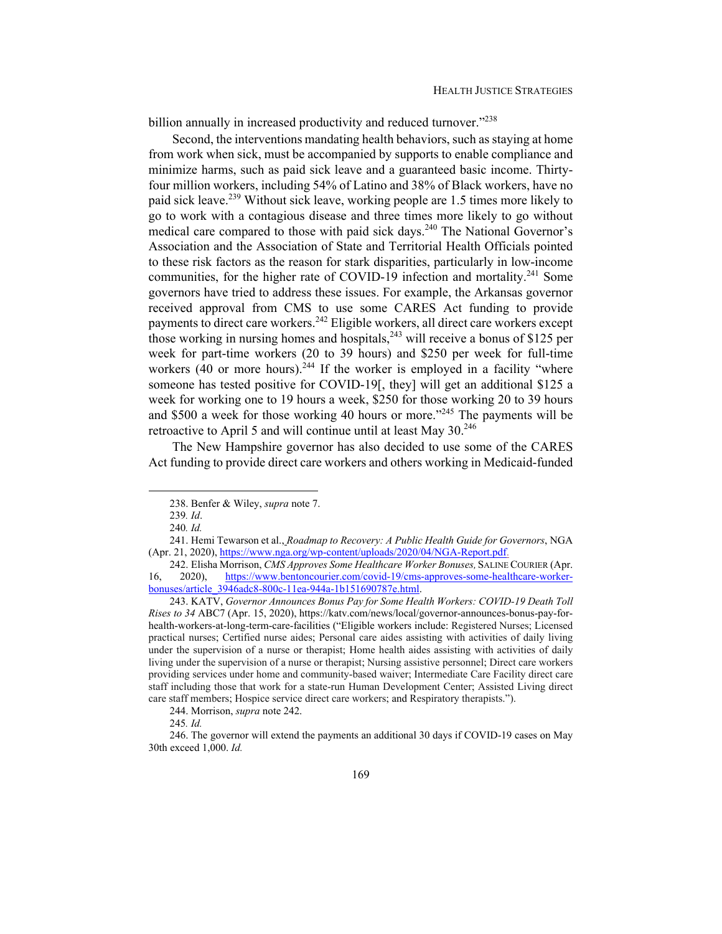billion annually in increased productivity and reduced turnover."<sup>238</sup>

Second, the interventions mandating health behaviors, such as staying at home from work when sick, must be accompanied by supports to enable compliance and minimize harms, such as paid sick leave and a guaranteed basic income. Thirtyfour million workers, including 54% of Latino and 38% of Black workers, have no paid sick leave.<sup>239</sup> Without sick leave, working people are 1.5 times more likely to go to work with a contagious disease and three times more likely to go without medical care compared to those with paid sick days.<sup>240</sup> The National Governor's Association and the Association of State and Territorial Health Officials pointed to these risk factors as the reason for stark disparities, particularly in low-income communities, for the higher rate of COVID-19 infection and mortality.<sup>241</sup> Some governors have tried to address these issues. For example, the Arkansas governor received approval from CMS to use some CARES Act funding to provide payments to direct care workers.<sup>242</sup> Eligible workers, all direct care workers except those working in nursing homes and hospitals,  $243$  will receive a bonus of \$125 per week for part-time workers (20 to 39 hours) and \$250 per week for full-time workers  $(40$  or more hours).<sup>244</sup> If the worker is employed in a facility "where someone has tested positive for COVID-19[, they] will get an additional \$125 a week for working one to 19 hours a week, \$250 for those working 20 to 39 hours and \$500 a week for those working 40 hours or more."<sup>245</sup> The payments will be retroactive to April 5 and will continue until at least May 30.<sup>246</sup>

The New Hampshire governor has also decided to use some of the CARES Act funding to provide direct care workers and others working in Medicaid-funded

244. Morrison, *supra* note 242.

 <sup>238.</sup> Benfer & Wiley, *supra* note 7.

<sup>239</sup>*. Id*.

<sup>240</sup>*. Id.*

 <sup>241.</sup> Hemi Tewarson et al., *Roadmap to Recovery: A Public Health Guide for Governors*, NGA (Apr. 21, 2020), https://www.nga.org/wp-content/uploads/2020/04/NGA-Report.pdf.

 <sup>242.</sup> Elisha Morrison, *CMS Approves Some Healthcare Worker Bonuses,* SALINE COURIER (Apr. 16, 2020), https://www.bentoncourier.com/covid-19/cms-approves-some-healthcare-workerbonuses/article\_3946adc8-800c-11ea-944a-1b151690787e.html.

 <sup>243.</sup> KATV, *Governor Announces Bonus Pay for Some Health Workers: COVID-19 Death Toll Rises to 34* ABC7 (Apr. 15, 2020), https://katv.com/news/local/governor-announces-bonus-pay-forhealth-workers-at-long-term-care-facilities ("Eligible workers include: Registered Nurses; Licensed practical nurses; Certified nurse aides; Personal care aides assisting with activities of daily living under the supervision of a nurse or therapist; Home health aides assisting with activities of daily living under the supervision of a nurse or therapist; Nursing assistive personnel; Direct care workers providing services under home and community-based waiver; Intermediate Care Facility direct care staff including those that work for a state-run Human Development Center; Assisted Living direct care staff members; Hospice service direct care workers; and Respiratory therapists.").

<sup>245</sup>*. Id.* 

 <sup>246.</sup> The governor will extend the payments an additional 30 days if COVID-19 cases on May 30th exceed 1,000. *Id.*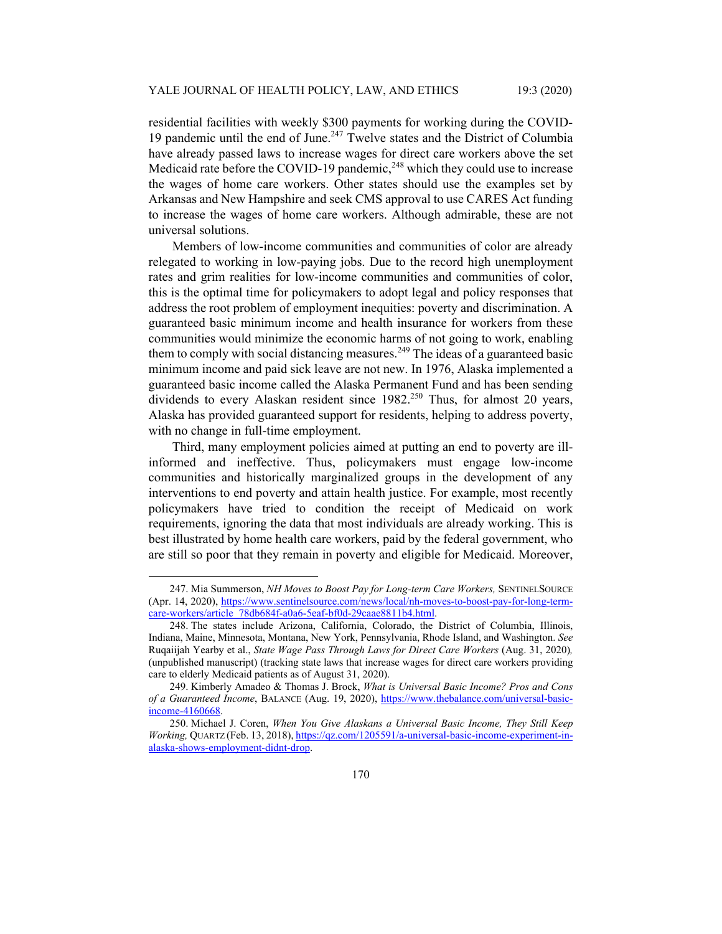residential facilities with weekly \$300 payments for working during the COVID-19 pandemic until the end of June. $247$  Twelve states and the District of Columbia have already passed laws to increase wages for direct care workers above the set Medicaid rate before the COVID-19 pandemic, $^{248}$  which they could use to increase the wages of home care workers. Other states should use the examples set by Arkansas and New Hampshire and seek CMS approval to use CARES Act funding to increase the wages of home care workers. Although admirable, these are not universal solutions.

Members of low-income communities and communities of color are already relegated to working in low-paying jobs. Due to the record high unemployment rates and grim realities for low-income communities and communities of color, this is the optimal time for policymakers to adopt legal and policy responses that address the root problem of employment inequities: poverty and discrimination. A guaranteed basic minimum income and health insurance for workers from these communities would minimize the economic harms of not going to work, enabling them to comply with social distancing measures.<sup>249</sup> The ideas of a guaranteed basic minimum income and paid sick leave are not new. In 1976, Alaska implemented a guaranteed basic income called the Alaska Permanent Fund and has been sending dividends to every Alaskan resident since  $1982^{0.250}$  Thus, for almost 20 years, Alaska has provided guaranteed support for residents, helping to address poverty, with no change in full-time employment.

Third, many employment policies aimed at putting an end to poverty are illinformed and ineffective. Thus, policymakers must engage low-income communities and historically marginalized groups in the development of any interventions to end poverty and attain health justice. For example, most recently policymakers have tried to condition the receipt of Medicaid on work requirements, ignoring the data that most individuals are already working. This is best illustrated by home health care workers, paid by the federal government, who are still so poor that they remain in poverty and eligible for Medicaid. Moreover,

 <sup>247.</sup> Mia Summerson, *NH Moves to Boost Pay for Long-term Care Workers,* SENTINELSOURCE (Apr. 14, 2020), https://www.sentinelsource.com/news/local/nh-moves-to-boost-pay-for-long-termcare-workers/article\_78db684f-a0a6-5eaf-bf0d-29caae8811b4.html.

 <sup>248.</sup> The states include Arizona, California, Colorado, the District of Columbia, Illinois, Indiana, Maine, Minnesota, Montana, New York, Pennsylvania, Rhode Island, and Washington. *See*  Ruqaiijah Yearby et al., *State Wage Pass Through Laws for Direct Care Workers* (Aug. 31, 2020)*,*  (unpublished manuscript) (tracking state laws that increase wages for direct care workers providing care to elderly Medicaid patients as of August 31, 2020).

 <sup>249.</sup> Kimberly Amadeo & Thomas J. Brock, *What is Universal Basic Income? Pros and Cons of a Guaranteed Income*, BALANCE (Aug. 19, 2020), https://www.thebalance.com/universal-basicincome-4160668.

 <sup>250.</sup> Michael J. Coren, *When You Give Alaskans a Universal Basic Income, They Still Keep Working,* QUARTZ (Feb. 13, 2018), https://qz.com/1205591/a-universal-basic-income-experiment-inalaska-shows-employment-didnt-drop.